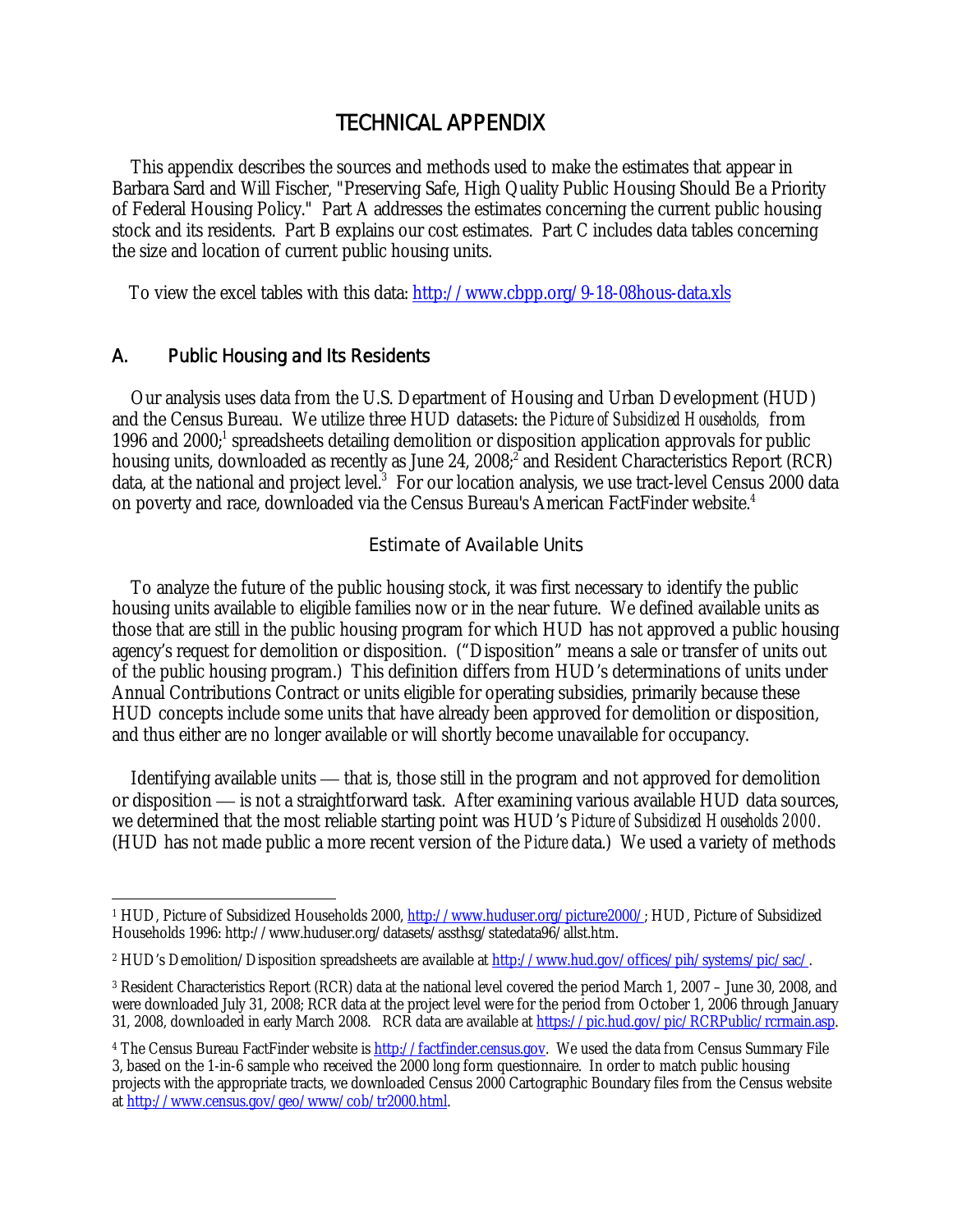### TECHNICAL APPENDIX

 This appendix describes the sources and methods used to make the estimates that appear in Barbara Sard and Will Fischer, "Preserving Safe, High Quality Public Housing Should Be a Priority of Federal Housing Policy." Part A addresses the estimates concerning the current public housing stock and its residents. Part B explains our cost estimates. Part C includes data tables concerning the size and location of current public housing units.

To view the excel tables with this data: http://www.cbpp.org/9-18-08hous-data.xls

#### A. Public Housing and Its Residents

1

 Our analysis uses data from the U.S. Department of Housing and Urban Development (HUD) and the Census Bureau. We utilize three HUD datasets: the *Picture of Subsidized Households,* from 1996 and 2000;<sup>1</sup> spreadsheets detailing demolition or disposition application approvals for public housing units, downloaded as recently as June 24, 2008;<sup>2</sup> and Resident Characteristics Report (RCR) data, at the national and project level.<sup>3</sup> For our location analysis, we use tract-level Census 2000 data on poverty and race, downloaded via the Census Bureau's American FactFinder website.4

#### Estimate of Available Units

 To analyze the future of the public housing stock, it was first necessary to identify the public housing units available to eligible families now or in the near future. We defined available units as those that are still in the public housing program for which HUD has not approved a public housing agency's request for demolition or disposition. ("Disposition" means a sale or transfer of units out of the public housing program.) This definition differs from HUD's determinations of units under Annual Contributions Contract or units eligible for operating subsidies, primarily because these HUD concepts include some units that have already been approved for demolition or disposition, and thus either are no longer available or will shortly become unavailable for occupancy.

 Identifying available units — that is, those still in the program and not approved for demolition or disposition — is not a straightforward task. After examining various available HUD data sources, we determined that the most reliable starting point was HUD's *Picture of Subsidized Households 2000.* (HUD has not made public a more recent version of the *Picture* data.) We used a variety of methods

<sup>1</sup> HUD, Picture of Subsidized Households 2000, http://www.huduser.org/picture2000/; HUD, Picture of Subsidized Households 1996: http://www.huduser.org/datasets/assthsg/statedata96/allst.htm.

<sup>2</sup> HUD's Demolition/Disposition spreadsheets are available at http://www.hud.gov/offices/pih/systems/pic/sac/.

<sup>3</sup> Resident Characteristics Report (RCR) data at the national level covered the period March 1, 2007 – June 30, 2008, and were downloaded July 31, 2008; RCR data at the project level were for the period from October 1, 2006 through January 31, 2008, downloaded in early March 2008. RCR data are available at https://pic.hud.gov/pic/RCRPublic/rcrmain.asp.

<sup>&</sup>lt;sup>4</sup> The Census Bureau FactFinder website is http://factfinder.census.gov. We used the data from Census Summary File 3, based on the 1-in-6 sample who received the 2000 long form questionnaire. In order to match public housing projects with the appropriate tracts, we downloaded Census 2000 Cartographic Boundary files from the Census website at http://www.census.gov/geo/www/cob/tr2000.html.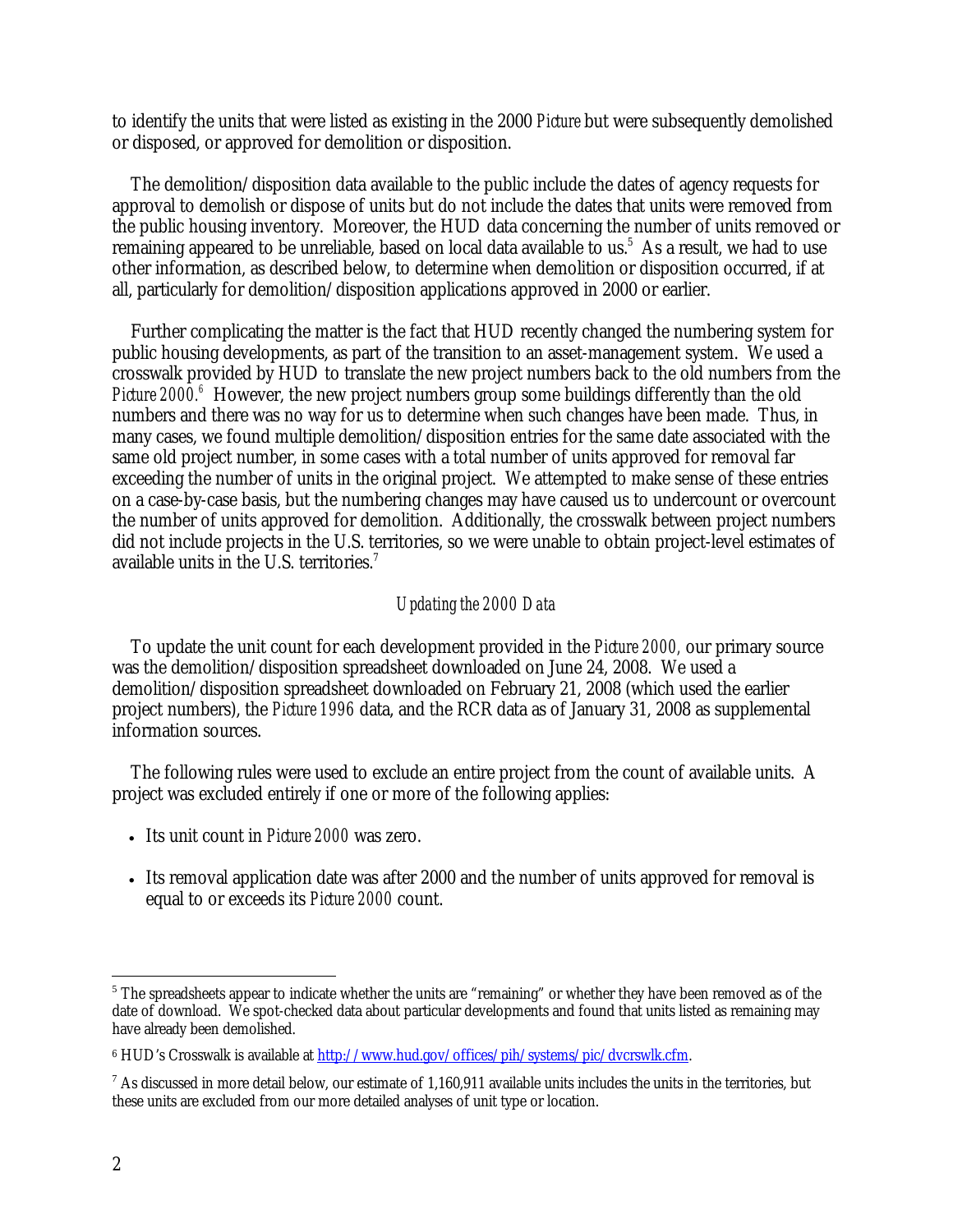to identify the units that were listed as existing in the 2000 *Picture* but were subsequently demolished or disposed, or approved for demolition or disposition.

 The demolition/disposition data available to the public include the dates of agency requests for approval to demolish or dispose of units but do not include the dates that units were removed from the public housing inventory. Moreover, the HUD data concerning the number of units removed or remaining appeared to be unreliable, based on local data available to us.<sup>5</sup> As a result, we had to use other information, as described below, to determine when demolition or disposition occurred, if at all, particularly for demolition/disposition applications approved in 2000 or earlier.

 Further complicating the matter is the fact that HUD recently changed the numbering system for public housing developments, as part of the transition to an asset-management system. We used a crosswalk provided by HUD to translate the new project numbers back to the old numbers from the *Picture 2000.*<sup>6</sup> However, the new project numbers group some buildings differently than the old numbers and there was no way for us to determine when such changes have been made. Thus, in many cases, we found multiple demolition/disposition entries for the same date associated with the same old project number, in some cases with a total number of units approved for removal far exceeding the number of units in the original project. We attempted to make sense of these entries on a case-by-case basis, but the numbering changes may have caused us to undercount or overcount the number of units approved for demolition. Additionally, the crosswalk between project numbers did not include projects in the U.S. territories, so we were unable to obtain project-level estimates of available units in the U.S. territories.7

#### *Updating the 2000 Data*

 To update the unit count for each development provided in the *Picture 2000,* our primary source was the demolition/disposition spreadsheet downloaded on June 24, 2008. We used a demolition/disposition spreadsheet downloaded on February 21, 2008 (which used the earlier project numbers), the *Picture 1996* data, and the RCR data as of January 31, 2008 as supplemental information sources.

 The following rules were used to exclude an entire project from the count of available units. A project was excluded entirely if one or more of the following applies:

- Its unit count in *Picture 2000* was zero.
- Its removal application date was after 2000 and the number of units approved for removal is equal to or exceeds its *Picture 2000* count.

 $\overline{a}$ 

<sup>&</sup>lt;sup>5</sup> The spreadsheets appear to indicate whether the units are "remaining" or whether they have been removed as of the date of download. We spot-checked data about particular developments and found that units listed as remaining may have already been demolished.

<sup>&</sup>lt;sup>6</sup> HUD's Crosswalk is available at http://www.hud.gov/offices/pih/systems/pic/dvcrswlk.cfm.

 $^7$  As discussed in more detail below, our estimate of 1,160,911 available units includes the units in the territories, but these units are excluded from our more detailed analyses of unit type or location.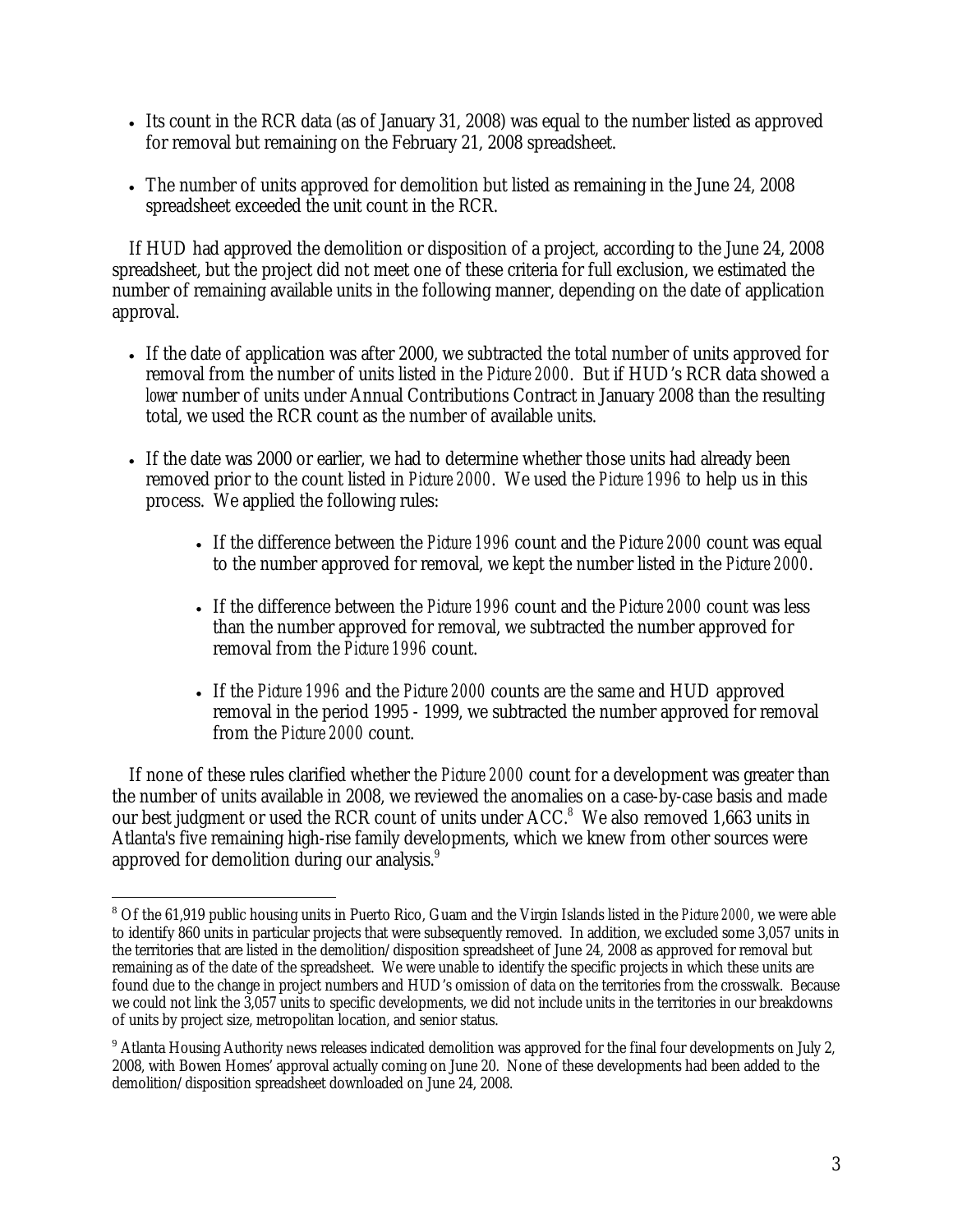- Its count in the RCR data (as of January 31, 2008) was equal to the number listed as approved for removal but remaining on the February 21, 2008 spreadsheet.
- The number of units approved for demolition but listed as remaining in the June 24, 2008 spreadsheet exceeded the unit count in the RCR.

If HUD had approved the demolition or disposition of a project, according to the June 24, 2008 spreadsheet, but the project did not meet one of these criteria for full exclusion, we estimated the number of remaining available units in the following manner, depending on the date of application approval.

- If the date of application was after 2000, we subtracted the total number of units approved for removal from the number of units listed in the *Picture 2000*. But if HUD's RCR data showed a *lower* number of units under Annual Contributions Contract in January 2008 than the resulting total, we used the RCR count as the number of available units.
- If the date was 2000 or earlier, we had to determine whether those units had already been removed prior to the count listed in *Picture 2000*. We used the *Picture 1996* to help us in this process. We applied the following rules:
	- If the difference between the *Picture 1996* count and the *Picture 2000* count was equal to the number approved for removal, we kept the number listed in the *Picture 2000*.
	- If the difference between the *Picture 1996* count and the *Picture 2000* count was less than the number approved for removal, we subtracted the number approved for removal from the *Picture 1996* count.
	- If the *Picture 1996* and the *Picture 2000* counts are the same and HUD approved removal in the period 1995 - 1999, we subtracted the number approved for removal from the *Picture 2000* count.

If none of these rules clarified whether the *Picture 2000* count for a development was greater than the number of units available in 2008, we reviewed the anomalies on a case-by-case basis and made our best judgment or used the RCR count of units under ACC.<sup>8</sup> We also removed 1,663 units in Atlanta's five remaining high-rise family developments, which we knew from other sources were approved for demolition during our analysis.<sup>9</sup>

<sup>1</sup> <sup>8</sup> Of the 61,919 public housing units in Puerto Rico, Guam and the Virgin Islands listed in the *Picture 2000*, we were able to identify 860 units in particular projects that were subsequently removed. In addition, we excluded some 3,057 units in the territories that are listed in the demolition/disposition spreadsheet of June 24, 2008 as approved for removal but remaining as of the date of the spreadsheet. We were unable to identify the specific projects in which these units are found due to the change in project numbers and HUD's omission of data on the territories from the crosswalk. Because we could not link the 3,057 units to specific developments, we did not include units in the territories in our breakdowns of units by project size, metropolitan location, and senior status.

<sup>&</sup>lt;sup>9</sup> Atlanta Housing Authority news releases indicated demolition was approved for the final four developments on July 2, 2008, with Bowen Homes' approval actually coming on June 20. None of these developments had been added to the demolition/disposition spreadsheet downloaded on June 24, 2008.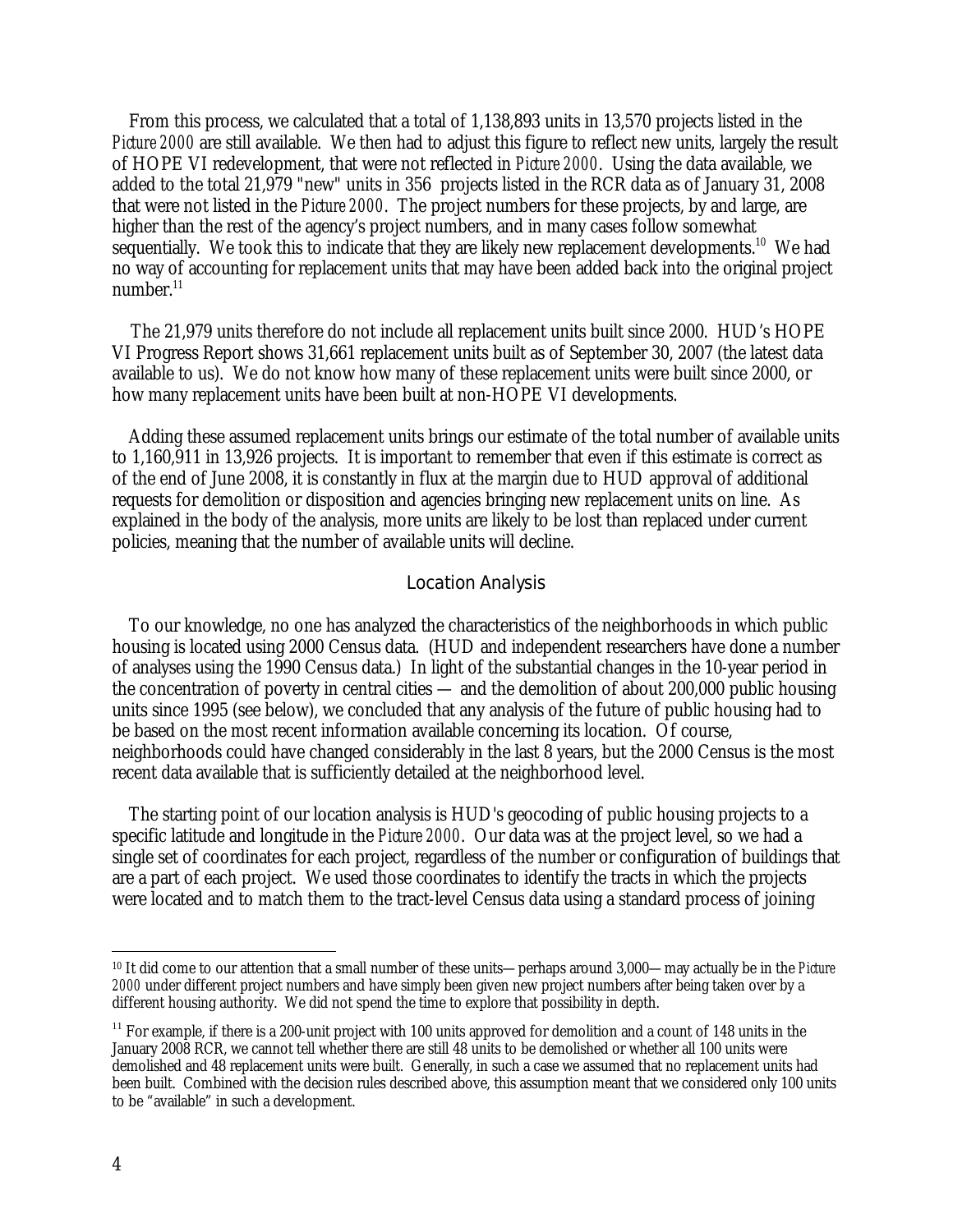From this process, we calculated that a total of 1,138,893 units in 13,570 projects listed in the *Picture 2000* are still available. We then had to adjust this figure to reflect new units, largely the result of HOPE VI redevelopment, that were not reflected in *Picture 2000*. Using the data available, we added to the total 21,979 "new" units in 356 projects listed in the RCR data as of January 31, 2008 that were not listed in the *Picture 2000*. The project numbers for these projects, by and large, are higher than the rest of the agency's project numbers, and in many cases follow somewhat sequentially. We took this to indicate that they are likely new replacement developments.<sup>10</sup> We had no way of accounting for replacement units that may have been added back into the original project number.<sup>11</sup>

 The 21,979 units therefore do not include all replacement units built since 2000. HUD's HOPE VI Progress Report shows 31,661 replacement units built as of September 30, 2007 (the latest data available to us). We do not know how many of these replacement units were built since 2000, or how many replacement units have been built at non-HOPE VI developments.

Adding these assumed replacement units brings our estimate of the total number of available units to 1,160,911 in 13,926 projects. It is important to remember that even if this estimate is correct as of the end of June 2008, it is constantly in flux at the margin due to HUD approval of additional requests for demolition or disposition and agencies bringing new replacement units on line. As explained in the body of the analysis, more units are likely to be lost than replaced under current policies, meaning that the number of available units will decline.

#### Location Analysis

To our knowledge, no one has analyzed the characteristics of the neighborhoods in which public housing is located using 2000 Census data. (HUD and independent researchers have done a number of analyses using the 1990 Census data.) In light of the substantial changes in the 10-year period in the concentration of poverty in central cities — and the demolition of about 200,000 public housing units since 1995 (see below), we concluded that any analysis of the future of public housing had to be based on the most recent information available concerning its location. Of course, neighborhoods could have changed considerably in the last 8 years, but the 2000 Census is the most recent data available that is sufficiently detailed at the neighborhood level.

The starting point of our location analysis is HUD's geocoding of public housing projects to a specific latitude and longitude in the *Picture 2000*. Our data was at the project level, so we had a single set of coordinates for each project, regardless of the number or configuration of buildings that are a part of each project. We used those coordinates to identify the tracts in which the projects were located and to match them to the tract-level Census data using a standard process of joining

1

<sup>10</sup> It did come to our attention that a small number of these units—perhaps around 3,000—may actually be in the *Picture 2000* under different project numbers and have simply been given new project numbers after being taken over by a different housing authority. We did not spend the time to explore that possibility in depth.

 $11$  For example, if there is a 200-unit project with 100 units approved for demolition and a count of 148 units in the January 2008 RCR, we cannot tell whether there are still 48 units to be demolished or whether all 100 units were demolished and 48 replacement units were built. Generally, in such a case we assumed that no replacement units had been built. Combined with the decision rules described above, this assumption meant that we considered only 100 units to be "available" in such a development.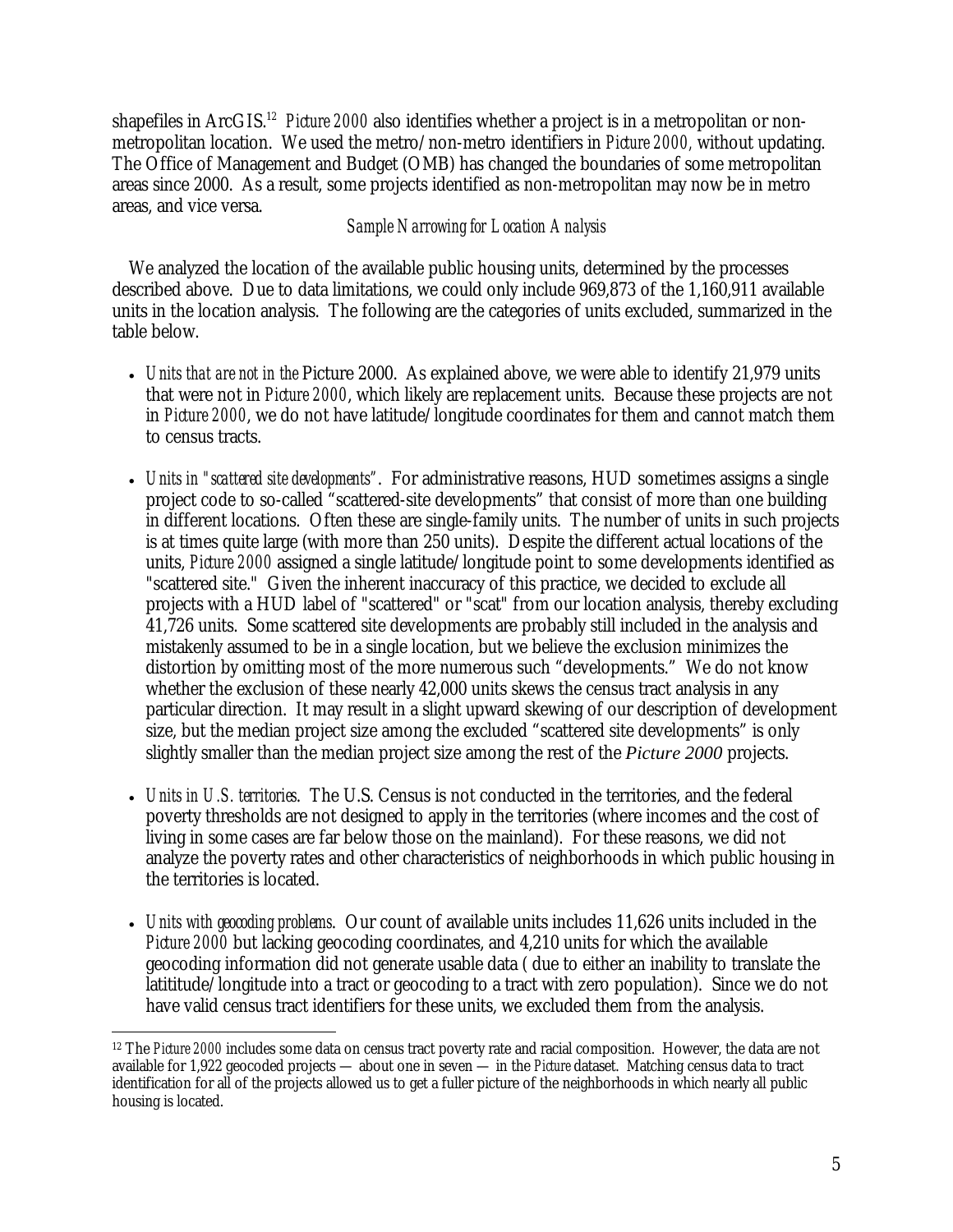shapefiles in ArcGIS.<sup>12</sup> *Picture 2000* also identifies whether a project is in a metropolitan or nonmetropolitan location. We used the metro/non-metro identifiers in *Picture 2000,* without updating. The Office of Management and Budget (OMB) has changed the boundaries of some metropolitan areas since 2000. As a result, some projects identified as non-metropolitan may now be in metro areas, and vice versa.

#### *Sample Narrowing for Location Analysis*

We analyzed the location of the available public housing units, determined by the processes described above. Due to data limitations, we could only include 969,873 of the 1,160,911 available units in the location analysis. The following are the categories of units excluded, summarized in the table below.

- *Units that are not in the* Picture 2000. As explained above, we were able to identify 21,979 units that were not in *Picture 2000*, which likely are replacement units. Because these projects are not in *Picture 2000*, we do not have latitude/longitude coordinates for them and cannot match them to census tracts.
- *Units in "scattered site developments"*. For administrative reasons, HUD sometimes assigns a single project code to so-called "scattered-site developments" that consist of more than one building in different locations. Often these are single-family units. The number of units in such projects is at times quite large (with more than 250 units). Despite the different actual locations of the units, *Picture 2000* assigned a single latitude/longitude point to some developments identified as "scattered site." Given the inherent inaccuracy of this practice, we decided to exclude all projects with a HUD label of "scattered" or "scat" from our location analysis, thereby excluding 41,726 units. Some scattered site developments are probably still included in the analysis and mistakenly assumed to be in a single location, but we believe the exclusion minimizes the distortion by omitting most of the more numerous such "developments." We do not know whether the exclusion of these nearly 42,000 units skews the census tract analysis in any particular direction. It may result in a slight upward skewing of our description of development size, but the median project size among the excluded "scattered site developments" is only slightly smaller than the median project size among the rest of the *Picture 2000* projects.
- *Units in U.S. territories*. The U.S. Census is not conducted in the territories, and the federal poverty thresholds are not designed to apply in the territories (where incomes and the cost of living in some cases are far below those on the mainland). For these reasons, we did not analyze the poverty rates and other characteristics of neighborhoods in which public housing in the territories is located.
- *Units with geocoding problems*. Our count of available units includes 11,626 units included in the *Picture 2000* but lacking geocoding coordinates, and 4,210 units for which the available geocoding information did not generate usable data ( due to either an inability to translate the latititude/longitude into a tract or geocoding to a tract with zero population). Since we do not have valid census tract identifiers for these units, we excluded them from the analysis.

 $\overline{a}$ 12 The *Picture 2000* includes some data on census tract poverty rate and racial composition. However, the data are not available for 1,922 geocoded projects — about one in seven — in the *Picture* dataset. Matching census data to tract identification for all of the projects allowed us to get a fuller picture of the neighborhoods in which nearly all public housing is located.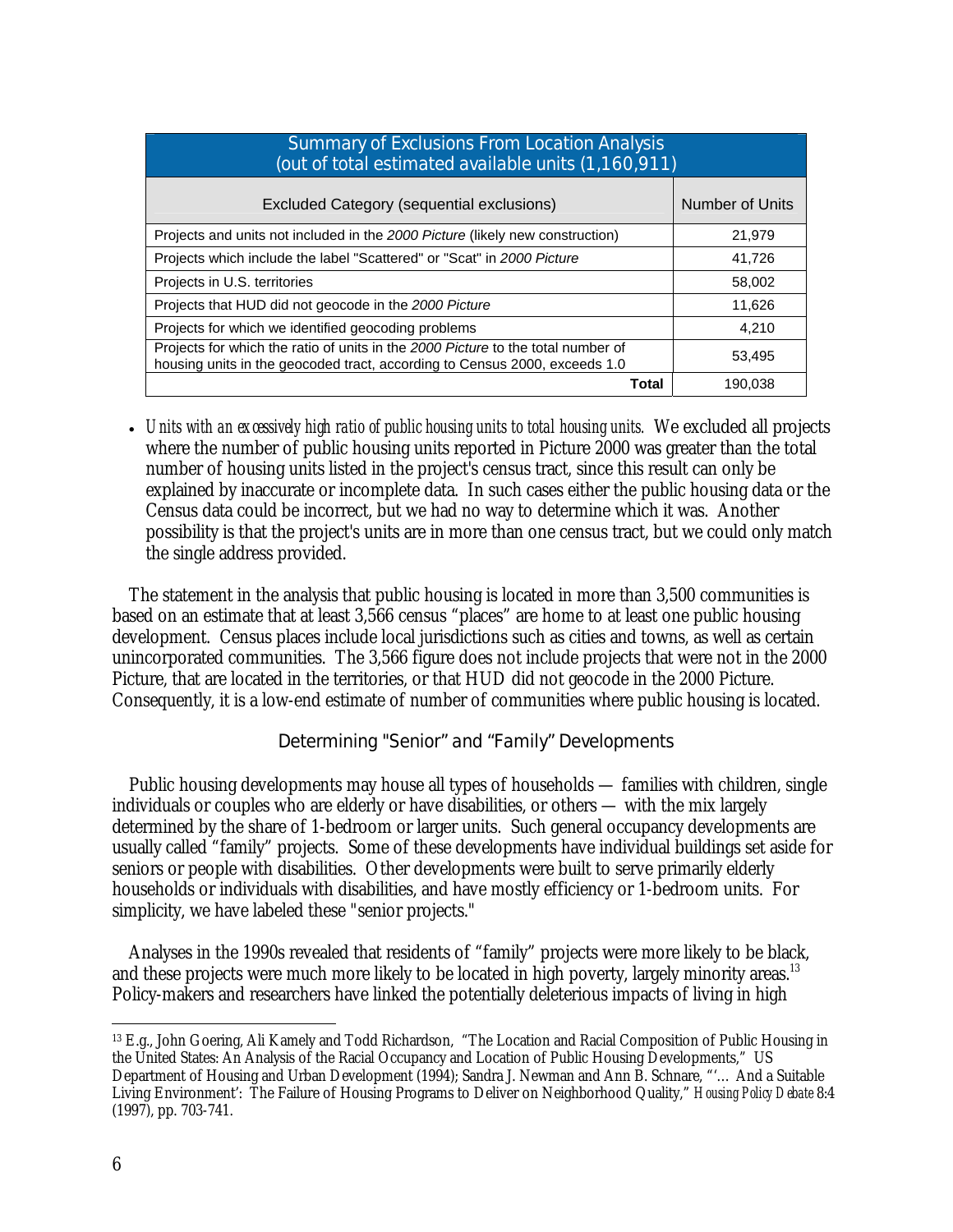| <b>Summary of Exclusions From Location Analysis</b><br>(out of total estimated available units (1,160,911)                                                     |                 |  |  |  |  |  |  |
|----------------------------------------------------------------------------------------------------------------------------------------------------------------|-----------------|--|--|--|--|--|--|
| Excluded Category (sequential exclusions)                                                                                                                      | Number of Units |  |  |  |  |  |  |
| Projects and units not included in the 2000 Picture (likely new construction)                                                                                  | 21,979          |  |  |  |  |  |  |
| Projects which include the label "Scattered" or "Scat" in 2000 Picture                                                                                         | 41,726          |  |  |  |  |  |  |
| Projects in U.S. territories                                                                                                                                   | 58,002          |  |  |  |  |  |  |
| Projects that HUD did not geocode in the 2000 Picture                                                                                                          | 11.626          |  |  |  |  |  |  |
| Projects for which we identified geocoding problems                                                                                                            | 4,210           |  |  |  |  |  |  |
| Projects for which the ratio of units in the 2000 Picture to the total number of<br>housing units in the geocoded tract, according to Census 2000, exceeds 1.0 | 53,495          |  |  |  |  |  |  |
| Total                                                                                                                                                          | 190,038         |  |  |  |  |  |  |

• *Units with an excessively high ratio of public housing units to total housing units.* We excluded all projects where the number of public housing units reported in Picture 2000 was greater than the total number of housing units listed in the project's census tract, since this result can only be explained by inaccurate or incomplete data. In such cases either the public housing data or the Census data could be incorrect, but we had no way to determine which it was. Another possibility is that the project's units are in more than one census tract, but we could only match the single address provided.

The statement in the analysis that public housing is located in more than 3,500 communities is based on an estimate that at least 3,566 census "places" are home to at least one public housing development. Census places include local jurisdictions such as cities and towns, as well as certain unincorporated communities. The 3,566 figure does not include projects that were not in the 2000 Picture, that are located in the territories, or that HUD did not geocode in the 2000 Picture. Consequently, it is a low-end estimate of number of communities where public housing is located.

#### Determining "Senior" and "Family" Developments

Public housing developments may house all types of households — families with children, single individuals or couples who are elderly or have disabilities, or others — with the mix largely determined by the share of 1-bedroom or larger units. Such general occupancy developments are usually called "family" projects. Some of these developments have individual buildings set aside for seniors or people with disabilities. Other developments were built to serve primarily elderly households or individuals with disabilities, and have mostly efficiency or 1-bedroom units. For simplicity, we have labeled these "senior projects."

Analyses in the 1990s revealed that residents of "family" projects were more likely to be black, and these projects were much more likely to be located in high poverty, largely minority areas.<sup>13</sup> Policy-makers and researchers have linked the potentially deleterious impacts of living in high

 $\overline{a}$ 

<sup>13</sup> E.g., John Goering, Ali Kamely and Todd Richardson, "The Location and Racial Composition of Public Housing in the United States: An Analysis of the Racial Occupancy and Location of Public Housing Developments," US Department of Housing and Urban Development (1994); Sandra J. Newman and Ann B. Schnare, "'… And a Suitable Living Environment': The Failure of Housing Programs to Deliver on Neighborhood Quality," *Housing Policy Debate* 8:4 (1997), pp. 703-741.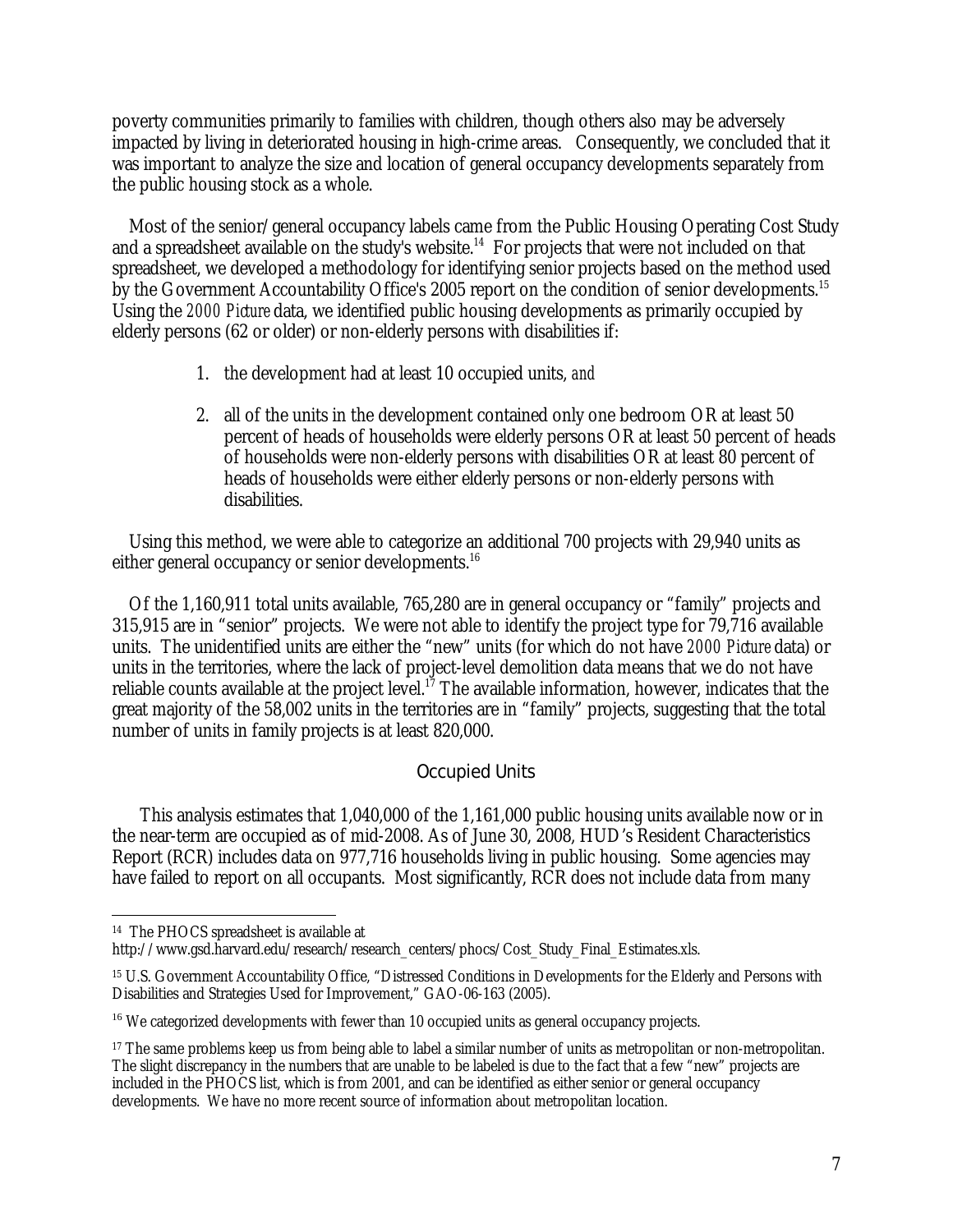poverty communities primarily to families with children, though others also may be adversely impacted by living in deteriorated housing in high-crime areas. Consequently, we concluded that it was important to analyze the size and location of general occupancy developments separately from the public housing stock as a whole.

Most of the senior/general occupancy labels came from the Public Housing Operating Cost Study and a spreadsheet available on the study's website.<sup>14</sup> For projects that were not included on that spreadsheet, we developed a methodology for identifying senior projects based on the method used by the Government Accountability Office's 2005 report on the condition of senior developments.<sup>15</sup> Using the *2000 Picture* data, we identified public housing developments as primarily occupied by elderly persons (62 or older) or non-elderly persons with disabilities if:

- 1. the development had at least 10 occupied units, *and*
- 2. all of the units in the development contained only one bedroom OR at least 50 percent of heads of households were elderly persons OR at least 50 percent of heads of households were non-elderly persons with disabilities OR at least 80 percent of heads of households were either elderly persons or non-elderly persons with disabilities.

Using this method, we were able to categorize an additional 700 projects with 29,940 units as either general occupancy or senior developments.<sup>16</sup>

Of the 1,160,911 total units available, 765,280 are in general occupancy or "family" projects and 315,915 are in "senior" projects. We were not able to identify the project type for 79,716 available units. The unidentified units are either the "new" units (for which do not have *2000 Picture* data) or units in the territories, where the lack of project-level demolition data means that we do not have reliable counts available at the project level.<sup>17</sup> The available information, however, indicates that the great majority of the 58,002 units in the territories are in "family" projects, suggesting that the total number of units in family projects is at least 820,000.

#### Occupied Units

 This analysis estimates that 1,040,000 of the 1,161,000 public housing units available now or in the near-term are occupied as of mid-2008. As of June 30, 2008, HUD's Resident Characteristics Report (RCR) includes data on 977,716 households living in public housing. Some agencies may have failed to report on all occupants. Most significantly, RCR does not include data from many

 $\overline{a}$ 14 The PHOCS spreadsheet is available at

http://www.gsd.harvard.edu/research/research\_centers/phocs/Cost\_Study\_Final\_Estimates.xls.

<sup>&</sup>lt;sup>15</sup> U.S. Government Accountability Office, "Distressed Conditions in Developments for the Elderly and Persons with Disabilities and Strategies Used for Improvement," GAO-06-163 (2005).

<sup>&</sup>lt;sup>16</sup> We categorized developments with fewer than 10 occupied units as general occupancy projects.

<sup>&</sup>lt;sup>17</sup> The same problems keep us from being able to label a similar number of units as metropolitan or non-metropolitan. The slight discrepancy in the numbers that are unable to be labeled is due to the fact that a few "new" projects are included in the PHOCS list, which is from 2001, and can be identified as either senior or general occupancy developments. We have no more recent source of information about metropolitan location.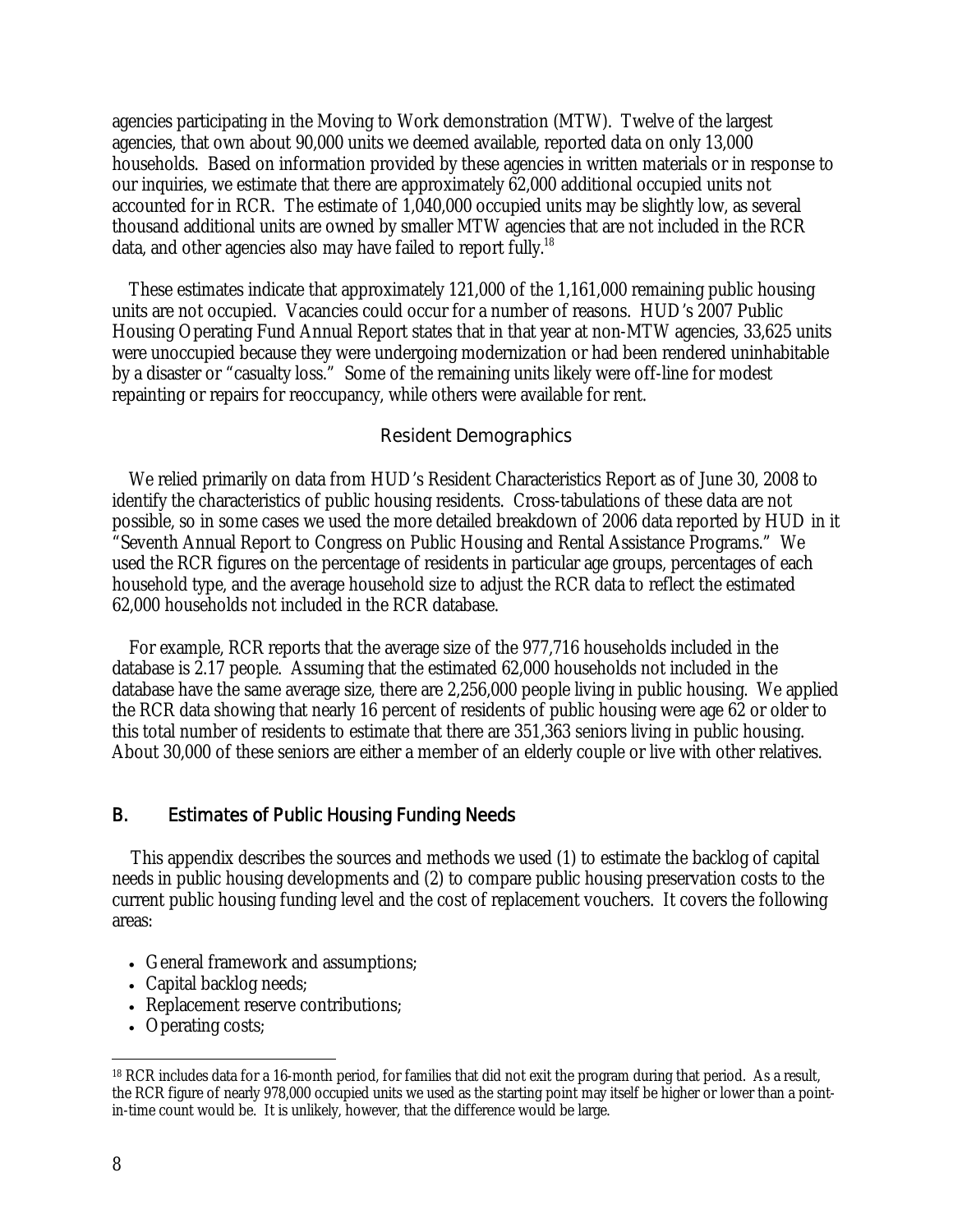agencies participating in the Moving to Work demonstration (MTW). Twelve of the largest agencies, that own about 90,000 units we deemed available, reported data on only 13,000 households. Based on information provided by these agencies in written materials or in response to our inquiries, we estimate that there are approximately 62,000 additional occupied units not accounted for in RCR. The estimate of 1,040,000 occupied units may be slightly low, as several thousand additional units are owned by smaller MTW agencies that are not included in the RCR data, and other agencies also may have failed to report fully.<sup>18</sup>

These estimates indicate that approximately 121,000 of the 1,161,000 remaining public housing units are not occupied. Vacancies could occur for a number of reasons. HUD's 2007 Public Housing Operating Fund Annual Report states that in that year at non-MTW agencies, 33,625 units were unoccupied because they were undergoing modernization or had been rendered uninhabitable by a disaster or "casualty loss." Some of the remaining units likely were off-line for modest repainting or repairs for reoccupancy, while others were available for rent.

#### Resident Demographics

We relied primarily on data from HUD's Resident Characteristics Report as of June 30, 2008 to identify the characteristics of public housing residents. Cross-tabulations of these data are not possible, so in some cases we used the more detailed breakdown of 2006 data reported by HUD in it "Seventh Annual Report to Congress on Public Housing and Rental Assistance Programs." We used the RCR figures on the percentage of residents in particular age groups, percentages of each household type, and the average household size to adjust the RCR data to reflect the estimated 62,000 households not included in the RCR database.

For example, RCR reports that the average size of the 977,716 households included in the database is 2.17 people. Assuming that the estimated 62,000 households not included in the database have the same average size, there are 2,256,000 people living in public housing. We applied the RCR data showing that nearly 16 percent of residents of public housing were age 62 or older to this total number of residents to estimate that there are 351,363 seniors living in public housing. About 30,000 of these seniors are either a member of an elderly couple or live with other relatives.

#### B. Estimates of Public Housing Funding Needs

This appendix describes the sources and methods we used (1) to estimate the backlog of capital needs in public housing developments and (2) to compare public housing preservation costs to the current public housing funding level and the cost of replacement vouchers. It covers the following areas:

- General framework and assumptions;
- Capital backlog needs;
- Replacement reserve contributions;
- Operating costs;

 $\overline{a}$ 

<sup>18</sup> RCR includes data for a 16-month period, for families that did not exit the program during that period. As a result, the RCR figure of nearly 978,000 occupied units we used as the starting point may itself be higher or lower than a pointin-time count would be. It is unlikely, however, that the difference would be large.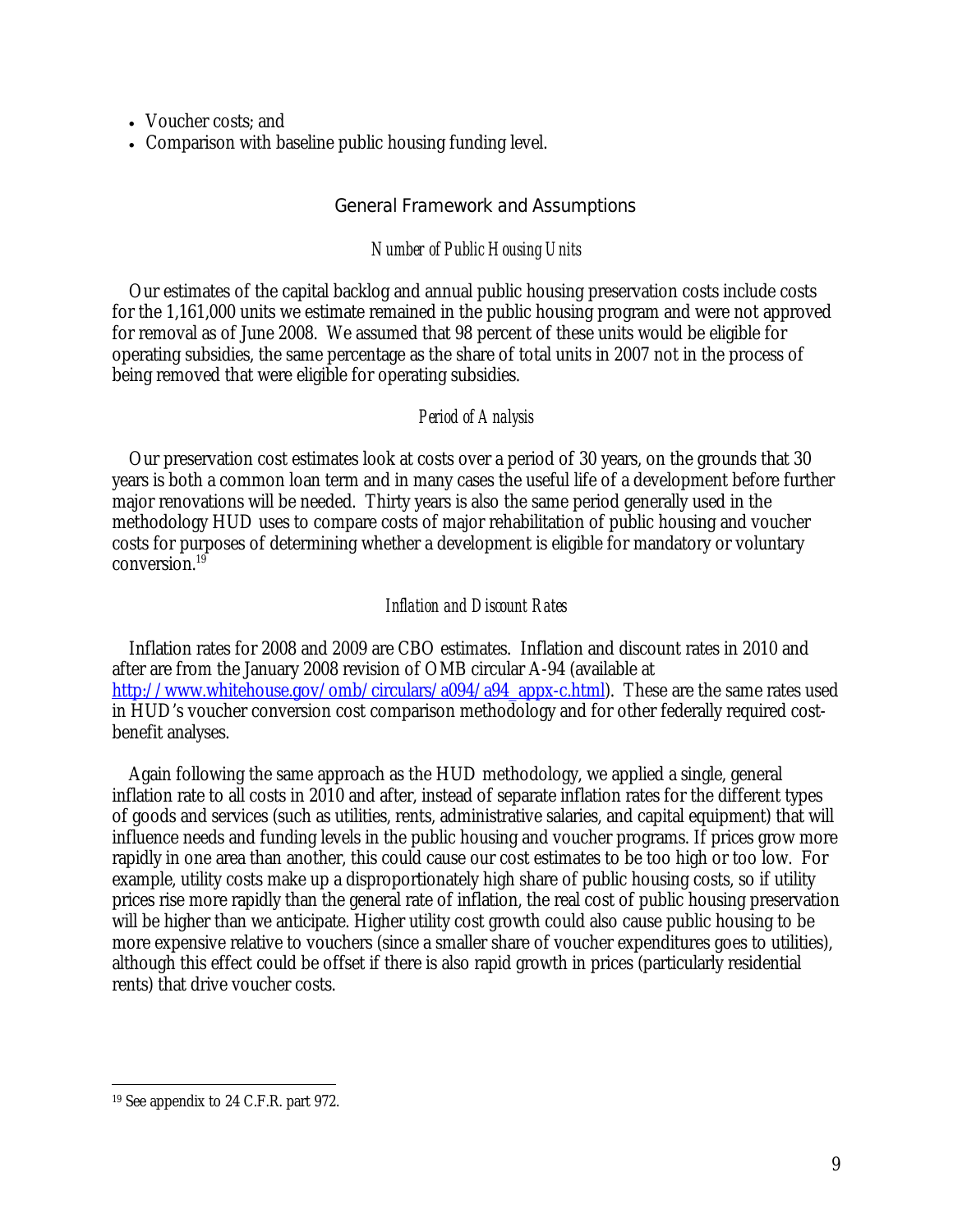- Voucher costs: and
- Comparison with baseline public housing funding level.

#### General Framework and Assumptions

#### *Number of Public Housing Units*

Our estimates of the capital backlog and annual public housing preservation costs include costs for the 1,161,000 units we estimate remained in the public housing program and were not approved for removal as of June 2008. We assumed that 98 percent of these units would be eligible for operating subsidies, the same percentage as the share of total units in 2007 not in the process of being removed that were eligible for operating subsidies.

#### *Period of Analysis*

Our preservation cost estimates look at costs over a period of 30 years, on the grounds that 30 years is both a common loan term and in many cases the useful life of a development before further major renovations will be needed. Thirty years is also the same period generally used in the methodology HUD uses to compare costs of major rehabilitation of public housing and voucher costs for purposes of determining whether a development is eligible for mandatory or voluntary conversion.19

#### *Inflation and Discount Rates*

Inflation rates for 2008 and 2009 are CBO estimates. Inflation and discount rates in 2010 and after are from the January 2008 revision of OMB circular A-94 (available at http://www.whitehouse.gov/omb/circulars/a094/a94\_appx-c.html). These are the same rates used in HUD's voucher conversion cost comparison methodology and for other federally required costbenefit analyses.

Again following the same approach as the HUD methodology, we applied a single, general inflation rate to all costs in 2010 and after, instead of separate inflation rates for the different types of goods and services (such as utilities, rents, administrative salaries, and capital equipment) that will influence needs and funding levels in the public housing and voucher programs. If prices grow more rapidly in one area than another, this could cause our cost estimates to be too high or too low. For example, utility costs make up a disproportionately high share of public housing costs, so if utility prices rise more rapidly than the general rate of inflation, the real cost of public housing preservation will be higher than we anticipate. Higher utility cost growth could also cause public housing to be more expensive relative to vouchers (since a smaller share of voucher expenditures goes to utilities), although this effect could be offset if there is also rapid growth in prices (particularly residential rents) that drive voucher costs.

 $\overline{a}$ 

<sup>19</sup> See appendix to 24 C.F.R. part 972.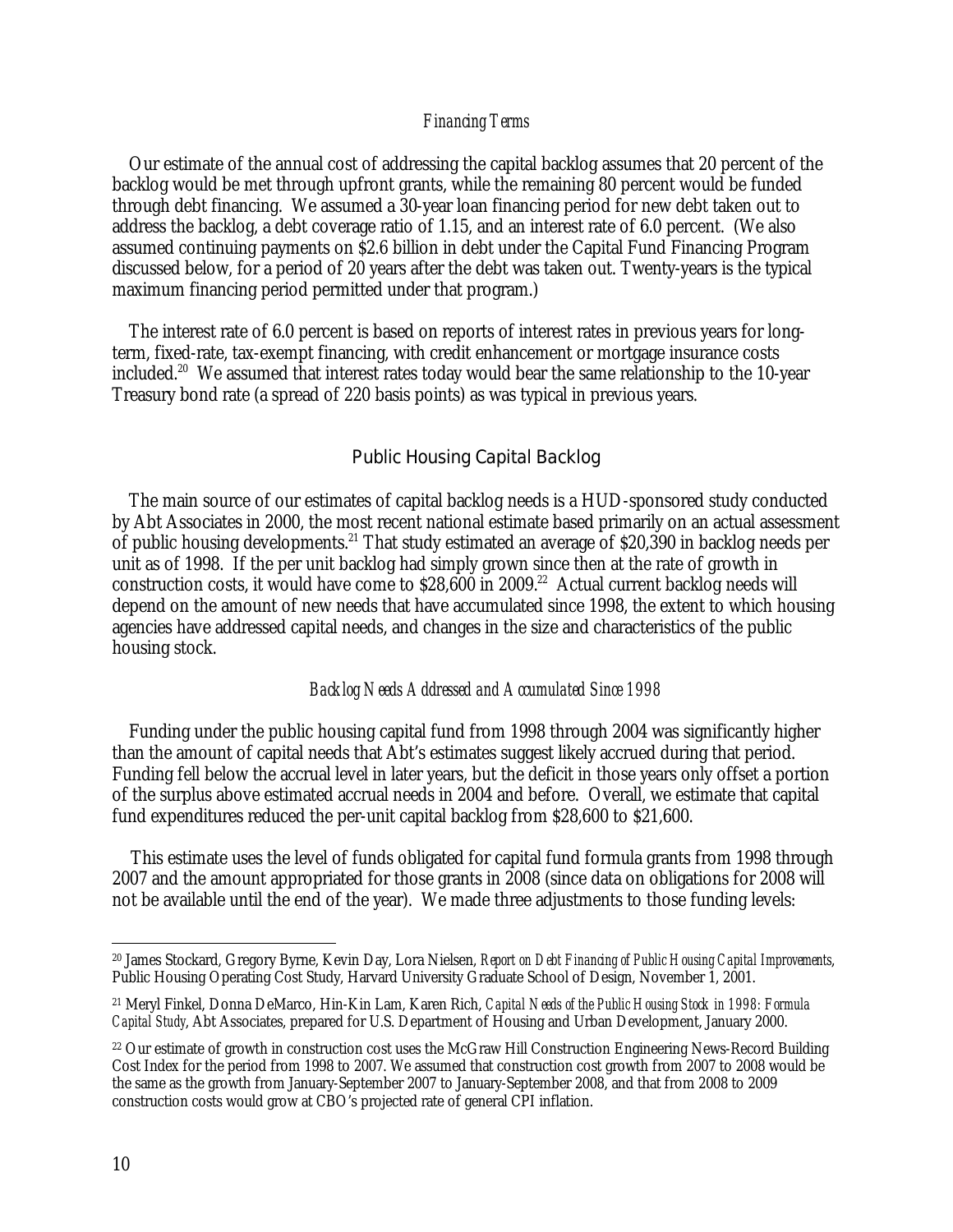#### *Financing Terms*

Our estimate of the annual cost of addressing the capital backlog assumes that 20 percent of the backlog would be met through upfront grants, while the remaining 80 percent would be funded through debt financing. We assumed a 30-year loan financing period for new debt taken out to address the backlog, a debt coverage ratio of 1.15, and an interest rate of 6.0 percent. (We also assumed continuing payments on \$2.6 billion in debt under the Capital Fund Financing Program discussed below, for a period of 20 years after the debt was taken out. Twenty-years is the typical maximum financing period permitted under that program.)

The interest rate of 6.0 percent is based on reports of interest rates in previous years for longterm, fixed-rate, tax-exempt financing, with credit enhancement or mortgage insurance costs included.<sup>20</sup> We assumed that interest rates today would bear the same relationship to the 10-year Treasury bond rate (a spread of 220 basis points) as was typical in previous years.

#### Public Housing Capital Backlog

The main source of our estimates of capital backlog needs is a HUD-sponsored study conducted by Abt Associates in 2000, the most recent national estimate based primarily on an actual assessment of public housing developments.21 That study estimated an average of \$20,390 in backlog needs per unit as of 1998. If the per unit backlog had simply grown since then at the rate of growth in construction costs, it would have come to  $$28,600$  in  $2009$ .<sup>22</sup> Actual current backlog needs will depend on the amount of new needs that have accumulated since 1998, the extent to which housing agencies have addressed capital needs, and changes in the size and characteristics of the public housing stock.

#### *Backlog Needs Addressed and Accumulated Since 1998*

Funding under the public housing capital fund from 1998 through 2004 was significantly higher than the amount of capital needs that Abt's estimates suggest likely accrued during that period. Funding fell below the accrual level in later years, but the deficit in those years only offset a portion of the surplus above estimated accrual needs in 2004 and before. Overall, we estimate that capital fund expenditures reduced the per-unit capital backlog from \$28,600 to \$21,600.

This estimate uses the level of funds obligated for capital fund formula grants from 1998 through 2007 and the amount appropriated for those grants in 2008 (since data on obligations for 2008 will not be available until the end of the year). We made three adjustments to those funding levels:

1

<sup>20</sup> James Stockard, Gregory Byrne, Kevin Day, Lora Nielsen, *Report on Debt Financing of Public Housing Capital Improvements*, Public Housing Operating Cost Study, Harvard University Graduate School of Design, November 1, 2001.

<sup>21</sup> Meryl Finkel, Donna DeMarco, Hin-Kin Lam, Karen Rich, *Capital Needs of the Public Housing Stock in 1998: Formula Capital Study*, Abt Associates, prepared for U.S. Department of Housing and Urban Development, January 2000.

<sup>&</sup>lt;sup>22</sup> Our estimate of growth in construction cost uses the McGraw Hill Construction Engineering News-Record Building Cost Index for the period from 1998 to 2007. We assumed that construction cost growth from 2007 to 2008 would be the same as the growth from January-September 2007 to January-September 2008, and that from 2008 to 2009 construction costs would grow at CBO's projected rate of general CPI inflation.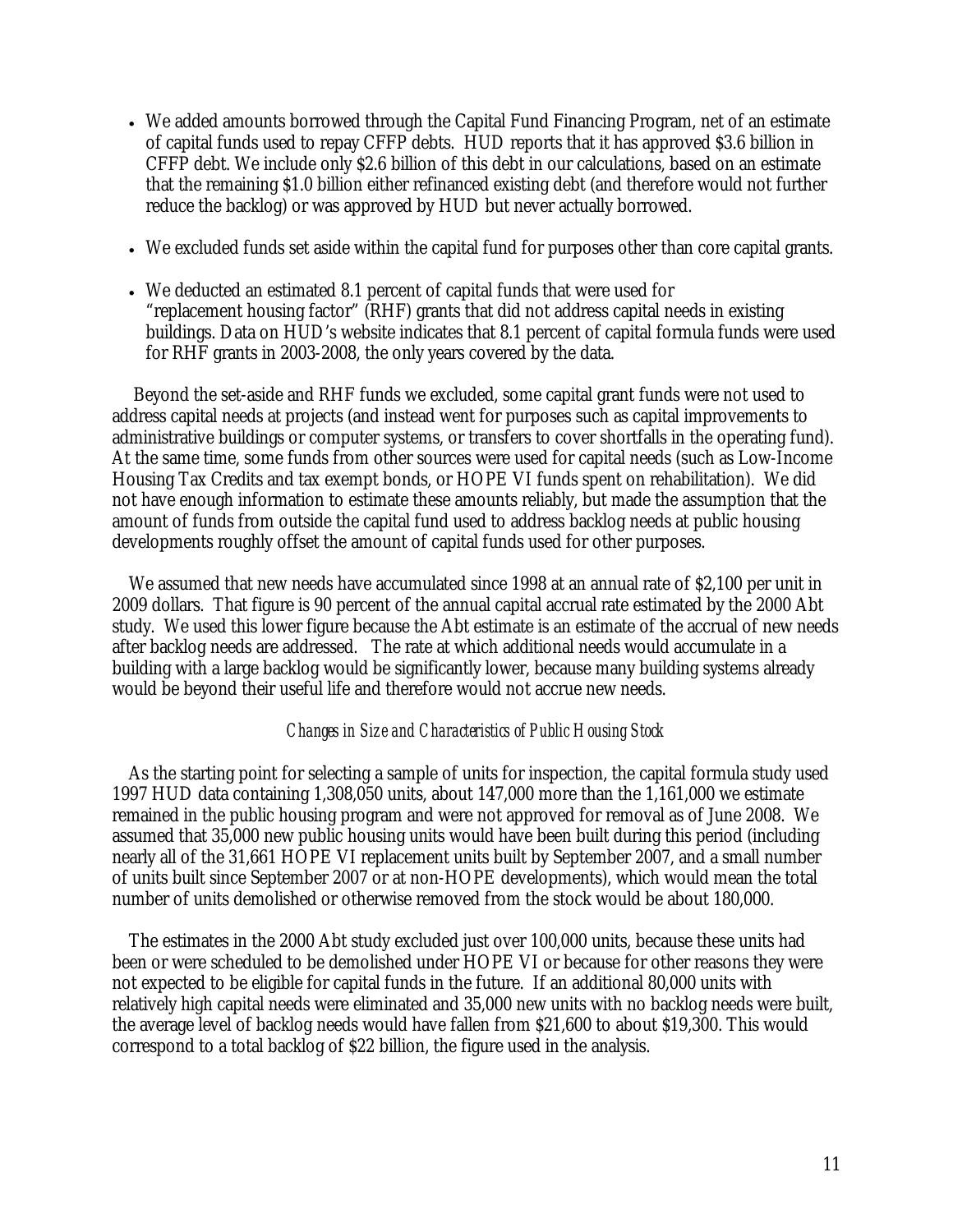- We added amounts borrowed through the Capital Fund Financing Program, net of an estimate of capital funds used to repay CFFP debts. HUD reports that it has approved \$3.6 billion in CFFP debt. We include only \$2.6 billion of this debt in our calculations, based on an estimate that the remaining \$1.0 billion either refinanced existing debt (and therefore would not further reduce the backlog) or was approved by HUD but never actually borrowed.
- We excluded funds set aside within the capital fund for purposes other than core capital grants.
- We deducted an estimated 8.1 percent of capital funds that were used for "replacement housing factor" (RHF) grants that did not address capital needs in existing buildings. Data on HUD's website indicates that 8.1 percent of capital formula funds were used for RHF grants in 2003-2008, the only years covered by the data.

Beyond the set-aside and RHF funds we excluded, some capital grant funds were not used to address capital needs at projects (and instead went for purposes such as capital improvements to administrative buildings or computer systems, or transfers to cover shortfalls in the operating fund). At the same time, some funds from other sources were used for capital needs (such as Low-Income Housing Tax Credits and tax exempt bonds, or HOPE VI funds spent on rehabilitation). We did not have enough information to estimate these amounts reliably, but made the assumption that the amount of funds from outside the capital fund used to address backlog needs at public housing developments roughly offset the amount of capital funds used for other purposes.

We assumed that new needs have accumulated since 1998 at an annual rate of \$2,100 per unit in 2009 dollars. That figure is 90 percent of the annual capital accrual rate estimated by the 2000 Abt study. We used this lower figure because the Abt estimate is an estimate of the accrual of new needs after backlog needs are addressed. The rate at which additional needs would accumulate in a building with a large backlog would be significantly lower, because many building systems already would be beyond their useful life and therefore would not accrue new needs.

#### *Changes in Size and Characteristics of Public Housing Stock*

As the starting point for selecting a sample of units for inspection, the capital formula study used 1997 HUD data containing 1,308,050 units, about 147,000 more than the 1,161,000 we estimate remained in the public housing program and were not approved for removal as of June 2008. We assumed that 35,000 new public housing units would have been built during this period (including nearly all of the 31,661 HOPE VI replacement units built by September 2007, and a small number of units built since September 2007 or at non-HOPE developments), which would mean the total number of units demolished or otherwise removed from the stock would be about 180,000.

The estimates in the 2000 Abt study excluded just over 100,000 units, because these units had been or were scheduled to be demolished under HOPE VI or because for other reasons they were not expected to be eligible for capital funds in the future. If an additional 80,000 units with relatively high capital needs were eliminated and 35,000 new units with no backlog needs were built, the average level of backlog needs would have fallen from \$21,600 to about \$19,300. This would correspond to a total backlog of \$22 billion, the figure used in the analysis.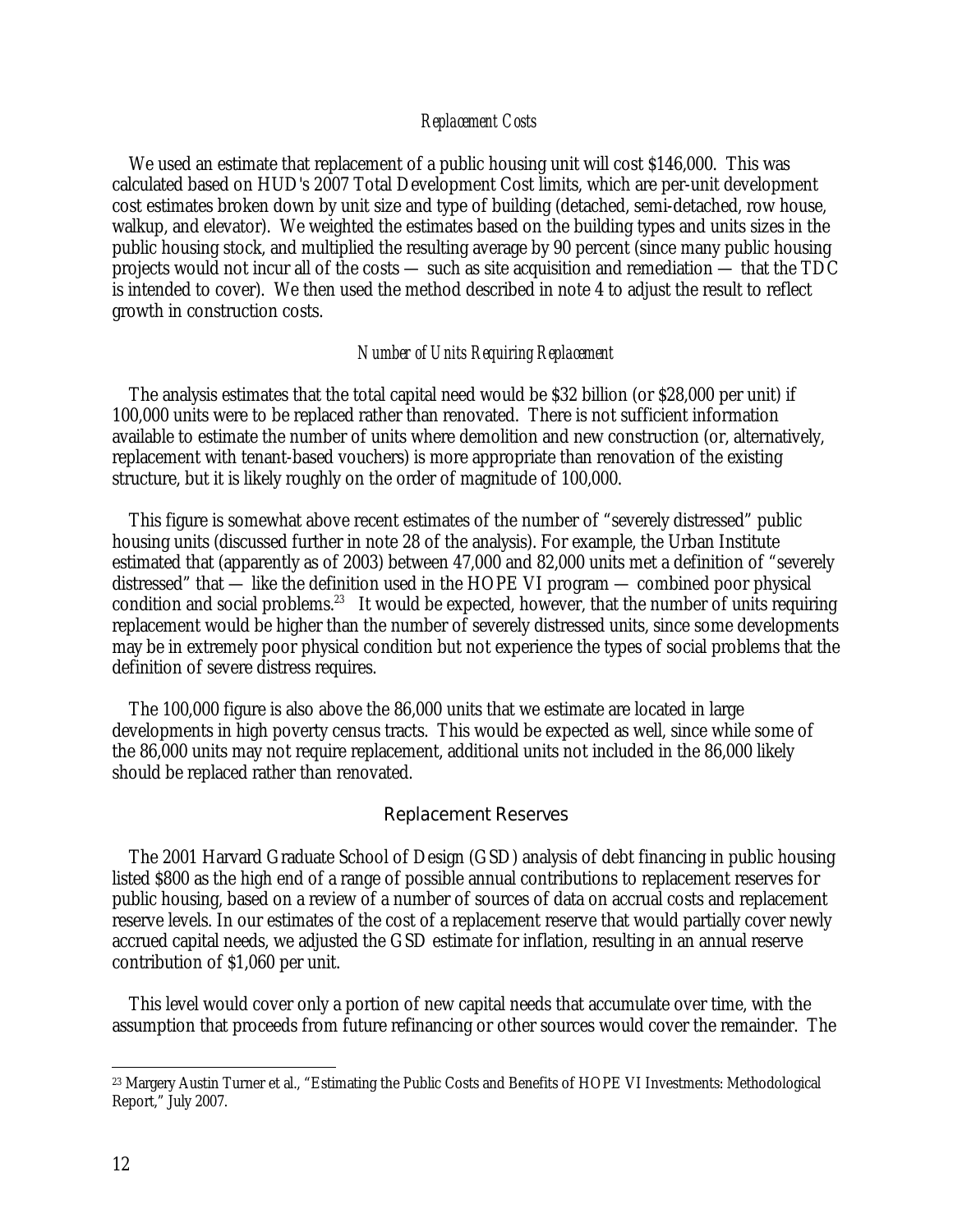#### *Replacement Costs*

We used an estimate that replacement of a public housing unit will cost \$146,000. This was calculated based on HUD's 2007 Total Development Cost limits, which are per-unit development cost estimates broken down by unit size and type of building (detached, semi-detached, row house, walkup, and elevator). We weighted the estimates based on the building types and units sizes in the public housing stock, and multiplied the resulting average by 90 percent (since many public housing projects would not incur all of the costs — such as site acquisition and remediation — that the TDC is intended to cover). We then used the method described in note 4 to adjust the result to reflect growth in construction costs.

#### *Number of Units Requiring Replacement*

The analysis estimates that the total capital need would be \$32 billion (or \$28,000 per unit) if 100,000 units were to be replaced rather than renovated. There is not sufficient information available to estimate the number of units where demolition and new construction (or, alternatively, replacement with tenant-based vouchers) is more appropriate than renovation of the existing structure, but it is likely roughly on the order of magnitude of 100,000.

This figure is somewhat above recent estimates of the number of "severely distressed" public housing units (discussed further in note 28 of the analysis). For example, the Urban Institute estimated that (apparently as of 2003) between 47,000 and 82,000 units met a definition of "severely distressed" that — like the definition used in the HOPE VI program — combined poor physical condition and social problems.<sup>23</sup> It would be expected, however, that the number of units requiring replacement would be higher than the number of severely distressed units, since some developments may be in extremely poor physical condition but not experience the types of social problems that the definition of severe distress requires.

The 100,000 figure is also above the 86,000 units that we estimate are located in large developments in high poverty census tracts. This would be expected as well, since while some of the 86,000 units may not require replacement, additional units not included in the 86,000 likely should be replaced rather than renovated.

#### Replacement Reserves

The 2001 Harvard Graduate School of Design (GSD) analysis of debt financing in public housing listed \$800 as the high end of a range of possible annual contributions to replacement reserves for public housing, based on a review of a number of sources of data on accrual costs and replacement reserve levels. In our estimates of the cost of a replacement reserve that would partially cover newly accrued capital needs, we adjusted the GSD estimate for inflation, resulting in an annual reserve contribution of \$1,060 per unit.

This level would cover only a portion of new capital needs that accumulate over time, with the assumption that proceeds from future refinancing or other sources would cover the remainder. The

 $\overline{a}$ 

<sup>23</sup> Margery Austin Turner et al., "Estimating the Public Costs and Benefits of HOPE VI Investments: Methodological Report," July 2007.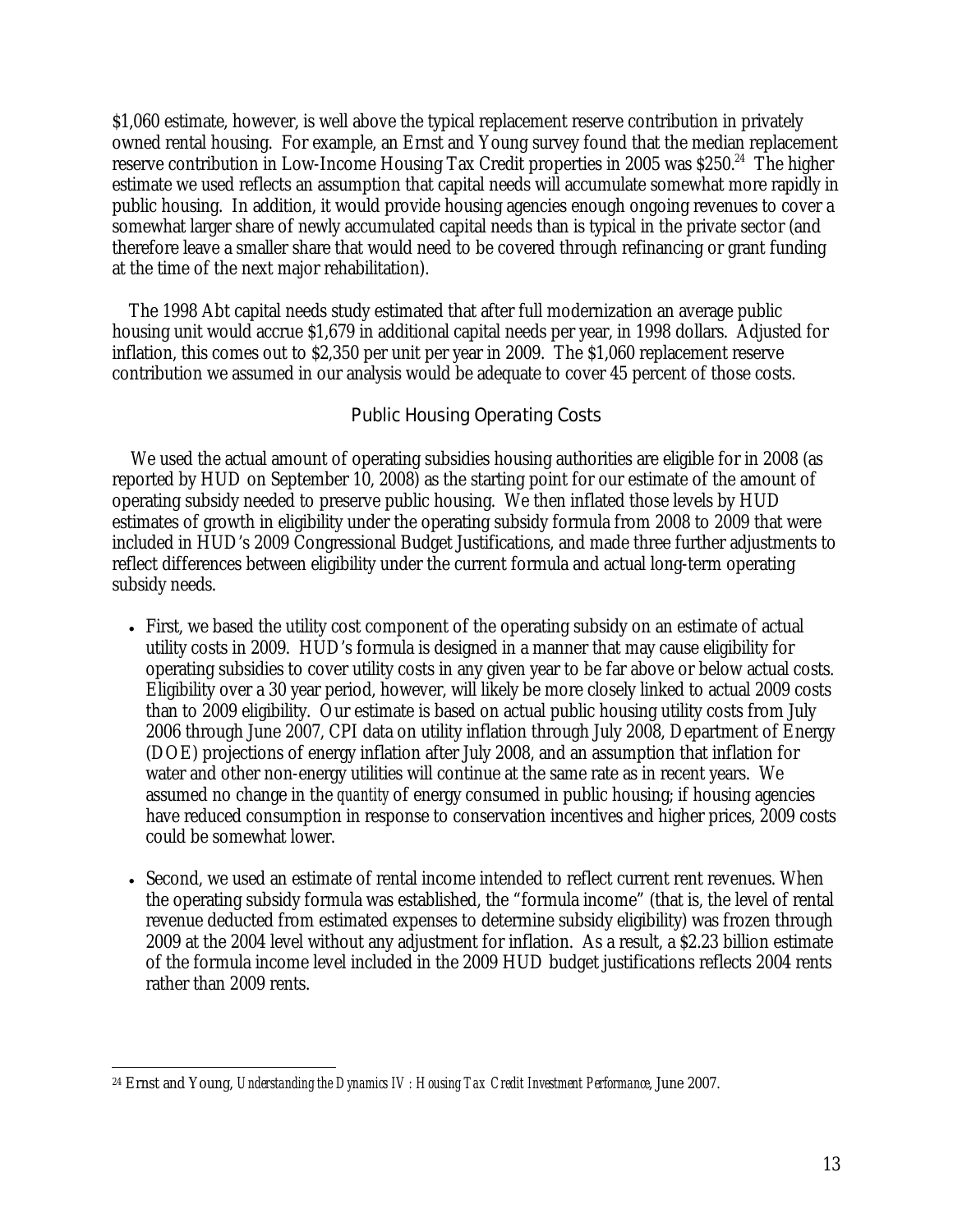\$1,060 estimate, however, is well above the typical replacement reserve contribution in privately owned rental housing. For example, an Ernst and Young survey found that the median replacement reserve contribution in Low-Income Housing Tax Credit properties in 2005 was \$250.<sup>24</sup> The higher estimate we used reflects an assumption that capital needs will accumulate somewhat more rapidly in public housing. In addition, it would provide housing agencies enough ongoing revenues to cover a somewhat larger share of newly accumulated capital needs than is typical in the private sector (and therefore leave a smaller share that would need to be covered through refinancing or grant funding at the time of the next major rehabilitation).

The 1998 Abt capital needs study estimated that after full modernization an average public housing unit would accrue \$1,679 in additional capital needs per year, in 1998 dollars. Adjusted for inflation, this comes out to \$2,350 per unit per year in 2009. The \$1,060 replacement reserve contribution we assumed in our analysis would be adequate to cover 45 percent of those costs.

#### Public Housing Operating Costs

We used the actual amount of operating subsidies housing authorities are eligible for in 2008 (as reported by HUD on September 10, 2008) as the starting point for our estimate of the amount of operating subsidy needed to preserve public housing. We then inflated those levels by HUD estimates of growth in eligibility under the operating subsidy formula from 2008 to 2009 that were included in HUD's 2009 Congressional Budget Justifications, and made three further adjustments to reflect differences between eligibility under the current formula and actual long-term operating subsidy needs.

- First, we based the utility cost component of the operating subsidy on an estimate of actual utility costs in 2009. HUD's formula is designed in a manner that may cause eligibility for operating subsidies to cover utility costs in any given year to be far above or below actual costs. Eligibility over a 30 year period, however, will likely be more closely linked to actual 2009 costs than to 2009 eligibility. Our estimate is based on actual public housing utility costs from July 2006 through June 2007, CPI data on utility inflation through July 2008, Department of Energy (DOE) projections of energy inflation after July 2008, and an assumption that inflation for water and other non-energy utilities will continue at the same rate as in recent years. We assumed no change in the *quantity* of energy consumed in public housing; if housing agencies have reduced consumption in response to conservation incentives and higher prices, 2009 costs could be somewhat lower.
- Second, we used an estimate of rental income intended to reflect current rent revenues. When the operating subsidy formula was established, the "formula income" (that is, the level of rental revenue deducted from estimated expenses to determine subsidy eligibility) was frozen through 2009 at the 2004 level without any adjustment for inflation. As a result, a \$2.23 billion estimate of the formula income level included in the 2009 HUD budget justifications reflects 2004 rents rather than 2009 rents.

 $\overline{a}$ 24 Ernst and Young, *Understanding the Dynamics IV: Housing Tax Credit Investment Performance*, June 2007.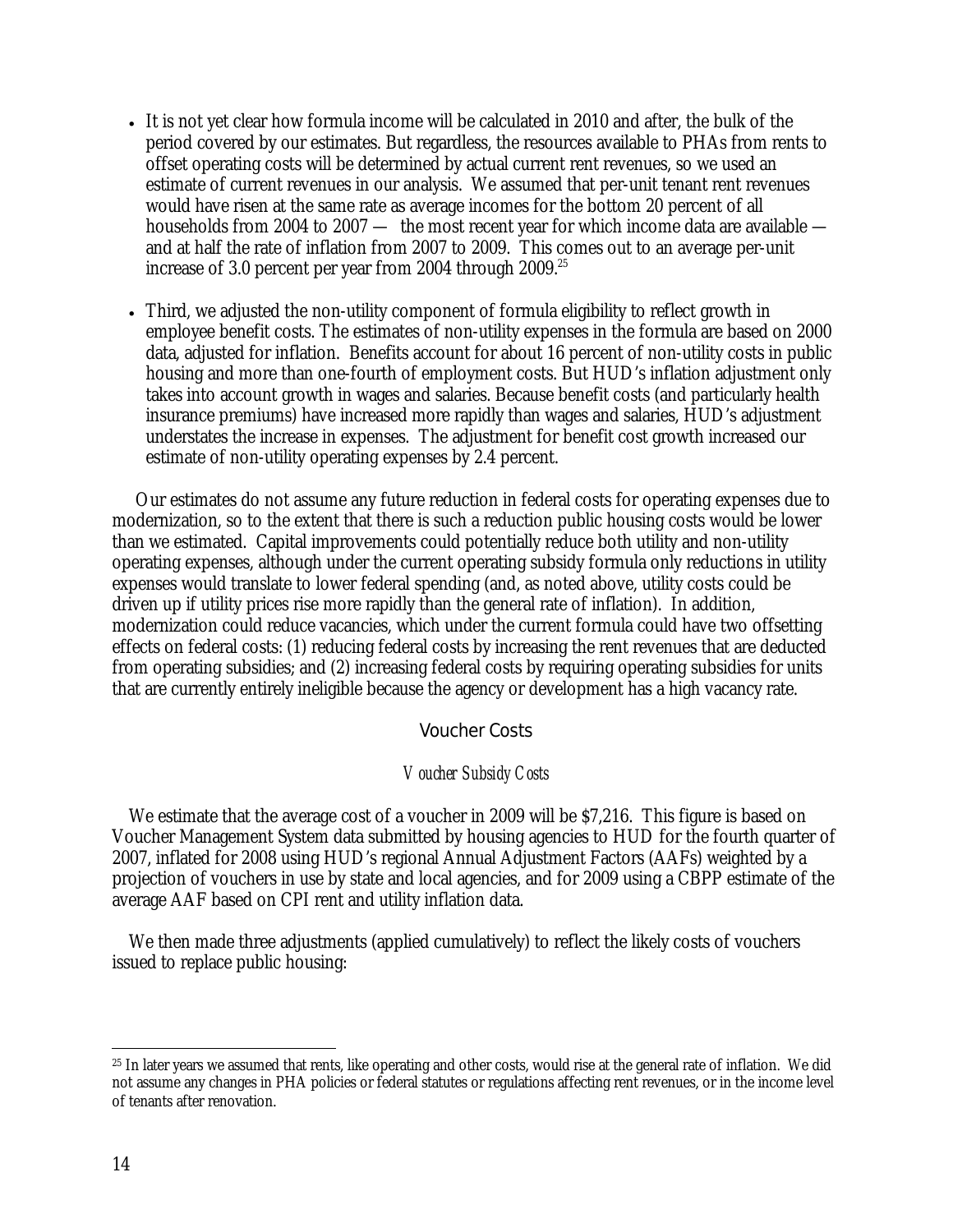- It is not yet clear how formula income will be calculated in 2010 and after, the bulk of the period covered by our estimates. But regardless, the resources available to PHAs from rents to offset operating costs will be determined by actual current rent revenues, so we used an estimate of current revenues in our analysis. We assumed that per-unit tenant rent revenues would have risen at the same rate as average incomes for the bottom 20 percent of all households from 2004 to 2007 — the most recent year for which income data are available and at half the rate of inflation from 2007 to 2009. This comes out to an average per-unit increase of 3.0 percent per year from 2004 through  $2009$ <sup>25</sup>
- Third, we adjusted the non-utility component of formula eligibility to reflect growth in employee benefit costs. The estimates of non-utility expenses in the formula are based on 2000 data, adjusted for inflation. Benefits account for about 16 percent of non-utility costs in public housing and more than one-fourth of employment costs. But HUD's inflation adjustment only takes into account growth in wages and salaries. Because benefit costs (and particularly health insurance premiums) have increased more rapidly than wages and salaries, HUD's adjustment understates the increase in expenses. The adjustment for benefit cost growth increased our estimate of non-utility operating expenses by 2.4 percent.

 Our estimates do not assume any future reduction in federal costs for operating expenses due to modernization, so to the extent that there is such a reduction public housing costs would be lower than we estimated. Capital improvements could potentially reduce both utility and non-utility operating expenses, although under the current operating subsidy formula only reductions in utility expenses would translate to lower federal spending (and, as noted above, utility costs could be driven up if utility prices rise more rapidly than the general rate of inflation). In addition, modernization could reduce vacancies, which under the current formula could have two offsetting effects on federal costs: (1) reducing federal costs by increasing the rent revenues that are deducted from operating subsidies; and (2) increasing federal costs by requiring operating subsidies for units that are currently entirely ineligible because the agency or development has a high vacancy rate.

#### Voucher Costs

#### *Voucher Subsidy Costs*

We estimate that the average cost of a voucher in 2009 will be \$7,216. This figure is based on Voucher Management System data submitted by housing agencies to HUD for the fourth quarter of 2007, inflated for 2008 using HUD's regional Annual Adjustment Factors (AAFs) weighted by a projection of vouchers in use by state and local agencies, and for 2009 using a CBPP estimate of the average AAF based on CPI rent and utility inflation data.

We then made three adjustments (applied cumulatively) to reflect the likely costs of vouchers issued to replace public housing:

<u>.</u>

<sup>&</sup>lt;sup>25</sup> In later years we assumed that rents, like operating and other costs, would rise at the general rate of inflation. We did not assume any changes in PHA policies or federal statutes or regulations affecting rent revenues, or in the income level of tenants after renovation.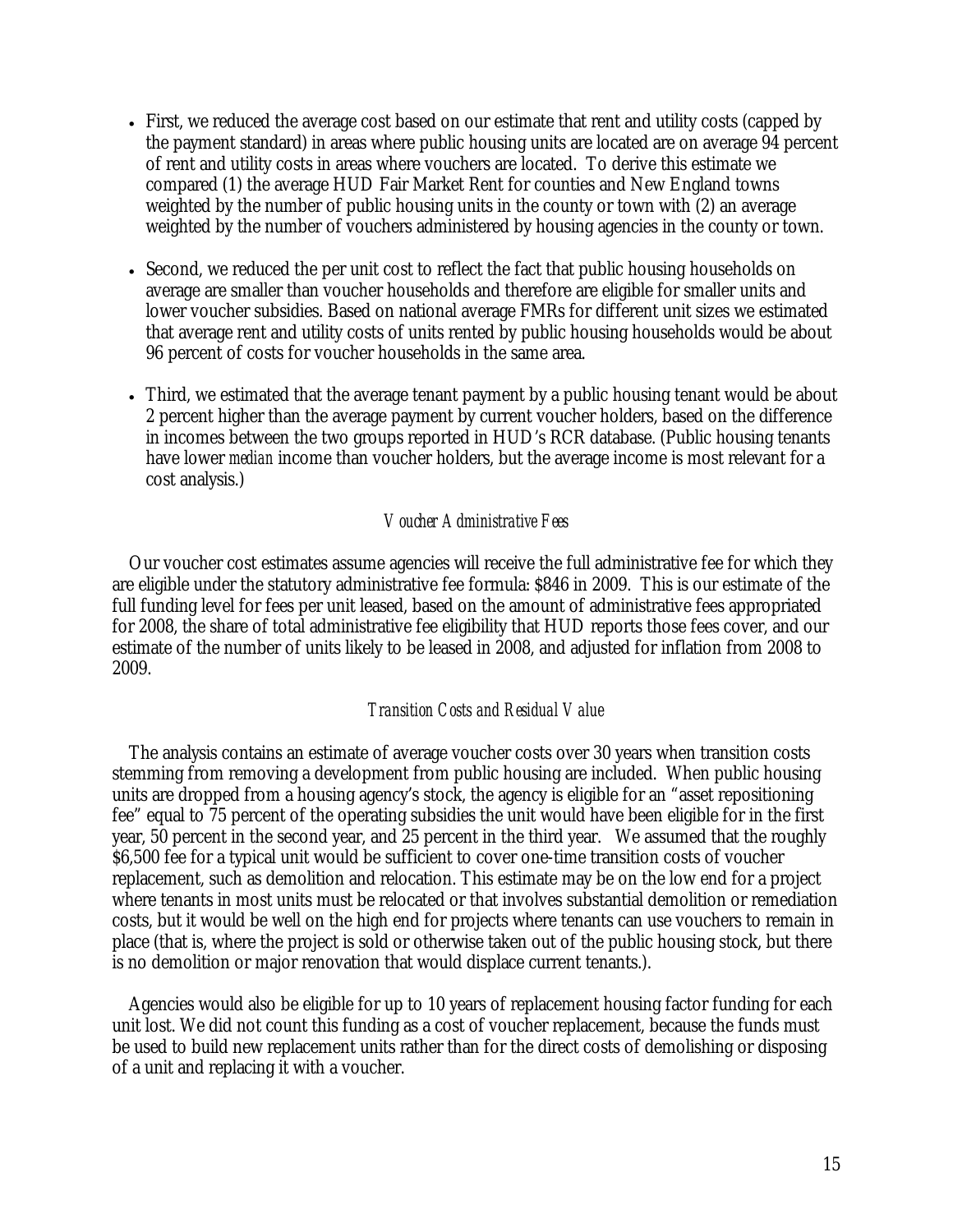- First, we reduced the average cost based on our estimate that rent and utility costs (capped by the payment standard) in areas where public housing units are located are on average 94 percent of rent and utility costs in areas where vouchers are located. To derive this estimate we compared (1) the average HUD Fair Market Rent for counties and New England towns weighted by the number of public housing units in the county or town with (2) an average weighted by the number of vouchers administered by housing agencies in the county or town.
- Second, we reduced the per unit cost to reflect the fact that public housing households on average are smaller than voucher households and therefore are eligible for smaller units and lower voucher subsidies. Based on national average FMRs for different unit sizes we estimated that average rent and utility costs of units rented by public housing households would be about 96 percent of costs for voucher households in the same area.
- Third, we estimated that the average tenant payment by a public housing tenant would be about 2 percent higher than the average payment by current voucher holders, based on the difference in incomes between the two groups reported in HUD's RCR database. (Public housing tenants have lower *median* income than voucher holders, but the average income is most relevant for a cost analysis.)

#### *Voucher Administrative Fees*

Our voucher cost estimates assume agencies will receive the full administrative fee for which they are eligible under the statutory administrative fee formula: \$846 in 2009. This is our estimate of the full funding level for fees per unit leased, based on the amount of administrative fees appropriated for 2008, the share of total administrative fee eligibility that HUD reports those fees cover, and our estimate of the number of units likely to be leased in 2008, and adjusted for inflation from 2008 to 2009.

#### *Transition Costs and Residual Value*

The analysis contains an estimate of average voucher costs over 30 years when transition costs stemming from removing a development from public housing are included. When public housing units are dropped from a housing agency's stock, the agency is eligible for an "asset repositioning fee" equal to 75 percent of the operating subsidies the unit would have been eligible for in the first year, 50 percent in the second year, and 25 percent in the third year. We assumed that the roughly \$6,500 fee for a typical unit would be sufficient to cover one-time transition costs of voucher replacement, such as demolition and relocation. This estimate may be on the low end for a project where tenants in most units must be relocated or that involves substantial demolition or remediation costs, but it would be well on the high end for projects where tenants can use vouchers to remain in place (that is, where the project is sold or otherwise taken out of the public housing stock, but there is no demolition or major renovation that would displace current tenants.).

Agencies would also be eligible for up to 10 years of replacement housing factor funding for each unit lost. We did not count this funding as a cost of voucher replacement, because the funds must be used to build new replacement units rather than for the direct costs of demolishing or disposing of a unit and replacing it with a voucher.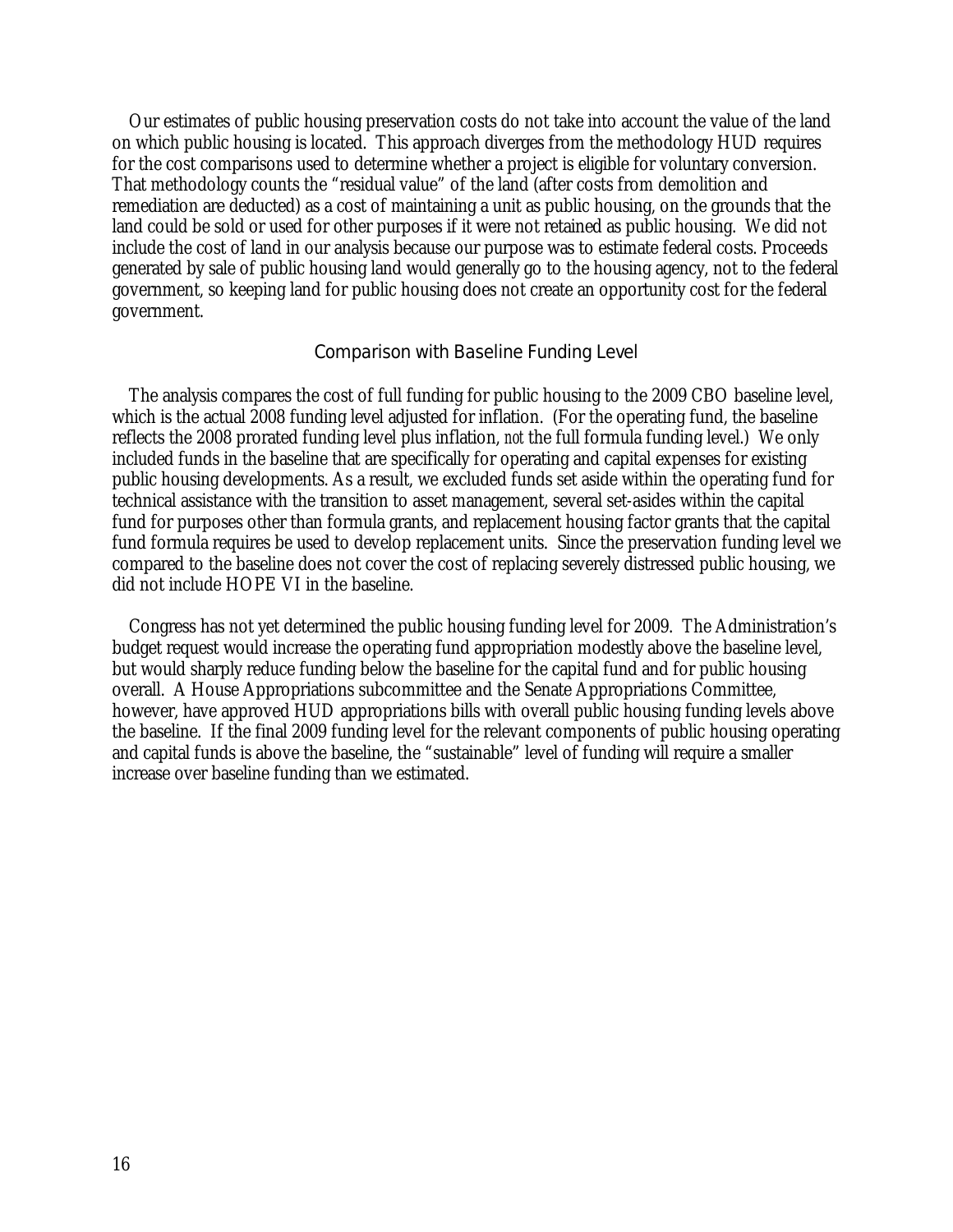Our estimates of public housing preservation costs do not take into account the value of the land on which public housing is located. This approach diverges from the methodology HUD requires for the cost comparisons used to determine whether a project is eligible for voluntary conversion. That methodology counts the "residual value" of the land (after costs from demolition and remediation are deducted) as a cost of maintaining a unit as public housing, on the grounds that the land could be sold or used for other purposes if it were not retained as public housing. We did not include the cost of land in our analysis because our purpose was to estimate federal costs. Proceeds generated by sale of public housing land would generally go to the housing agency, not to the federal government, so keeping land for public housing does not create an opportunity cost for the federal government.

#### Comparison with Baseline Funding Level

The analysis compares the cost of full funding for public housing to the 2009 CBO baseline level, which is the actual 2008 funding level adjusted for inflation. (For the operating fund, the baseline reflects the 2008 prorated funding level plus inflation, *not* the full formula funding level.) We only included funds in the baseline that are specifically for operating and capital expenses for existing public housing developments. As a result, we excluded funds set aside within the operating fund for technical assistance with the transition to asset management, several set-asides within the capital fund for purposes other than formula grants, and replacement housing factor grants that the capital fund formula requires be used to develop replacement units. Since the preservation funding level we compared to the baseline does not cover the cost of replacing severely distressed public housing, we did not include HOPE VI in the baseline.

Congress has not yet determined the public housing funding level for 2009. The Administration's budget request would increase the operating fund appropriation modestly above the baseline level, but would sharply reduce funding below the baseline for the capital fund and for public housing overall. A House Appropriations subcommittee and the Senate Appropriations Committee, however, have approved HUD appropriations bills with overall public housing funding levels above the baseline. If the final 2009 funding level for the relevant components of public housing operating and capital funds is above the baseline, the "sustainable" level of funding will require a smaller increase over baseline funding than we estimated.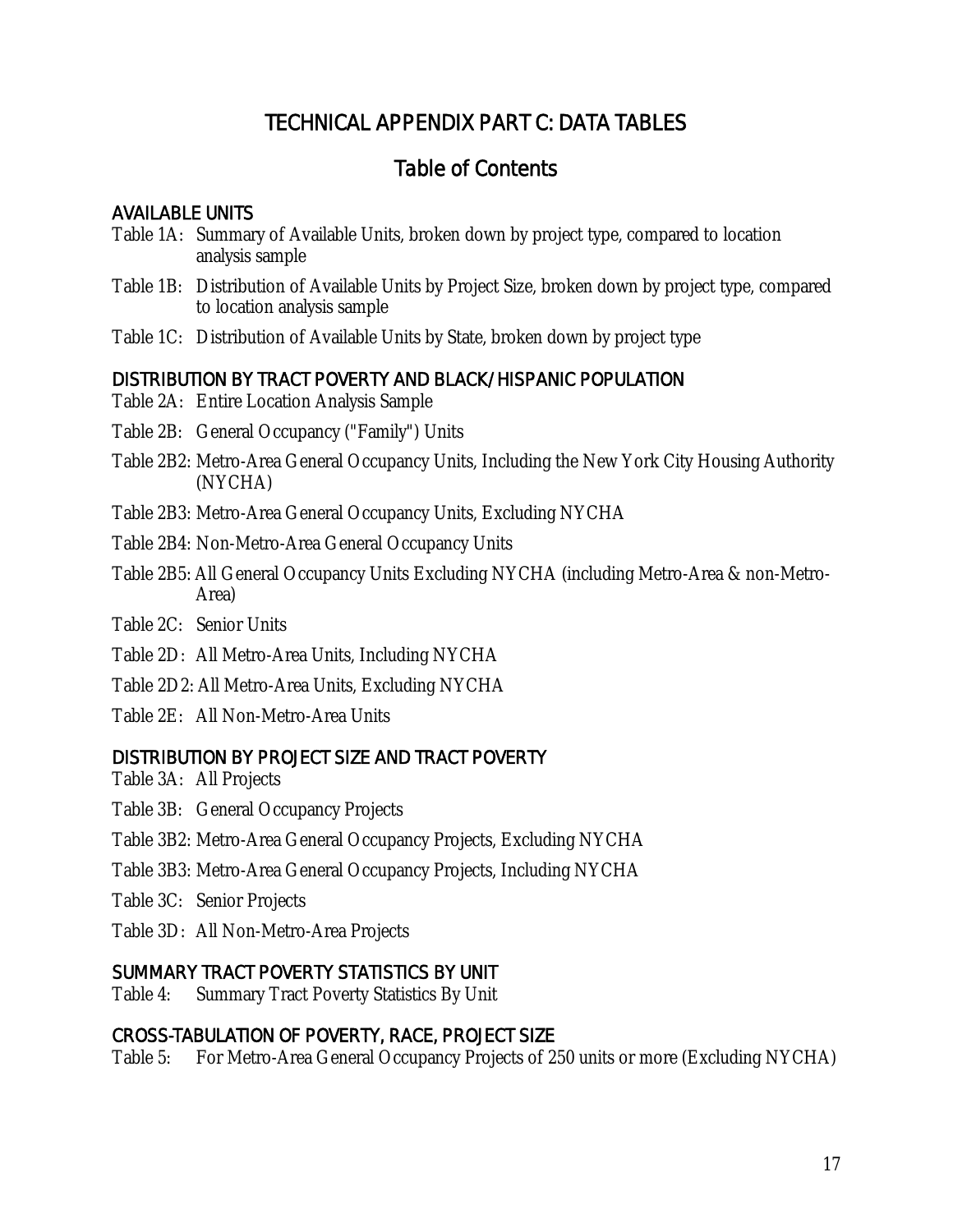# TECHNICAL APPENDIX PART C: DATA TABLES

# Table of Contents

# AVAILABLE UNITS

- Table 1A: Summary of Available Units, broken down by project type, compared to location analysis sample
- Table 1B: Distribution of Available Units by Project Size, broken down by project type, compared to location analysis sample
- Table 1C: Distribution of Available Units by State, broken down by project type

### DISTRIBUTION BY TRACT POVERTY AND BLACK/HISPANIC POPULATION

- Table 2A: Entire Location Analysis Sample
- Table 2B: General Occupancy ("Family") Units
- Table 2B2: Metro-Area General Occupancy Units, Including the New York City Housing Authority (NYCHA)
- Table 2B3: Metro-Area General Occupancy Units, Excluding NYCHA
- Table 2B4: Non-Metro-Area General Occupancy Units
- Table 2B5: All General Occupancy Units Excluding NYCHA (including Metro-Area & non-Metro-Area)
- Table 2C: Senior Units
- Table 2D: All Metro-Area Units, Including NYCHA
- Table 2D2: All Metro-Area Units, Excluding NYCHA
- Table 2E: All Non-Metro-Area Units

### DISTRIBUTION BY PROJECT SIZE AND TRACT POVERTY

- Table 3A: All Projects
- Table 3B: General Occupancy Projects
- Table 3B2: Metro-Area General Occupancy Projects, Excluding NYCHA
- Table 3B3: Metro-Area General Occupancy Projects, Including NYCHA
- Table 3C: Senior Projects
- Table 3D: All Non-Metro-Area Projects

### SUMMARY TRACT POVERTY STATISTICS BY UNIT

Table 4: Summary Tract Poverty Statistics By Unit

# CROSS-TABULATION OF POVERTY, RACE, PROJECT SIZE

Table 5: For Metro-Area General Occupancy Projects of 250 units or more (Excluding NYCHA)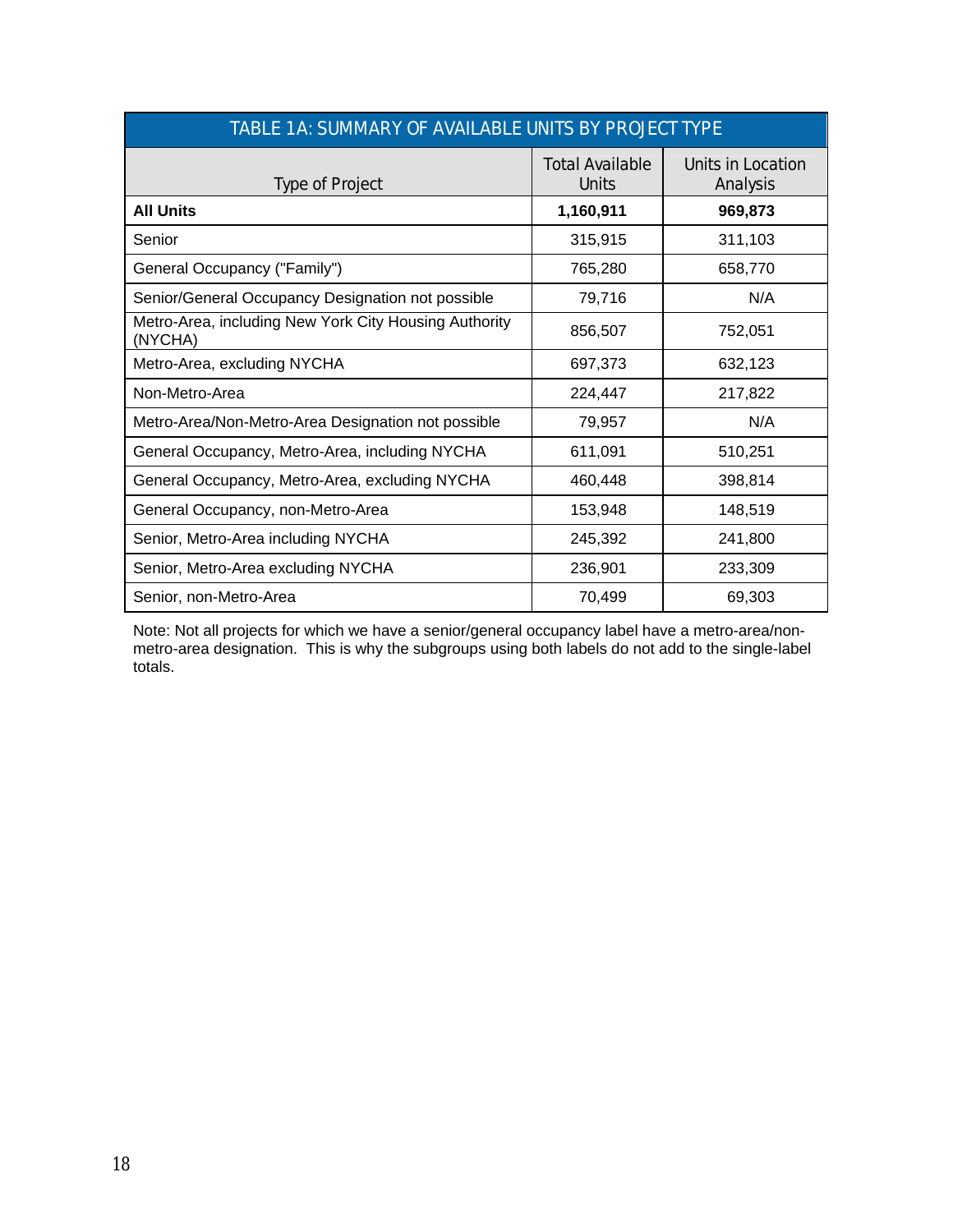| TABLE 1A: SUMMARY OF AVAILABLE UNITS BY PROJECT TYPE             |                                        |                               |  |  |  |  |  |  |  |
|------------------------------------------------------------------|----------------------------------------|-------------------------------|--|--|--|--|--|--|--|
| <b>Type of Project</b>                                           | <b>Total Available</b><br><b>Units</b> | Units in Location<br>Analysis |  |  |  |  |  |  |  |
| <b>All Units</b>                                                 | 1,160,911                              | 969,873                       |  |  |  |  |  |  |  |
| Senior                                                           | 315,915                                | 311,103                       |  |  |  |  |  |  |  |
| General Occupancy ("Family")                                     | 765,280                                | 658,770                       |  |  |  |  |  |  |  |
| Senior/General Occupancy Designation not possible                | 79,716                                 | N/A                           |  |  |  |  |  |  |  |
| Metro-Area, including New York City Housing Authority<br>(NYCHA) | 856,507                                | 752,051                       |  |  |  |  |  |  |  |
| Metro-Area, excluding NYCHA                                      | 697,373                                | 632,123                       |  |  |  |  |  |  |  |
| Non-Metro-Area                                                   | 224,447                                | 217,822                       |  |  |  |  |  |  |  |
| Metro-Area/Non-Metro-Area Designation not possible               | 79,957                                 | N/A                           |  |  |  |  |  |  |  |
| General Occupancy, Metro-Area, including NYCHA                   | 611,091                                | 510,251                       |  |  |  |  |  |  |  |
| General Occupancy, Metro-Area, excluding NYCHA                   | 460,448                                | 398,814                       |  |  |  |  |  |  |  |
| General Occupancy, non-Metro-Area                                | 153,948                                | 148,519                       |  |  |  |  |  |  |  |
| Senior, Metro-Area including NYCHA                               | 245,392                                | 241,800                       |  |  |  |  |  |  |  |
| Senior, Metro-Area excluding NYCHA                               | 236,901                                | 233,309                       |  |  |  |  |  |  |  |
| Senior, non-Metro-Area                                           | 70,499                                 | 69,303                        |  |  |  |  |  |  |  |

Note: Not all projects for which we have a senior/general occupancy label have a metro-area/nonmetro-area designation. This is why the subgroups using both labels do not add to the single-label totals.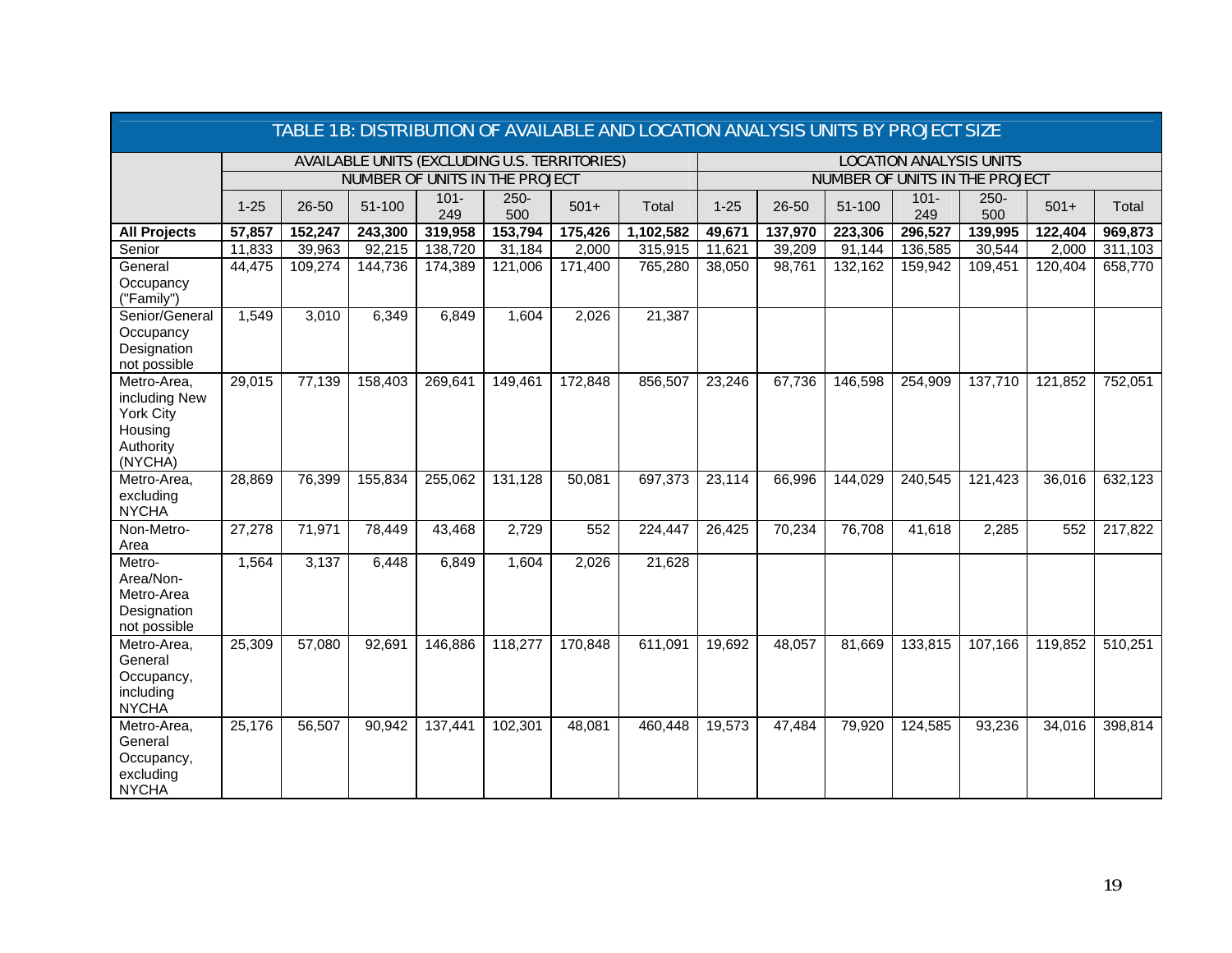|                                                                              | TABLE 1B: DISTRIBUTION OF AVAILABLE AND LOCATION ANALYSIS UNITS BY PROJECT SIZE |         |         |                                                     |                |         |           |          |         |         |                                |                                |         |         |
|------------------------------------------------------------------------------|---------------------------------------------------------------------------------|---------|---------|-----------------------------------------------------|----------------|---------|-----------|----------|---------|---------|--------------------------------|--------------------------------|---------|---------|
|                                                                              |                                                                                 |         |         | <b>AVAILABLE UNITS (EXCLUDING U.S. TERRITORIES)</b> |                |         |           |          |         |         | <b>LOCATION ANALYSIS UNITS</b> |                                |         |         |
|                                                                              |                                                                                 |         |         | <b>NUMBER OF UNITS IN THE PROJECT</b>               |                |         |           |          |         |         |                                | NUMBER OF UNITS IN THE PROJECT |         |         |
|                                                                              | $1 - 25$                                                                        | 26-50   | 51-100  | $101 -$<br>249                                      | $250 -$<br>500 | $501+$  | Total     | $1 - 25$ | 26-50   | 51-100  | $101 -$<br>249                 | $250 -$<br>500                 | $501+$  | Total   |
| <b>All Projects</b>                                                          | 57,857                                                                          | 152,247 | 243,300 | 319,958                                             | 153,794        | 175,426 | 1,102,582 | 49,671   | 137,970 | 223,306 | 296,527                        | 139,995                        | 122,404 | 969,873 |
| Senior                                                                       | 11,833                                                                          | 39,963  | 92,215  | 138,720                                             | 31,184         | 2,000   | 315,915   | 11,621   | 39,209  | 91,144  | 136,585                        | 30,544                         | 2,000   | 311,103 |
| General<br>Occupancy<br>("Family")                                           | 44,475                                                                          | 109,274 | 144,736 | 174,389                                             | 121,006        | 171,400 | 765,280   | 38,050   | 98,761  | 132,162 | 159,942                        | 109,451                        | 120,404 | 658,770 |
| Senior/General<br>Occupancy<br>Designation<br>not possible                   | 1,549                                                                           | 3,010   | 6,349   | 6,849                                               | 1,604          | 2,026   | 21,387    |          |         |         |                                |                                |         |         |
| Metro-Area,<br>including New<br>York City<br>Housing<br>Authority<br>(NYCHA) | 29,015                                                                          | 77,139  | 158,403 | 269,641                                             | 149,461        | 172,848 | 856,507   | 23,246   | 67,736  | 146,598 | 254,909                        | 137,710                        | 121,852 | 752,051 |
| Metro-Area,<br>excluding<br><b>NYCHA</b>                                     | 28,869                                                                          | 76,399  | 155,834 | 255,062                                             | 131,128        | 50,081  | 697,373   | 23,114   | 66,996  | 144,029 | 240,545                        | 121,423                        | 36,016  | 632,123 |
| Non-Metro-<br>Area                                                           | 27,278                                                                          | 71,971  | 78,449  | 43,468                                              | 2,729          | 552     | 224,447   | 26,425   | 70,234  | 76,708  | $\overline{4}1,618$            | 2,285                          | 552     | 217,822 |
| Metro-<br>Area/Non-<br>Metro-Area<br>Designation<br>not possible             | 1,564                                                                           | 3,137   | 6,448   | 6,849                                               | 1,604          | 2,026   | 21,628    |          |         |         |                                |                                |         |         |
| Metro-Area,<br>General<br>Occupancy,<br>including<br><b>NYCHA</b>            | 25,309                                                                          | 57,080  | 92,691  | 146,886                                             | 118,277        | 170,848 | 611,091   | 19,692   | 48,057  | 81,669  | 133,815                        | 107,166                        | 119,852 | 510,251 |
| Metro-Area,<br>General<br>Occupancy,<br>excluding<br><b>NYCHA</b>            | 25,176                                                                          | 56,507  | 90,942  | 137,441                                             | 102,301        | 48,081  | 460,448   | 19,573   | 47,484  | 79,920  | 124,585                        | 93,236                         | 34,016  | 398,814 |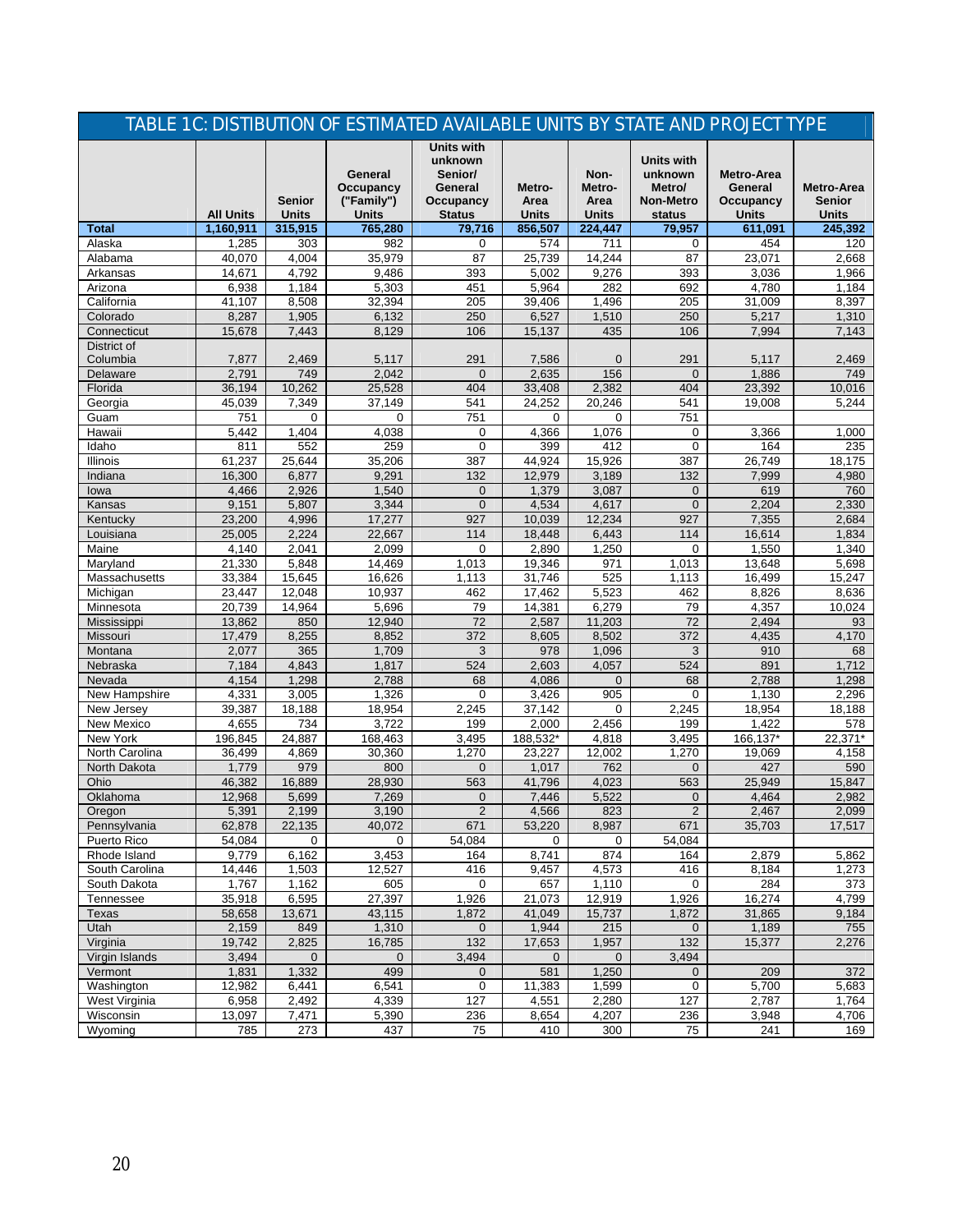|                                |                  |                               |                                                    | TABLE 1C: DISTIBUTION OF ESTIMATED AVAILABLE UNITS BY STATE AND PROJECT TYPE     |                                |                                        |                                                                      |                                                    |                                             |
|--------------------------------|------------------|-------------------------------|----------------------------------------------------|----------------------------------------------------------------------------------|--------------------------------|----------------------------------------|----------------------------------------------------------------------|----------------------------------------------------|---------------------------------------------|
|                                | <b>All Units</b> | <b>Senior</b><br><b>Units</b> | General<br>Occupancy<br>("Family")<br><b>Units</b> | <b>Units with</b><br>unknown<br>Senior/<br>General<br>Occupancy<br><b>Status</b> | Metro-<br>Area<br><b>Units</b> | Non-<br>Metro-<br>Area<br><b>Units</b> | <b>Units with</b><br>unknown<br>Metro/<br><b>Non-Metro</b><br>status | <b>Metro-Area</b><br>General<br>Occupancy<br>Units | Metro-Area<br><b>Senior</b><br><b>Units</b> |
| <b>Total</b>                   | 1,160,911        | 315,915                       | 765,280                                            | 79,716                                                                           | 856,507                        | 224,447                                | 79,957                                                               | 611,091                                            | 245,392                                     |
| Alaska                         | 1,285            | 303                           | 982                                                | 0                                                                                | 574                            | 711                                    | 0                                                                    | 454                                                | 120                                         |
| Alabama                        | 40,070           | 4,004                         | 35,979                                             | 87                                                                               | 25,739                         | 14,244                                 | 87                                                                   | 23,071                                             | 2,668                                       |
| Arkansas                       | 14.671           | 4,792                         | 9,486                                              | 393                                                                              | 5,002                          | 9,276                                  | 393                                                                  | 3,036                                              | 1,966                                       |
| Arizona                        | 6,938            | 1,184                         | 5,303                                              | 451                                                                              | 5,964                          | 282                                    | 692                                                                  | 4,780                                              | 1,184                                       |
| California                     | 41,107           | 8,508                         | 32,394                                             | 205                                                                              | 39,406                         | 1,496                                  | 205                                                                  | 31,009                                             | 8,397                                       |
| Colorado                       | 8,287            | 1,905                         | 6,132                                              | 250                                                                              | 6,527                          | 1,510                                  | 250                                                                  | 5,217                                              | 1,310                                       |
| Connecticut                    | 15,678           | 7.443                         | 8,129                                              | 106                                                                              | 15,137                         | 435                                    | 106                                                                  | 7.994                                              | 7.143                                       |
| District of                    |                  |                               |                                                    |                                                                                  |                                |                                        |                                                                      |                                                    |                                             |
| Columbia                       | 7,877            | 2,469<br>749                  | 5,117                                              | 291                                                                              | 7,586                          | $\overline{0}$                         | 291                                                                  | 5,117                                              | 2,469                                       |
| Delaware                       | 2,791            |                               | 2,042                                              | $\mathbf{0}$                                                                     | 2,635                          | 156                                    | $\mathbf{0}$                                                         | 1,886                                              | 749                                         |
| Florida                        | 36,194<br>45,039 | 10,262<br>7,349               | 25,528<br>37,149                                   | 404<br>541                                                                       | 33,408<br>24,252               | 2,382<br>20,246                        | 404<br>541                                                           | 23,392<br>19,008                                   | 10,016<br>5,244                             |
| Georgia<br>Guam                | 751              | 0                             | $\Omega$                                           | 751                                                                              | 0                              | $\Omega$                               | 751                                                                  |                                                    |                                             |
| Hawaii                         | 5,442            | 1,404                         | 4,038                                              | $\mathbf 0$                                                                      | 4,366                          | 1,076                                  | 0                                                                    | 3,366                                              | 1,000                                       |
| Idaho                          | 811              | 552                           | 259                                                | $\mathbf 0$                                                                      | 399                            | 412                                    | 0                                                                    | 164                                                | 235                                         |
| <b>Illinois</b>                | 61.237           | 25.644                        | 35,206                                             | 387                                                                              | 44,924                         | 15,926                                 | 387                                                                  | 26,749                                             | 18,175                                      |
| Indiana                        | 16,300           | 6,877                         | 9,291                                              | 132                                                                              | 12,979                         | 3,189                                  | 132                                                                  | 7,999                                              | 4,980                                       |
| lowa                           | 4,466            | 2,926                         | 1,540                                              | $\mathbf{0}$                                                                     | 1,379                          | 3,087                                  | $\mathbf{0}$                                                         | 619                                                | 760                                         |
| Kansas                         | 9,151            | 5,807                         | 3,344                                              | $\mathbf 0$                                                                      | 4,534                          | 4,617                                  | $\mathbf{0}$                                                         | 2,204                                              | 2,330                                       |
| Kentucky                       | 23,200           | 4,996                         | 17,277                                             | 927                                                                              | 10,039                         | 12,234                                 | 927                                                                  | 7,355                                              | 2,684                                       |
| Louisiana                      | 25,005           | 2,224                         | 22,667                                             | 114                                                                              | 18,448                         | 6,443                                  | 114                                                                  | 16,614                                             | 1,834                                       |
| Maine                          | 4,140            | 2,041                         | 2,099                                              | $\mathbf 0$                                                                      | 2,890                          | 1,250                                  | $\Omega$                                                             | 1,550                                              | 1,340                                       |
| Maryland                       | 21.330           | 5,848                         | 14,469                                             | 1,013                                                                            | 19,346                         | 971                                    | 1,013                                                                | 13,648                                             | 5,698                                       |
| Massachusetts                  | 33,384           | 15,645                        | 16,626                                             | 1,113                                                                            | 31,746                         | 525                                    | 1,113                                                                | 16,499                                             | 15,247                                      |
| Michigan                       | 23,447           | 12,048                        | 10,937                                             | 462                                                                              | 17,462                         | 5,523                                  | 462                                                                  | 8.826                                              | 8,636                                       |
| Minnesota                      | 20,739           | 14,964                        | 5,696                                              | 79                                                                               | 14,381                         | 6,279                                  | 79                                                                   | 4,357                                              | 10,024                                      |
| Mississippi                    | 13,862           | 850                           | 12,940                                             | 72                                                                               | 2,587                          | 11,203                                 | 72                                                                   | 2,494                                              | 93                                          |
| Missouri                       | 17,479           | 8,255                         | 8,852                                              | 372                                                                              | 8,605                          | 8,502                                  | 372                                                                  | 4,435                                              | 4,170                                       |
| Montana                        | 2,077            | 365                           | 1,709                                              | 3                                                                                | 978                            | 1,096                                  | 3                                                                    | 910                                                | 68                                          |
| Nebraska                       | 7,184            | 4,843                         | 1,817                                              | 524                                                                              | 2,603                          | 4,057                                  | 524                                                                  | 891                                                | 1,712                                       |
| Nevada                         | 4,154            | 1,298                         | 2,788                                              | 68                                                                               | 4,086                          | $\mathbf{0}$                           | 68                                                                   | 2,788                                              | 1,298                                       |
| New Hampshire                  | 4,331            | 3,005                         | 1,326                                              | $\mathbf 0$                                                                      | 3,426                          | 905                                    | 0                                                                    | 1,130                                              | 2,296                                       |
| New Jersey                     | 39,387           | 18,188                        | 18,954                                             | 2,245                                                                            | 37,142                         | $\mathbf 0$                            | 2,245                                                                | 18,954                                             | 18,188                                      |
| New Mexico                     | 4,655            | 734                           | 3,722                                              | 199                                                                              | 2,000                          | 2,456                                  | 199                                                                  | 1.422                                              | 578                                         |
| New York                       | 196,845          | 24,887                        | 168,463                                            | 3,495                                                                            | 188,532*                       | 4,818                                  | 3,495                                                                | 166,137*                                           | 22,371*                                     |
| North Carolina                 | 36,499           | 4,869                         | 30,360                                             | 1,270                                                                            | 23.227                         | 12,002                                 | 1,270                                                                | 19,069                                             | 4,158                                       |
| North Dakota                   | 1,779            | 979                           | 800                                                | $\overline{0}$                                                                   | 1.017                          | 762                                    | $\overline{0}$                                                       | 427                                                | 590                                         |
| Ohio                           | 46,382           | 16,889                        | 28,930                                             | 563                                                                              | 41,796                         | 4,023                                  | 563                                                                  | 25,949                                             | 15,847                                      |
| Oklahoma                       | 12,968           | 5,699                         | 7,269                                              | 0                                                                                | 7,446                          | 5,522                                  | $\overline{0}$                                                       | 4,464                                              | 2,982                                       |
| Oregon                         | 5,391            | 2,199                         | 3,190                                              | $\overline{2}$                                                                   | 4,566                          | 823                                    | $\overline{2}$                                                       | 2,467                                              | 2,099                                       |
| Pennsylvania                   | 62,878           | 22,135                        | 40,072                                             | 671                                                                              | 53,220                         | 8,987                                  | 671                                                                  | 35.703                                             | 17,517                                      |
| Puerto Rico                    | 54,084<br>9,779  | 0<br>6,162                    | 0<br>3,453                                         | 54,084<br>164                                                                    | 0<br>8,741                     | 0<br>874                               | 54,084<br>164                                                        | 2,879                                              | 5,862                                       |
| Rhode Island<br>South Carolina | 14,446           | 1,503                         | 12,527                                             | 416                                                                              | 9,457                          | 4,573                                  | 416                                                                  | 8,184                                              | 1,273                                       |
| South Dakota                   | 1,767            | 1,162                         | 605                                                | 0                                                                                | 657                            | 1,110                                  | $\mathbf 0$                                                          | 284                                                | 373                                         |
| Tennessee                      | 35,918           | 6,595                         | 27,397                                             | 1,926                                                                            | 21,073                         | 12,919                                 | 1,926                                                                | 16,274                                             | 4,799                                       |
| Texas                          | 58,658           | 13,671                        | 43,115                                             | 1,872                                                                            | 41,049                         | 15,737                                 | 1,872                                                                | 31,865                                             | 9,184                                       |
| Utah                           | 2,159            | 849                           | 1,310                                              | $\mathbf 0$                                                                      | 1,944                          | 215                                    | $\mathbf 0$                                                          | 1,189                                              | 755                                         |
| Virginia                       | 19,742           | 2,825                         | 16,785                                             | 132                                                                              | 17,653                         | 1,957                                  | 132                                                                  | 15,377                                             | 2,276                                       |
| Virgin Islands                 | 3,494            | $\overline{0}$                | $\mathbf 0$                                        | 3,494                                                                            | $\mathbf{0}$                   | $\mathbf{0}$                           | 3,494                                                                |                                                    |                                             |
| Vermont                        | 1,831            | 1,332                         | 499                                                | $\mathbf 0$                                                                      | 581                            | 1,250                                  | $\mathbf 0$                                                          | 209                                                | 372                                         |
| Washington                     | 12,982           | 6,441                         | 6,541                                              | $\mathbf 0$                                                                      | 11,383                         | 1,599                                  | $\mathbf 0$                                                          | 5,700                                              | 5,683                                       |
| West Virginia                  | 6,958            | 2,492                         | 4,339                                              | 127                                                                              | 4,551                          | 2,280                                  | 127                                                                  | 2,787                                              | 1,764                                       |
| Wisconsin                      | 13,097           | 7,471                         | 5,390                                              | 236                                                                              | 8,654                          | 4,207                                  | 236                                                                  | 3,948                                              | 4,706                                       |
| Wyoming                        | 785              | 273                           | 437                                                | 75                                                                               | 410                            | 300                                    | 75                                                                   | 241                                                | 169                                         |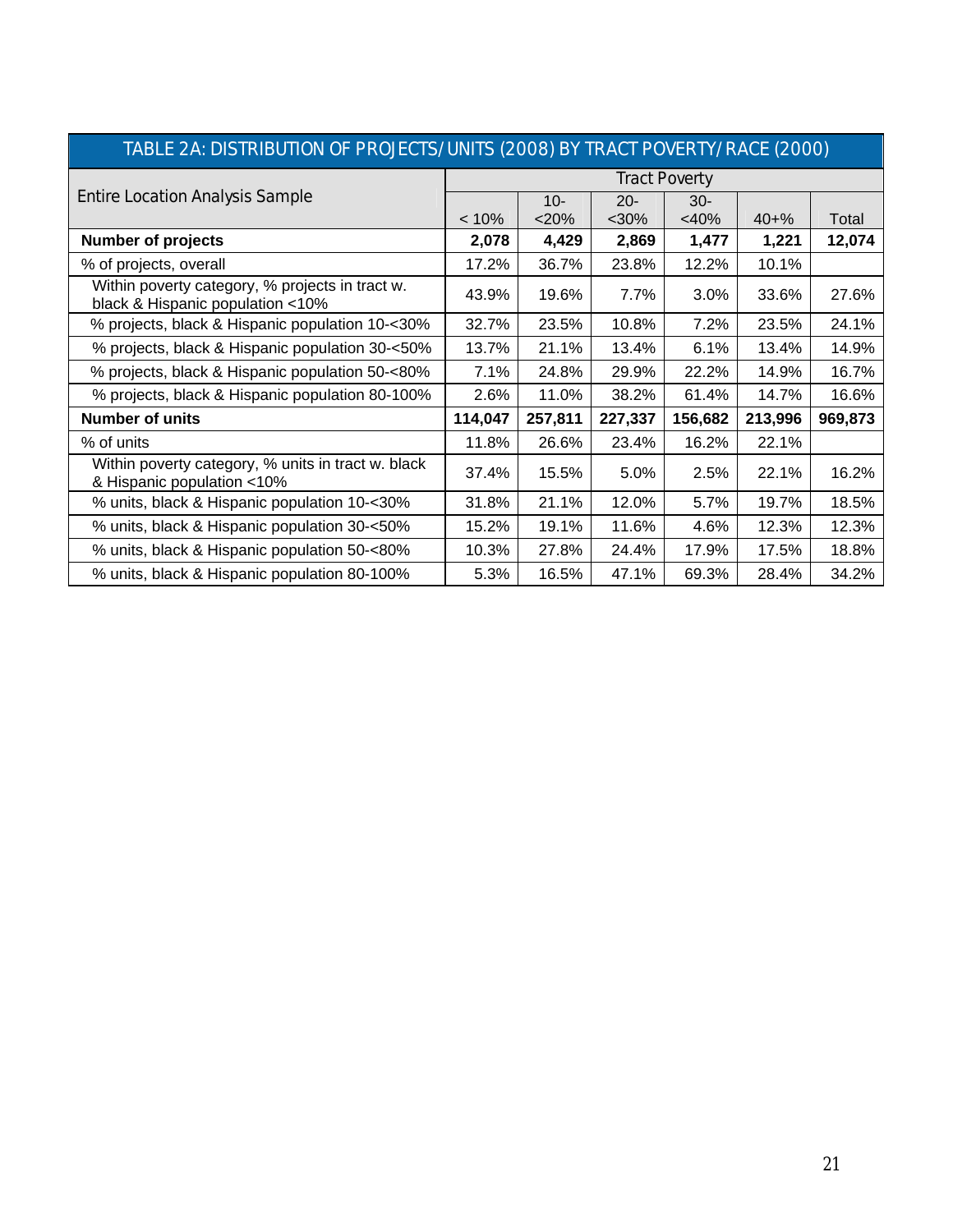| TABLE 2A: DISTRIBUTION OF PROJECTS/UNITS (2008) BY TRACT POVERTY/RACE (2000)        |                      |                   |                 |                   |           |         |  |  |  |  |
|-------------------------------------------------------------------------------------|----------------------|-------------------|-----------------|-------------------|-----------|---------|--|--|--|--|
|                                                                                     | <b>Tract Poverty</b> |                   |                 |                   |           |         |  |  |  |  |
| <b>Entire Location Analysis Sample</b>                                              | $< 10\%$             | $10 -$<br>$<$ 20% | $20 -$<br>$30%$ | $30 -$<br>$<$ 40% | $40 + \%$ | Total   |  |  |  |  |
| <b>Number of projects</b>                                                           | 2,078                | 4,429             | 2,869           | 1,477             | 1,221     | 12,074  |  |  |  |  |
| % of projects, overall                                                              | 17.2%                | 36.7%             | 23.8%           | 12.2%             | 10.1%     |         |  |  |  |  |
| Within poverty category, % projects in tract w.<br>black & Hispanic population <10% | 43.9%                | 19.6%             | 7.7%            | 3.0%              | 33.6%     | 27.6%   |  |  |  |  |
| % projects, black & Hispanic population 10-<30%                                     | 32.7%                | 23.5%             | 10.8%           | 7.2%              | 23.5%     | 24.1%   |  |  |  |  |
| % projects, black & Hispanic population 30-<50%                                     | 13.7%                | 21.1%             | 13.4%           | 6.1%              | 13.4%     | 14.9%   |  |  |  |  |
| % projects, black & Hispanic population 50-<80%                                     | 7.1%                 | 24.8%             | 29.9%           | 22.2%             | 14.9%     | 16.7%   |  |  |  |  |
| % projects, black & Hispanic population 80-100%                                     | 2.6%                 | 11.0%             | 38.2%           | 61.4%             | 14.7%     | 16.6%   |  |  |  |  |
| <b>Number of units</b>                                                              | 114,047              | 257,811           | 227,337         | 156,682           | 213,996   | 969,873 |  |  |  |  |
| % of units                                                                          | 11.8%                | 26.6%             | 23.4%           | 16.2%             | 22.1%     |         |  |  |  |  |
| Within poverty category, % units in tract w. black<br>& Hispanic population <10%    | 37.4%                | 15.5%             | 5.0%            | 2.5%              | 22.1%     | 16.2%   |  |  |  |  |
| % units, black & Hispanic population 10-<30%                                        | 31.8%                | 21.1%             | 12.0%           | 5.7%              | 19.7%     | 18.5%   |  |  |  |  |
| % units, black & Hispanic population 30-<50%                                        | 15.2%                | 19.1%             | 11.6%           | 4.6%              | 12.3%     | 12.3%   |  |  |  |  |
| % units, black & Hispanic population 50-<80%                                        | 10.3%                | 27.8%             | 24.4%           | 17.9%             | 17.5%     | 18.8%   |  |  |  |  |
| % units, black & Hispanic population 80-100%                                        | 5.3%                 | 16.5%             | 47.1%           | 69.3%             | 28.4%     | 34.2%   |  |  |  |  |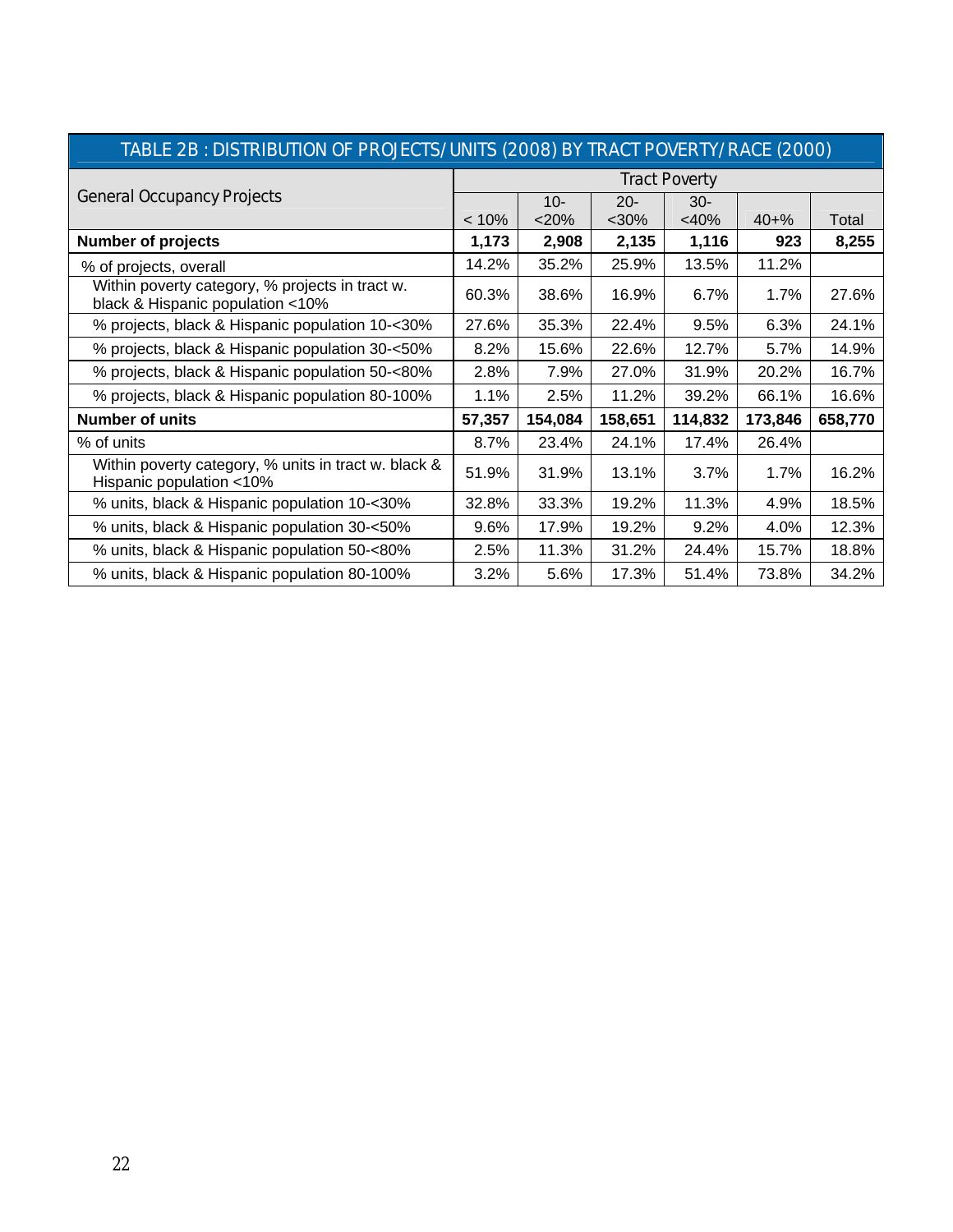| TABLE 2B : DISTRIBUTION OF PROJECTS/UNITS (2008) BY TRACT POVERTY/RACE (2000).      |                      |         |         |         |           |         |  |  |  |  |
|-------------------------------------------------------------------------------------|----------------------|---------|---------|---------|-----------|---------|--|--|--|--|
|                                                                                     | <b>Tract Poverty</b> |         |         |         |           |         |  |  |  |  |
| <b>General Occupancy Projects</b>                                                   |                      | $10 -$  | $20 -$  | $30 -$  |           |         |  |  |  |  |
|                                                                                     | < 10%                | $<$ 20% | $30%$   | <40%    | $40 + \%$ | Total   |  |  |  |  |
| <b>Number of projects</b>                                                           | 1,173                | 2,908   | 2,135   | 1,116   | 923       | 8,255   |  |  |  |  |
| % of projects, overall                                                              | 14.2%                | 35.2%   | 25.9%   | 13.5%   | 11.2%     |         |  |  |  |  |
| Within poverty category, % projects in tract w.<br>black & Hispanic population <10% | 60.3%                | 38.6%   | 16.9%   | 6.7%    | $1.7\%$   | 27.6%   |  |  |  |  |
| % projects, black & Hispanic population 10-<30%                                     | 27.6%                | 35.3%   | 22.4%   | 9.5%    | 6.3%      | 24.1%   |  |  |  |  |
| % projects, black & Hispanic population 30-<50%                                     | 8.2%                 | 15.6%   | 22.6%   | 12.7%   | 5.7%      | 14.9%   |  |  |  |  |
| % projects, black & Hispanic population 50-<80%                                     | 2.8%                 | 7.9%    | 27.0%   | 31.9%   | 20.2%     | 16.7%   |  |  |  |  |
| % projects, black & Hispanic population 80-100%                                     | 1.1%                 | 2.5%    | 11.2%   | 39.2%   | 66.1%     | 16.6%   |  |  |  |  |
| <b>Number of units</b>                                                              | 57,357               | 154,084 | 158,651 | 114,832 | 173,846   | 658,770 |  |  |  |  |
| % of units                                                                          | 8.7%                 | 23.4%   | 24.1%   | 17.4%   | 26.4%     |         |  |  |  |  |
| Within poverty category, % units in tract w. black &<br>Hispanic population <10%    | 51.9%                | 31.9%   | 13.1%   | 3.7%    | 1.7%      | 16.2%   |  |  |  |  |
| % units, black & Hispanic population 10-<30%                                        | 32.8%                | 33.3%   | 19.2%   | 11.3%   | 4.9%      | 18.5%   |  |  |  |  |
| % units, black & Hispanic population 30-<50%                                        | 9.6%                 | 17.9%   | 19.2%   | 9.2%    | 4.0%      | 12.3%   |  |  |  |  |
| % units, black & Hispanic population 50-<80%                                        | 2.5%                 | 11.3%   | 31.2%   | 24.4%   | 15.7%     | 18.8%   |  |  |  |  |
| % units, black & Hispanic population 80-100%                                        | 3.2%                 | 5.6%    | 17.3%   | 51.4%   | 73.8%     | 34.2%   |  |  |  |  |

### TABLE 2B : DISTRIBUTION OF PROJECTS/UNITS (2008) BY TRACT POVERTY/RACE (2000)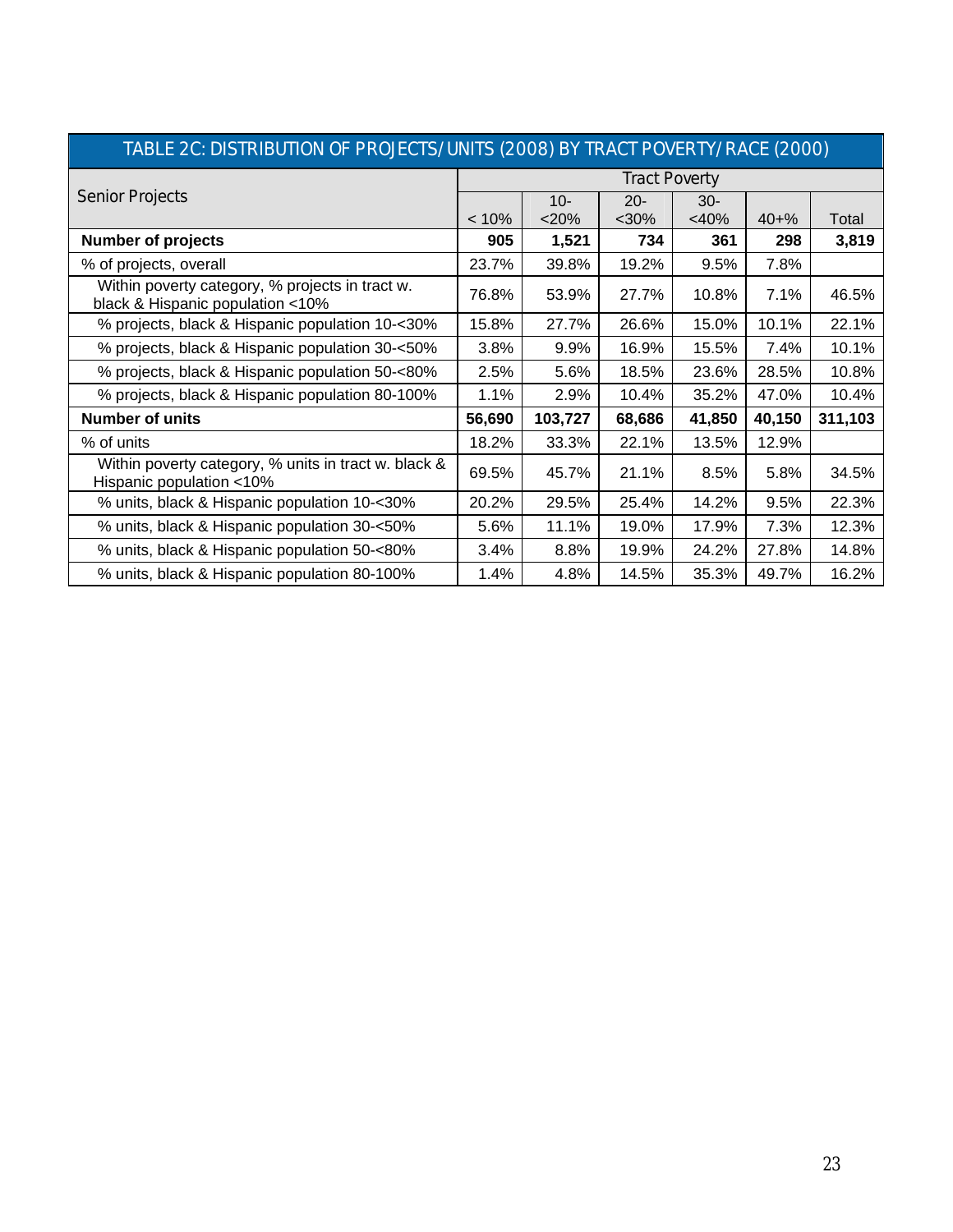| TABLE 2C: DISTRIBUTION OF PROJECTS/UNITS (2008) BY TRACT POVERTY/RACE (2000)        |                      |         |        |                   |           |         |  |  |  |  |
|-------------------------------------------------------------------------------------|----------------------|---------|--------|-------------------|-----------|---------|--|--|--|--|
|                                                                                     | <b>Tract Poverty</b> |         |        |                   |           |         |  |  |  |  |
| <b>Senior Projects</b>                                                              |                      | $10-$   | $20 -$ | $30 -$<br>$<$ 40% | $40 + \%$ |         |  |  |  |  |
|                                                                                     | $< 10\%$             | $<$ 20% | $30%$  |                   |           | Total   |  |  |  |  |
| <b>Number of projects</b>                                                           | 905                  | 1,521   | 734    | 361               | 298       | 3,819   |  |  |  |  |
| % of projects, overall                                                              | 23.7%                | 39.8%   | 19.2%  | 9.5%              | 7.8%      |         |  |  |  |  |
| Within poverty category, % projects in tract w.<br>black & Hispanic population <10% | 76.8%                | 53.9%   | 27.7%  | 10.8%             | 7.1%      | 46.5%   |  |  |  |  |
| % projects, black & Hispanic population 10-<30%                                     | 15.8%                | 27.7%   | 26.6%  | 15.0%             | 10.1%     | 22.1%   |  |  |  |  |
| % projects, black & Hispanic population 30-<50%                                     | 3.8%                 | 9.9%    | 16.9%  | 15.5%             | 7.4%      | 10.1%   |  |  |  |  |
| % projects, black & Hispanic population 50-<80%                                     | 2.5%                 | 5.6%    | 18.5%  | 23.6%             | 28.5%     | 10.8%   |  |  |  |  |
| % projects, black & Hispanic population 80-100%                                     | 1.1%                 | 2.9%    | 10.4%  | 35.2%             | 47.0%     | 10.4%   |  |  |  |  |
| <b>Number of units</b>                                                              | 56,690               | 103,727 | 68,686 | 41,850            | 40,150    | 311,103 |  |  |  |  |
| % of units                                                                          | 18.2%                | 33.3%   | 22.1%  | 13.5%             | 12.9%     |         |  |  |  |  |
| Within poverty category, % units in tract w. black &<br>Hispanic population <10%    | 69.5%                | 45.7%   | 21.1%  | 8.5%              | 5.8%      | 34.5%   |  |  |  |  |
| % units, black & Hispanic population 10-<30%                                        | 20.2%                | 29.5%   | 25.4%  | 14.2%             | 9.5%      | 22.3%   |  |  |  |  |
| % units, black & Hispanic population 30-<50%                                        | 5.6%                 | 11.1%   | 19.0%  | 17.9%             | 7.3%      | 12.3%   |  |  |  |  |
| % units, black & Hispanic population 50-<80%                                        | 3.4%                 | 8.8%    | 19.9%  | 24.2%             | 27.8%     | 14.8%   |  |  |  |  |
| % units, black & Hispanic population 80-100%                                        | 1.4%                 | 4.8%    | 14.5%  | 35.3%             | 49.7%     | 16.2%   |  |  |  |  |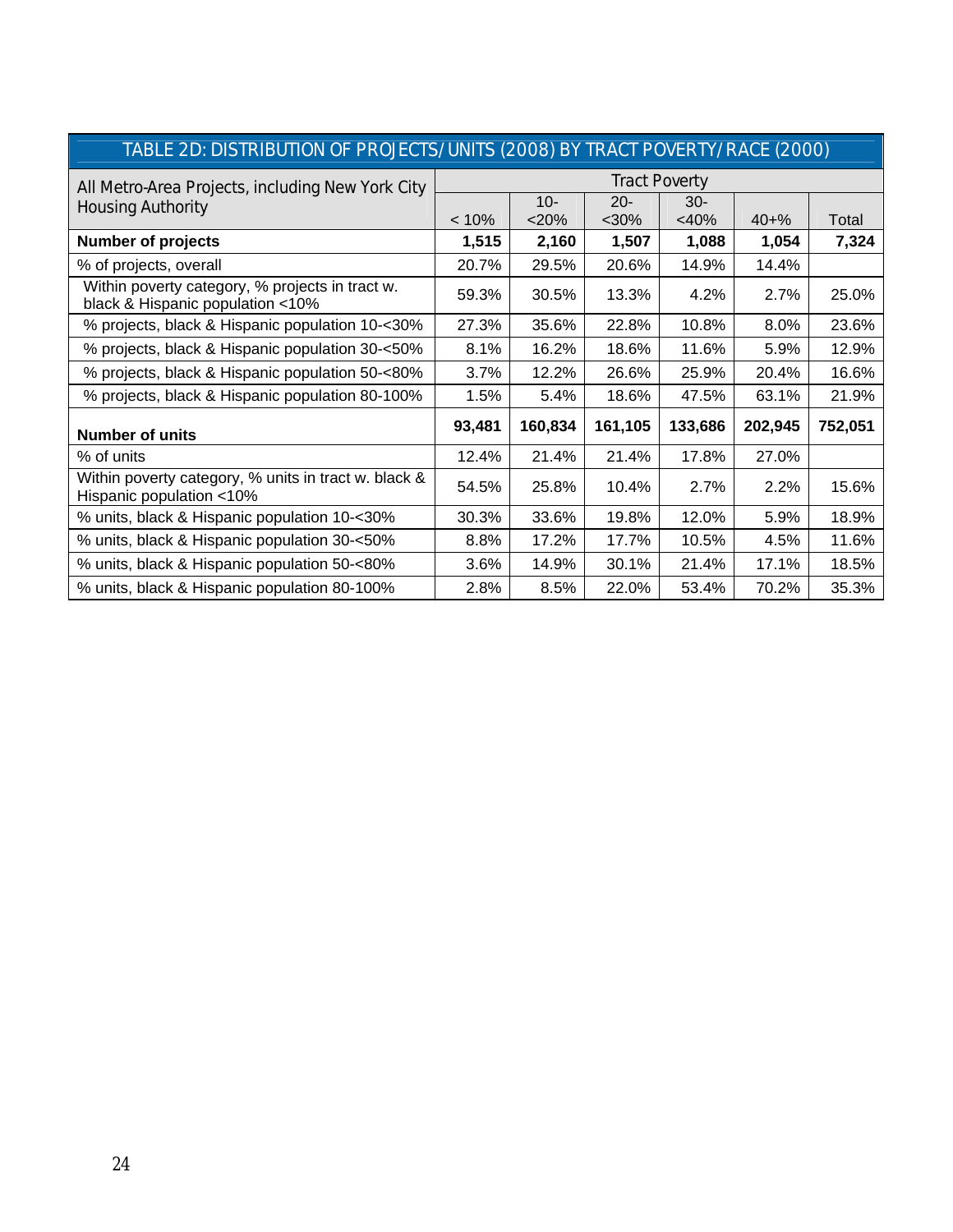|                                                                                     | <u>INDEE ZD. DIJTINIDUTION OF FINOJEGIJ/ UNITJ (ZUUO) DT TIVAGI FUNEINTT/INAGE (ZUUU).</u> |         |         |                      |           |         |  |  |  |  |  |
|-------------------------------------------------------------------------------------|--------------------------------------------------------------------------------------------|---------|---------|----------------------|-----------|---------|--|--|--|--|--|
| All Metro-Area Projects, including New York City                                    |                                                                                            |         |         | <b>Tract Poverty</b> |           |         |  |  |  |  |  |
| <b>Housing Authority</b>                                                            |                                                                                            | $10-$   | $20 -$  | $30-$                |           |         |  |  |  |  |  |
|                                                                                     | $< 10\%$                                                                                   | $<$ 20% | $30%$   | <40%                 | $40 + \%$ | Total   |  |  |  |  |  |
| <b>Number of projects</b>                                                           | 1,515                                                                                      | 2,160   | 1,507   | 1,088                | 1,054     | 7,324   |  |  |  |  |  |
| % of projects, overall                                                              | 20.7%                                                                                      | 29.5%   | 20.6%   | 14.9%                | 14.4%     |         |  |  |  |  |  |
| Within poverty category, % projects in tract w.<br>black & Hispanic population <10% | 59.3%                                                                                      | 30.5%   | 13.3%   | 4.2%                 | 2.7%      | 25.0%   |  |  |  |  |  |
| % projects, black & Hispanic population 10-<30%                                     | 27.3%                                                                                      | 35.6%   | 22.8%   | 10.8%                | 8.0%      | 23.6%   |  |  |  |  |  |
| % projects, black & Hispanic population 30-<50%                                     | 8.1%                                                                                       | 16.2%   | 18.6%   | 11.6%                | 5.9%      | 12.9%   |  |  |  |  |  |
| % projects, black & Hispanic population 50-<80%                                     | 3.7%                                                                                       | 12.2%   | 26.6%   | 25.9%                | 20.4%     | 16.6%   |  |  |  |  |  |
| % projects, black & Hispanic population 80-100%                                     | 1.5%                                                                                       | 5.4%    | 18.6%   | 47.5%                | 63.1%     | 21.9%   |  |  |  |  |  |
| <b>Number of units</b>                                                              | 93,481                                                                                     | 160,834 | 161,105 | 133,686              | 202,945   | 752,051 |  |  |  |  |  |
| % of units                                                                          | 12.4%                                                                                      | 21.4%   | 21.4%   | 17.8%                | 27.0%     |         |  |  |  |  |  |
| Within poverty category, % units in tract w. black &<br>Hispanic population <10%    | 54.5%                                                                                      | 25.8%   | 10.4%   | 2.7%                 | 2.2%      | 15.6%   |  |  |  |  |  |
| % units, black & Hispanic population 10-<30%                                        | 30.3%                                                                                      | 33.6%   | 19.8%   | 12.0%                | 5.9%      | 18.9%   |  |  |  |  |  |
| % units, black & Hispanic population 30-<50%                                        | 8.8%                                                                                       | 17.2%   | 17.7%   | 10.5%                | 4.5%      | 11.6%   |  |  |  |  |  |
| % units, black & Hispanic population 50-<80%                                        | 3.6%                                                                                       | 14.9%   | 30.1%   | 21.4%                | 17.1%     | 18.5%   |  |  |  |  |  |
| % units, black & Hispanic population 80-100%                                        | 2.8%                                                                                       | 8.5%    | 22.0%   | 53.4%                | 70.2%     | 35.3%   |  |  |  |  |  |

# TABLE 2D: DISTRIBUTION OF PROJECTS/UNITS (2008) BY TRACT POVERTY/RACE (2000)

I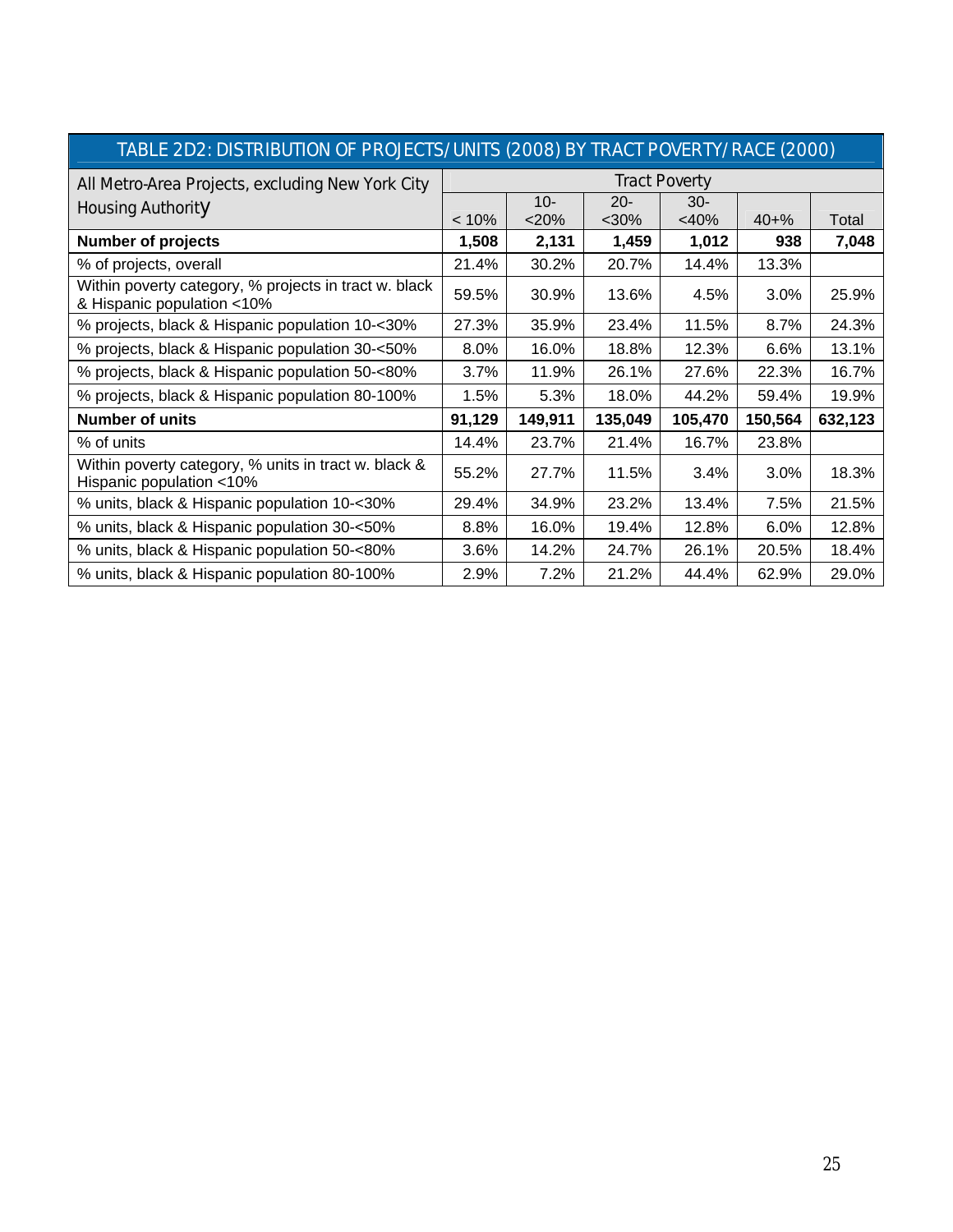| TABLE ZDZ: DISTRIBUTION OF PROJECTS/UNITS (ZOO8) BY TRACT POVERTY/RACE (ZOO0)       |          |         |         |                      |           |         |  |  |  |  |
|-------------------------------------------------------------------------------------|----------|---------|---------|----------------------|-----------|---------|--|--|--|--|
| All Metro-Area Projects, excluding New York City                                    |          |         |         | <b>Tract Poverty</b> |           |         |  |  |  |  |
| <b>Housing Authority</b>                                                            |          | $10 -$  | $20 -$  | $30 -$               |           |         |  |  |  |  |
|                                                                                     | $< 10\%$ | $<$ 20% | $30%$   | $<$ 40%              | $40 + \%$ | Total   |  |  |  |  |
| <b>Number of projects</b>                                                           | 1,508    | 2,131   | 1,459   | 1,012                | 938       | 7,048   |  |  |  |  |
| % of projects, overall                                                              | 21.4%    | 30.2%   | 20.7%   | 14.4%                | 13.3%     |         |  |  |  |  |
| Within poverty category, % projects in tract w. black<br>& Hispanic population <10% | 59.5%    | 30.9%   | 13.6%   | 4.5%                 | 3.0%      | 25.9%   |  |  |  |  |
| % projects, black & Hispanic population 10-<30%                                     | 27.3%    | 35.9%   | 23.4%   | 11.5%                | 8.7%      | 24.3%   |  |  |  |  |
| % projects, black & Hispanic population 30-<50%                                     | 8.0%     | 16.0%   | 18.8%   | 12.3%                | 6.6%      | 13.1%   |  |  |  |  |
| % projects, black & Hispanic population 50-<80%                                     | 3.7%     | 11.9%   | 26.1%   | 27.6%                | 22.3%     | 16.7%   |  |  |  |  |
| % projects, black & Hispanic population 80-100%                                     | 1.5%     | 5.3%    | 18.0%   | 44.2%                | 59.4%     | 19.9%   |  |  |  |  |
| <b>Number of units</b>                                                              | 91,129   | 149,911 | 135,049 | 105,470              | 150,564   | 632,123 |  |  |  |  |
| % of units                                                                          | 14.4%    | 23.7%   | 21.4%   | 16.7%                | 23.8%     |         |  |  |  |  |
| Within poverty category, % units in tract w. black &<br>Hispanic population <10%    | 55.2%    | 27.7%   | 11.5%   | 3.4%                 | 3.0%      | 18.3%   |  |  |  |  |
| % units, black & Hispanic population 10-<30%                                        | 29.4%    | 34.9%   | 23.2%   | 13.4%                | 7.5%      | 21.5%   |  |  |  |  |
| % units, black & Hispanic population 30-<50%                                        | 8.8%     | 16.0%   | 19.4%   | 12.8%                | 6.0%      | 12.8%   |  |  |  |  |
| % units, black & Hispanic population 50-<80%                                        | 3.6%     | 14.2%   | 24.7%   | 26.1%                | 20.5%     | 18.4%   |  |  |  |  |
| % units, black & Hispanic population 80-100%                                        | 2.9%     | 7.2%    | 21.2%   | 44.4%                | 62.9%     | 29.0%   |  |  |  |  |

# TABLE 2D2: DISTRIBUTION OF PROJECTS/UNITS (2008) BY TRACT POVERTY/RACE (2000)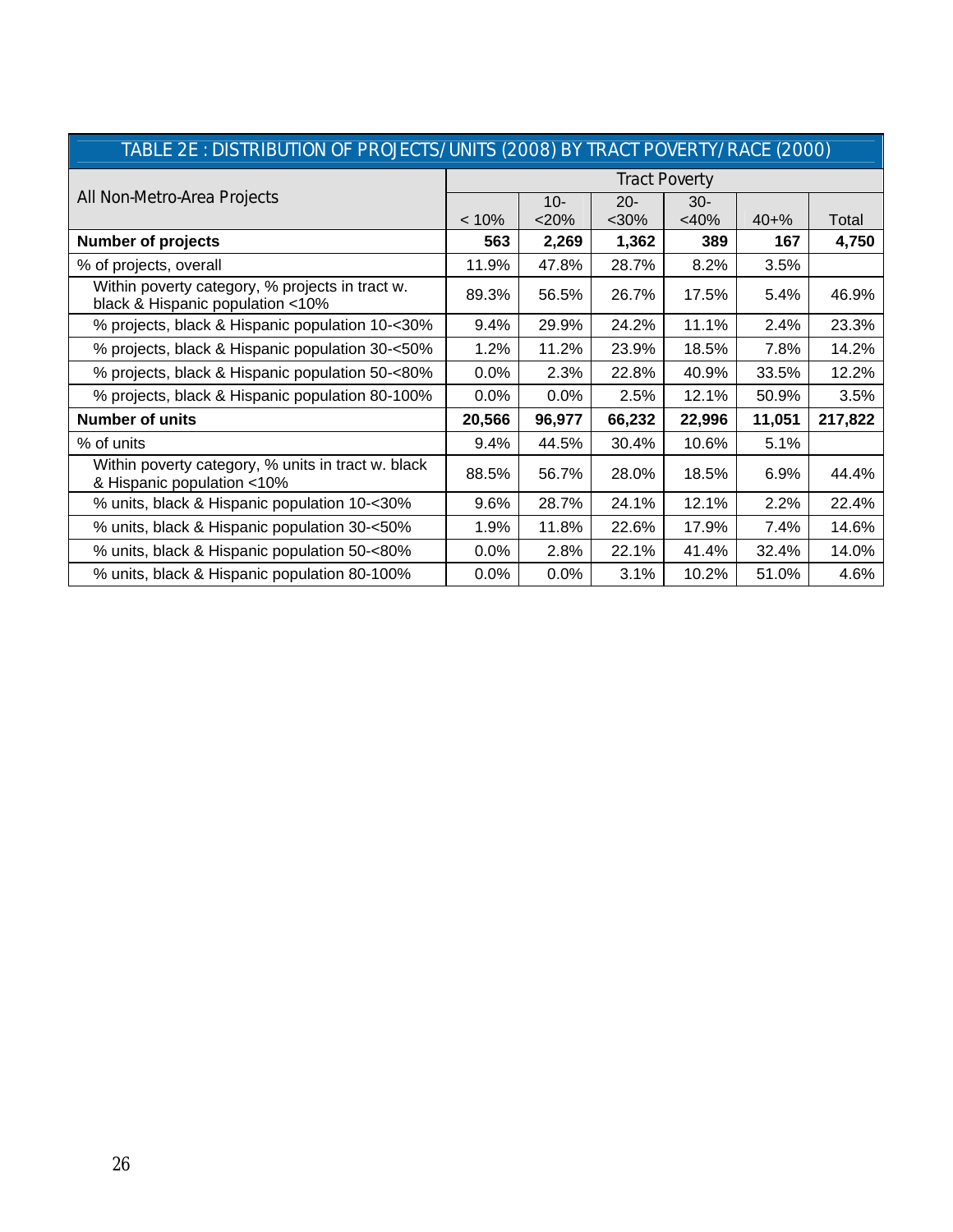| TABLE 2E : DISTRIBUTION OF PROJECTS/UNITS (2008) BY TRACT POVERTY/RACE (2000)       |                      |         |        |         |           |         |  |  |  |  |
|-------------------------------------------------------------------------------------|----------------------|---------|--------|---------|-----------|---------|--|--|--|--|
|                                                                                     | <b>Tract Poverty</b> |         |        |         |           |         |  |  |  |  |
| All Non-Metro-Area Projects                                                         |                      | $10 -$  | $20 -$ | $30-$   |           |         |  |  |  |  |
|                                                                                     | < 10%                | <20%    | $30%$  | $<$ 40% | $40 + \%$ | Total   |  |  |  |  |
| <b>Number of projects</b>                                                           | 563                  | 2,269   | 1,362  | 389     | 167       | 4,750   |  |  |  |  |
| % of projects, overall                                                              | 11.9%                | 47.8%   | 28.7%  | 8.2%    | 3.5%      |         |  |  |  |  |
| Within poverty category, % projects in tract w.<br>black & Hispanic population <10% | 89.3%                | 56.5%   | 26.7%  | 17.5%   | 5.4%      | 46.9%   |  |  |  |  |
| % projects, black & Hispanic population 10-<30%                                     | 9.4%                 | 29.9%   | 24.2%  | 11.1%   | 2.4%      | 23.3%   |  |  |  |  |
| % projects, black & Hispanic population 30-<50%                                     | 1.2%                 | 11.2%   | 23.9%  | 18.5%   | 7.8%      | 14.2%   |  |  |  |  |
| % projects, black & Hispanic population 50-<80%                                     | 0.0%                 | 2.3%    | 22.8%  | 40.9%   | 33.5%     | 12.2%   |  |  |  |  |
| % projects, black & Hispanic population 80-100%                                     | 0.0%                 | 0.0%    | 2.5%   | 12.1%   | 50.9%     | 3.5%    |  |  |  |  |
| <b>Number of units</b>                                                              | 20,566               | 96,977  | 66,232 | 22,996  | 11,051    | 217,822 |  |  |  |  |
| % of units                                                                          | 9.4%                 | 44.5%   | 30.4%  | 10.6%   | 5.1%      |         |  |  |  |  |
| Within poverty category, % units in tract w. black<br>& Hispanic population <10%    | 88.5%                | 56.7%   | 28.0%  | 18.5%   | 6.9%      | 44.4%   |  |  |  |  |
| % units, black & Hispanic population 10-<30%                                        | 9.6%                 | 28.7%   | 24.1%  | 12.1%   | 2.2%      | 22.4%   |  |  |  |  |
| % units, black & Hispanic population 30-<50%                                        | 1.9%                 | 11.8%   | 22.6%  | 17.9%   | 7.4%      | 14.6%   |  |  |  |  |
| % units, black & Hispanic population 50-<80%                                        | $0.0\%$              | 2.8%    | 22.1%  | 41.4%   | 32.4%     | 14.0%   |  |  |  |  |
| % units, black & Hispanic population 80-100%                                        | $0.0\%$              | $0.0\%$ | 3.1%   | 10.2%   | 51.0%     | 4.6%    |  |  |  |  |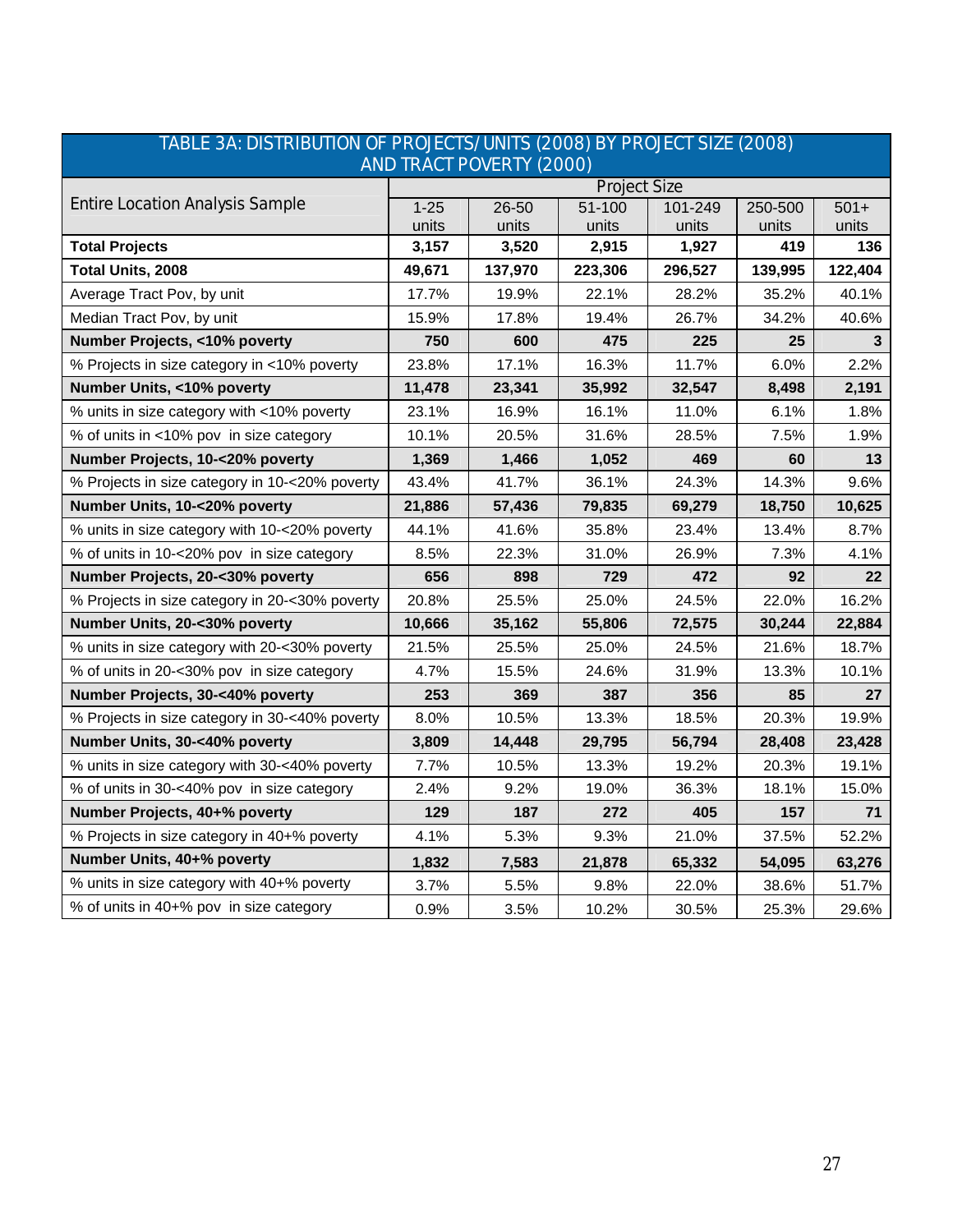|                                                | <u>INDEE ON: DIOTINIDUTION OF FINOJECTO/ UNITO (ZUUO) DI FINOJECT OIZE (ZUUO).</u><br><b>AND TRACT POVERTY (2000)</b> |         |                     |         |         |                   |  |  |  |  |  |  |
|------------------------------------------------|-----------------------------------------------------------------------------------------------------------------------|---------|---------------------|---------|---------|-------------------|--|--|--|--|--|--|
|                                                |                                                                                                                       |         | <b>Project Size</b> |         |         |                   |  |  |  |  |  |  |
| <b>Entire Location Analysis Sample</b>         | $1 - 25$                                                                                                              | 26-50   | 51-100              | 101-249 | 250-500 | $501+$            |  |  |  |  |  |  |
|                                                | units                                                                                                                 | units   | units               | units   | units   | units             |  |  |  |  |  |  |
| <b>Total Projects</b>                          | 3,157                                                                                                                 | 3,520   | 2,915               | 1,927   | 419     | 136               |  |  |  |  |  |  |
| Total Units, 2008                              | 49,671                                                                                                                | 137,970 | 223,306             | 296,527 | 139,995 | 122,404           |  |  |  |  |  |  |
| Average Tract Pov, by unit                     | 17.7%                                                                                                                 | 19.9%   | 22.1%               | 28.2%   | 35.2%   | 40.1%             |  |  |  |  |  |  |
| Median Tract Pov, by unit                      | 15.9%                                                                                                                 | 17.8%   | 19.4%               | 26.7%   | 34.2%   | 40.6%             |  |  |  |  |  |  |
| Number Projects, <10% poverty                  | 750                                                                                                                   | 600     | 475                 | 225     | 25      | 3                 |  |  |  |  |  |  |
| % Projects in size category in <10% poverty    | 23.8%                                                                                                                 | 17.1%   | 16.3%               | 11.7%   | 6.0%    | 2.2%              |  |  |  |  |  |  |
| Number Units, <10% poverty                     | 11,478                                                                                                                | 23,341  | 35,992              | 32,547  | 8,498   | 2,191             |  |  |  |  |  |  |
| % units in size category with <10% poverty     | 23.1%                                                                                                                 | 16.9%   | 16.1%               | 11.0%   | 6.1%    | 1.8%              |  |  |  |  |  |  |
| % of units in <10% pov in size category        | 10.1%                                                                                                                 | 20.5%   | 31.6%               | 28.5%   | 7.5%    | 1.9%              |  |  |  |  |  |  |
| Number Projects, 10-<20% poverty               | 1,369                                                                                                                 | 1,466   | 1,052               | 469     | 60      | 13                |  |  |  |  |  |  |
| % Projects in size category in 10-<20% poverty | 43.4%                                                                                                                 | 41.7%   | 36.1%               | 24.3%   | 14.3%   | 9.6%              |  |  |  |  |  |  |
| Number Units, 10-<20% poverty                  | 21,886                                                                                                                | 57,436  | 79,835              | 69,279  | 18,750  | 10,625            |  |  |  |  |  |  |
| % units in size category with 10-<20% poverty  | 44.1%                                                                                                                 | 41.6%   | 35.8%               | 23.4%   | 13.4%   | 8.7%              |  |  |  |  |  |  |
| % of units in 10-<20% pov in size category     | 8.5%                                                                                                                  | 22.3%   | 31.0%               | 26.9%   | 7.3%    | 4.1%              |  |  |  |  |  |  |
| Number Projects, 20-<30% poverty               | 656                                                                                                                   | 898     | 729                 | 472     | 92      | $22 \overline{ }$ |  |  |  |  |  |  |
| % Projects in size category in 20-<30% poverty | 20.8%                                                                                                                 | 25.5%   | 25.0%               | 24.5%   | 22.0%   | 16.2%             |  |  |  |  |  |  |
| Number Units, 20-<30% poverty                  | 10,666                                                                                                                | 35,162  | 55,806              | 72,575  | 30,244  | 22,884            |  |  |  |  |  |  |
| % units in size category with 20-<30% poverty  | 21.5%                                                                                                                 | 25.5%   | 25.0%               | 24.5%   | 21.6%   | 18.7%             |  |  |  |  |  |  |
| % of units in 20-<30% pov in size category     | 4.7%                                                                                                                  | 15.5%   | 24.6%               | 31.9%   | 13.3%   | 10.1%             |  |  |  |  |  |  |
| Number Projects, 30-<40% poverty               | 253                                                                                                                   | 369     | 387                 | 356     | 85      | 27                |  |  |  |  |  |  |
| % Projects in size category in 30-<40% poverty | 8.0%                                                                                                                  | 10.5%   | 13.3%               | 18.5%   | 20.3%   | 19.9%             |  |  |  |  |  |  |
| Number Units, 30-<40% poverty                  | 3,809                                                                                                                 | 14,448  | 29,795              | 56,794  | 28,408  | 23,428            |  |  |  |  |  |  |
| % units in size category with 30-<40% poverty  | 7.7%                                                                                                                  | 10.5%   | 13.3%               | 19.2%   | 20.3%   | 19.1%             |  |  |  |  |  |  |
| % of units in 30-<40% pov in size category     | 2.4%                                                                                                                  | 9.2%    | 19.0%               | 36.3%   | 18.1%   | 15.0%             |  |  |  |  |  |  |
| Number Projects, 40+% poverty                  | 129                                                                                                                   | 187     | 272                 | 405     | 157     | 71                |  |  |  |  |  |  |
| % Projects in size category in 40+% poverty    | 4.1%                                                                                                                  | 5.3%    | 9.3%                | 21.0%   | 37.5%   | 52.2%             |  |  |  |  |  |  |
| Number Units, 40+% poverty                     | 1,832                                                                                                                 | 7,583   | 21,878              | 65,332  | 54,095  | 63,276            |  |  |  |  |  |  |
| % units in size category with 40+% poverty     | 3.7%                                                                                                                  | 5.5%    | 9.8%                | 22.0%   | 38.6%   | 51.7%             |  |  |  |  |  |  |
| % of units in 40+% pov in size category        | 0.9%                                                                                                                  | 3.5%    | 10.2%               | 30.5%   | 25.3%   | 29.6%             |  |  |  |  |  |  |

# TABLE 3A: DISTRIBUTION OF PROJECTS/UNITS (2008) BY PROJECT SIZE (2008)

T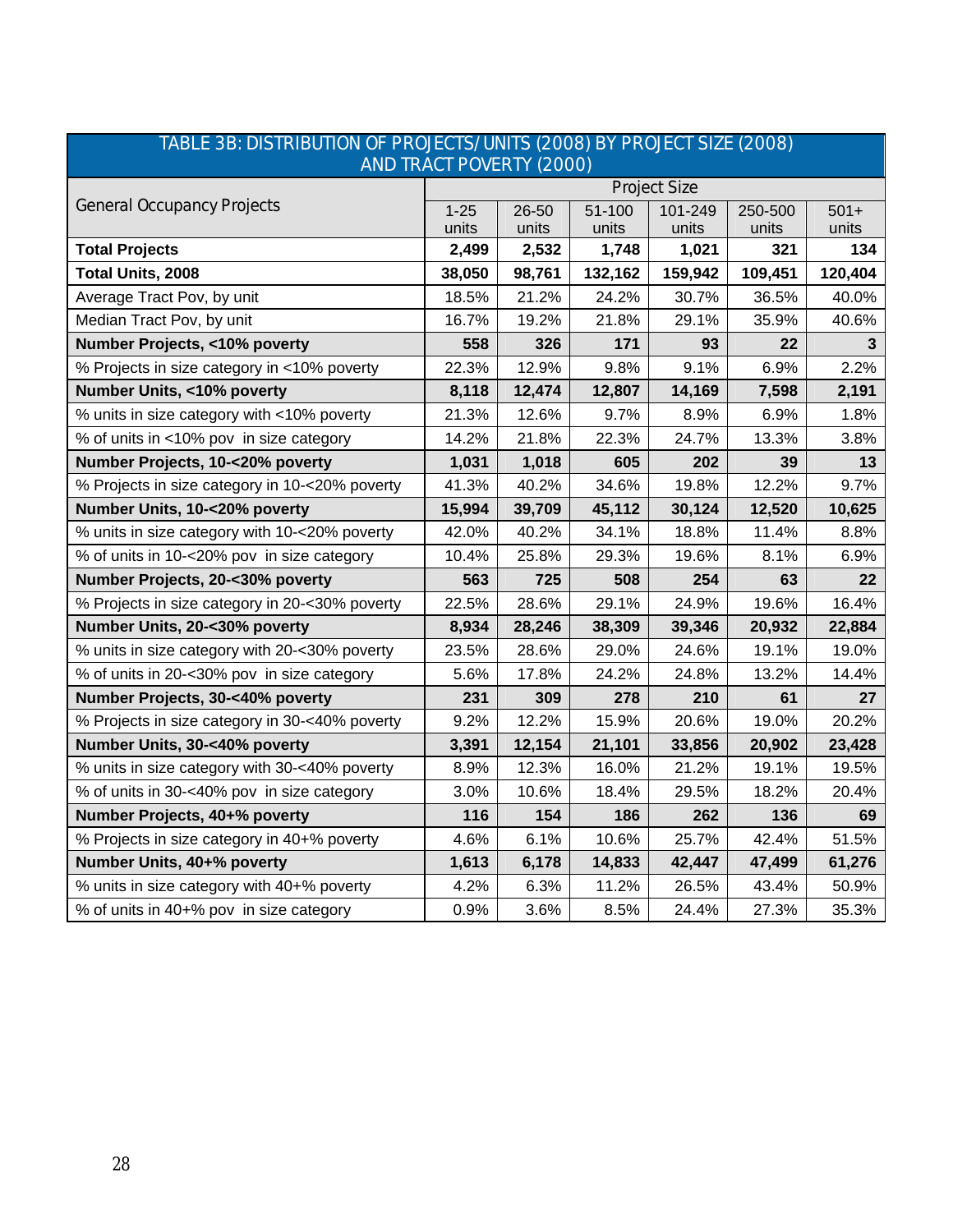|                                                | <b>AND TRACT POVERTY (2000)</b> |        |         |                     |         |         |  |  |  |  |  |  |  |
|------------------------------------------------|---------------------------------|--------|---------|---------------------|---------|---------|--|--|--|--|--|--|--|
|                                                |                                 |        |         | <b>Project Size</b> |         |         |  |  |  |  |  |  |  |
| <b>General Occupancy Projects</b>              | $1 - 25$                        | 26-50  | 51-100  | 101-249             | 250-500 | $501+$  |  |  |  |  |  |  |  |
|                                                | units                           | units  | units   | units               | units   | units   |  |  |  |  |  |  |  |
| <b>Total Projects</b>                          | 2,499                           | 2,532  | 1,748   | 1,021               | 321     | 134     |  |  |  |  |  |  |  |
| Total Units, 2008                              | 38,050                          | 98,761 | 132,162 | 159,942             | 109,451 | 120,404 |  |  |  |  |  |  |  |
| Average Tract Pov, by unit                     | 18.5%                           | 21.2%  | 24.2%   | 30.7%               | 36.5%   | 40.0%   |  |  |  |  |  |  |  |
| Median Tract Pov, by unit                      | 16.7%                           | 19.2%  | 21.8%   | 29.1%               | 35.9%   | 40.6%   |  |  |  |  |  |  |  |
| Number Projects, <10% poverty                  | 558                             | 326    | 171     | 93                  | 22      | 3       |  |  |  |  |  |  |  |
| % Projects in size category in <10% poverty    | 22.3%                           | 12.9%  | 9.8%    | 9.1%                | 6.9%    | 2.2%    |  |  |  |  |  |  |  |
| Number Units, <10% poverty                     | 8,118                           | 12,474 | 12,807  | 14,169              | 7,598   | 2,191   |  |  |  |  |  |  |  |
| % units in size category with <10% poverty     | 21.3%                           | 12.6%  | 9.7%    | 8.9%                | 6.9%    | 1.8%    |  |  |  |  |  |  |  |
| % of units in <10% pov in size category        | 14.2%                           | 21.8%  | 22.3%   | 24.7%               | 13.3%   | 3.8%    |  |  |  |  |  |  |  |
| Number Projects, 10-<20% poverty               | 1,031                           | 1,018  | 605     | 202                 | 39      | 13      |  |  |  |  |  |  |  |
| % Projects in size category in 10-<20% poverty | 41.3%                           | 40.2%  | 34.6%   | 19.8%               | 12.2%   | 9.7%    |  |  |  |  |  |  |  |
| Number Units, 10-<20% poverty                  | 15,994                          | 39,709 | 45,112  | 30,124              | 12,520  | 10,625  |  |  |  |  |  |  |  |
| % units in size category with 10-<20% poverty  | 42.0%                           | 40.2%  | 34.1%   | 18.8%               | 11.4%   | 8.8%    |  |  |  |  |  |  |  |
| % of units in 10-<20% pov in size category     | 10.4%                           | 25.8%  | 29.3%   | 19.6%               | 8.1%    | 6.9%    |  |  |  |  |  |  |  |
| Number Projects, 20-<30% poverty               | 563                             | 725    | 508     | 254                 | 63      | 22      |  |  |  |  |  |  |  |
| % Projects in size category in 20-<30% poverty | 22.5%                           | 28.6%  | 29.1%   | 24.9%               | 19.6%   | 16.4%   |  |  |  |  |  |  |  |
| Number Units, 20-<30% poverty                  | 8,934                           | 28,246 | 38,309  | 39,346              | 20,932  | 22,884  |  |  |  |  |  |  |  |
| % units in size category with 20-<30% poverty  | 23.5%                           | 28.6%  | 29.0%   | 24.6%               | 19.1%   | 19.0%   |  |  |  |  |  |  |  |
| % of units in 20-<30% pov in size category     | 5.6%                            | 17.8%  | 24.2%   | 24.8%               | 13.2%   | 14.4%   |  |  |  |  |  |  |  |
| Number Projects, 30-<40% poverty               | 231                             | 309    | 278     | 210                 | 61      | 27      |  |  |  |  |  |  |  |
| % Projects in size category in 30-<40% poverty | 9.2%                            | 12.2%  | 15.9%   | 20.6%               | 19.0%   | 20.2%   |  |  |  |  |  |  |  |
| Number Units, 30-<40% poverty                  | 3,391                           | 12,154 | 21,101  | 33,856              | 20,902  | 23,428  |  |  |  |  |  |  |  |
| % units in size category with 30-<40% poverty  | 8.9%                            | 12.3%  | 16.0%   | 21.2%               | 19.1%   | 19.5%   |  |  |  |  |  |  |  |
| % of units in 30-<40% pov in size category     | 3.0%                            | 10.6%  | 18.4%   | 29.5%               | 18.2%   | 20.4%   |  |  |  |  |  |  |  |
| Number Projects, 40+% poverty                  | 116                             | 154    | 186     | 262                 | 136     | 69      |  |  |  |  |  |  |  |
| % Projects in size category in 40+% poverty    | 4.6%                            | 6.1%   | 10.6%   | 25.7%               | 42.4%   | 51.5%   |  |  |  |  |  |  |  |
| Number Units, 40+% poverty                     | 1,613                           | 6,178  | 14,833  | 42,447              | 47,499  | 61,276  |  |  |  |  |  |  |  |
| % units in size category with 40+% poverty     | 4.2%                            | 6.3%   | 11.2%   | 26.5%               | 43.4%   | 50.9%   |  |  |  |  |  |  |  |
| % of units in 40+% pov in size category        | 0.9%                            | 3.6%   | 8.5%    | 24.4%               | 27.3%   | 35.3%   |  |  |  |  |  |  |  |

# TABLE 3B: DISTRIBUTION OF PROJECTS/UNITS (2008) BY PROJECT SIZE (2008)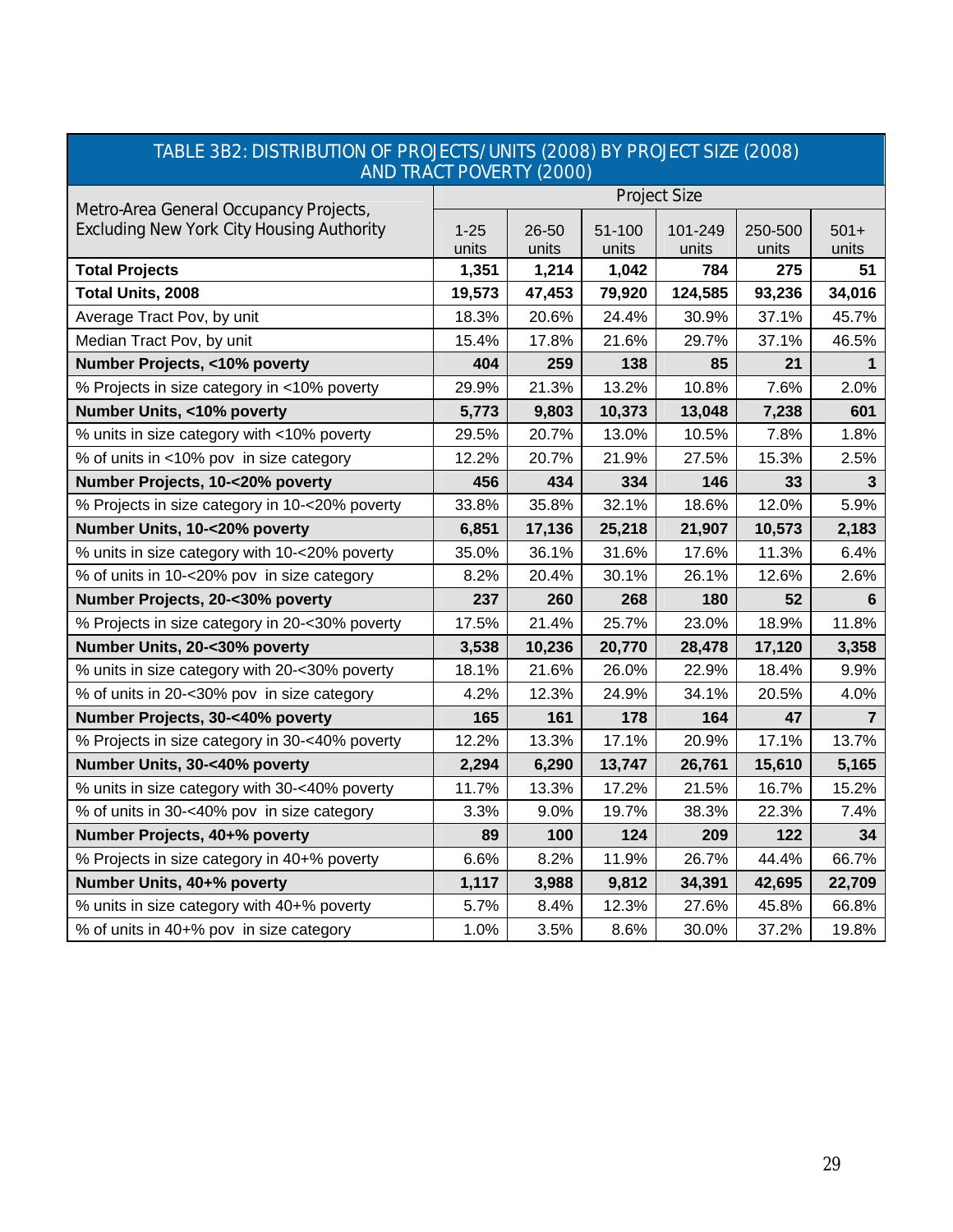| <b>AND TRACT POVERTY (2000)</b>                  |                     |                |                 |                  |                  |                 |  |
|--------------------------------------------------|---------------------|----------------|-----------------|------------------|------------------|-----------------|--|
| Metro-Area General Occupancy Projects,           | <b>Project Size</b> |                |                 |                  |                  |                 |  |
| <b>Excluding New York City Housing Authority</b> | $1 - 25$<br>units   | 26-50<br>units | 51-100<br>units | 101-249<br>units | 250-500<br>units | $501+$<br>units |  |
| <b>Total Projects</b>                            | 1,351               | 1,214          | 1,042           | 784              | 275              | 51              |  |
| Total Units, 2008                                | 19,573              | 47,453         | 79,920          | 124,585          | 93,236           | 34,016          |  |
| Average Tract Pov, by unit                       | 18.3%               | 20.6%          | 24.4%           | 30.9%            | 37.1%            | 45.7%           |  |
| Median Tract Pov, by unit                        | 15.4%               | 17.8%          | 21.6%           | 29.7%            | 37.1%            | 46.5%           |  |
| Number Projects, <10% poverty                    | 404                 | 259            | 138             | 85               | 21               | 1               |  |
| % Projects in size category in <10% poverty      | 29.9%               | 21.3%          | 13.2%           | 10.8%            | 7.6%             | 2.0%            |  |
| Number Units, <10% poverty                       | 5,773               | 9,803          | 10,373          | 13,048           | 7,238            | 601             |  |
| % units in size category with <10% poverty       | 29.5%               | 20.7%          | 13.0%           | 10.5%            | 7.8%             | 1.8%            |  |
| % of units in <10% pov in size category          | 12.2%               | 20.7%          | 21.9%           | 27.5%            | 15.3%            | 2.5%            |  |
| Number Projects, 10-<20% poverty                 | 456                 | 434            | 334             | 146              | 33               | 3               |  |
| % Projects in size category in 10-<20% poverty   | 33.8%               | 35.8%          | 32.1%           | 18.6%            | 12.0%            | 5.9%            |  |
| Number Units, 10-<20% poverty                    | 6,851               | 17,136         | 25,218          | 21,907           | 10,573           | 2,183           |  |
| % units in size category with 10-<20% poverty    | 35.0%               | 36.1%          | 31.6%           | 17.6%            | 11.3%            | 6.4%            |  |
| % of units in 10-<20% pov in size category       | 8.2%                | 20.4%          | 30.1%           | 26.1%            | 12.6%            | 2.6%            |  |
| Number Projects, 20-<30% poverty                 | 237                 | 260            | 268             | 180              | 52               | 6               |  |
| % Projects in size category in 20-<30% poverty   | 17.5%               | 21.4%          | 25.7%           | 23.0%            | 18.9%            | 11.8%           |  |
| Number Units, 20-<30% poverty                    | 3,538               | 10,236         | 20,770          | 28,478           | 17,120           | 3,358           |  |
| % units in size category with 20-<30% poverty    | 18.1%               | 21.6%          | 26.0%           | 22.9%            | 18.4%            | 9.9%            |  |
| % of units in 20-<30% pov in size category       | 4.2%                | 12.3%          | 24.9%           | 34.1%            | 20.5%            | 4.0%            |  |
| Number Projects, 30-<40% poverty                 | 165                 | 161            | 178             | 164              | 47               | $\overline{7}$  |  |
| % Projects in size category in 30-<40% poverty   | 12.2%               | 13.3%          | 17.1%           | 20.9%            | 17.1%            | 13.7%           |  |
| Number Units, 30-<40% poverty                    | 2,294               | 6,290          | 13,747          | 26,761           | 15,610           | 5,165           |  |
| % units in size category with 30-<40% poverty    | 11.7%               | 13.3%          | 17.2%           | 21.5%            | 16.7%            | 15.2%           |  |
| % of units in 30-<40% pov in size category       | 3.3%                | 9.0%           | 19.7%           | 38.3%            | 22.3%            | 7.4%            |  |
| Number Projects, 40+% poverty                    | 89                  | 100            | 124             | 209              | 122              | 34              |  |
| % Projects in size category in 40+% poverty      | 6.6%                | 8.2%           | 11.9%           | 26.7%            | 44.4%            | 66.7%           |  |
| Number Units, 40+% poverty                       | 1,117               | 3,988          | 9,812           | 34,391           | 42,695           | 22,709          |  |
| % units in size category with 40+% poverty       | 5.7%                | 8.4%           | 12.3%           | 27.6%            | 45.8%            | 66.8%           |  |
| % of units in 40+% pov in size category          | 1.0%                | 3.5%           | 8.6%            | 30.0%            | 37.2%            | 19.8%           |  |

# TABLE 3B2: DISTRIBUTION OF PROJECTS/UNITS (2008) BY PROJECT SIZE (2008)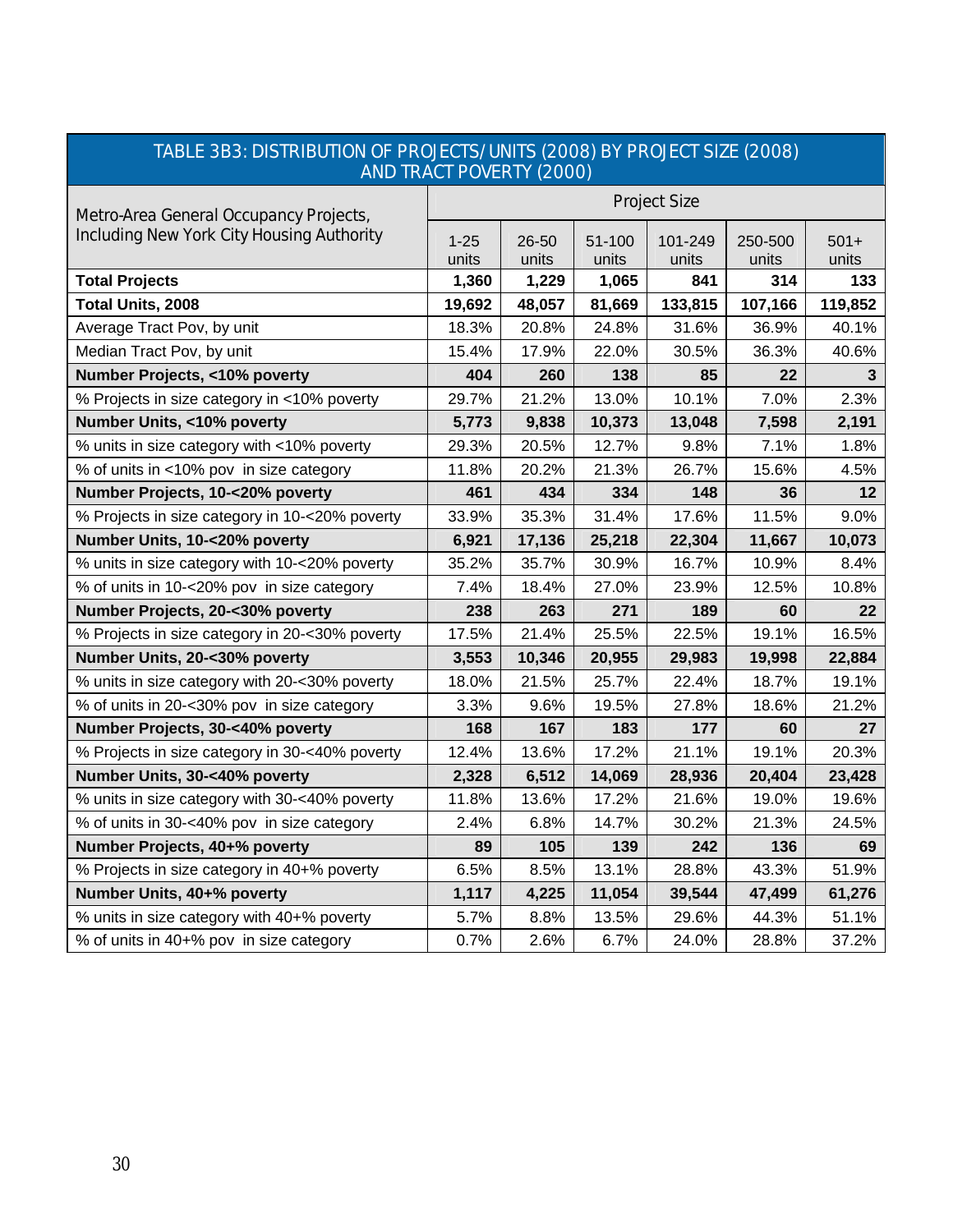| <b>AND TRACT POVERTY (2000)</b>                |                     |                |                 |                  |                  |                 |  |
|------------------------------------------------|---------------------|----------------|-----------------|------------------|------------------|-----------------|--|
| Metro-Area General Occupancy Projects,         | <b>Project Size</b> |                |                 |                  |                  |                 |  |
| Including New York City Housing Authority      | $1 - 25$<br>units   | 26-50<br>units | 51-100<br>units | 101-249<br>units | 250-500<br>units | $501+$<br>units |  |
| <b>Total Projects</b>                          | 1,360               | 1,229          | 1,065           | 841              | 314              | 133             |  |
| Total Units, 2008                              | 19,692              | 48,057         | 81,669          | 133,815          | 107,166          | 119,852         |  |
| Average Tract Pov, by unit                     | 18.3%               | 20.8%          | 24.8%           | 31.6%            | 36.9%            | 40.1%           |  |
| Median Tract Pov, by unit                      | 15.4%               | 17.9%          | 22.0%           | 30.5%            | 36.3%            | 40.6%           |  |
| Number Projects, <10% poverty                  | 404                 | 260            | 138             | 85               | 22               | 3               |  |
| % Projects in size category in <10% poverty    | 29.7%               | 21.2%          | 13.0%           | 10.1%            | 7.0%             | 2.3%            |  |
| Number Units, <10% poverty                     | 5,773               | 9,838          | 10,373          | 13,048           | 7,598            | 2,191           |  |
| % units in size category with <10% poverty     | 29.3%               | 20.5%          | 12.7%           | 9.8%             | 7.1%             | 1.8%            |  |
| % of units in <10% pov in size category        | 11.8%               | 20.2%          | 21.3%           | 26.7%            | 15.6%            | 4.5%            |  |
| Number Projects, 10-<20% poverty               | 461                 | 434            | 334             | 148              | 36               | 12              |  |
| % Projects in size category in 10-<20% poverty | 33.9%               | 35.3%          | 31.4%           | 17.6%            | 11.5%            | 9.0%            |  |
| Number Units, 10-<20% poverty                  | 6,921               | 17,136         | 25,218          | 22,304           | 11,667           | 10,073          |  |
| % units in size category with 10-<20% poverty  | 35.2%               | 35.7%          | 30.9%           | 16.7%            | 10.9%            | 8.4%            |  |
| % of units in 10-<20% pov in size category     | 7.4%                | 18.4%          | 27.0%           | 23.9%            | 12.5%            | 10.8%           |  |
| Number Projects, 20-<30% poverty               | 238                 | 263            | 271             | 189              | 60               | 22              |  |
| % Projects in size category in 20-<30% poverty | 17.5%               | 21.4%          | 25.5%           | 22.5%            | 19.1%            | 16.5%           |  |
| Number Units, 20-<30% poverty                  | 3,553               | 10,346         | 20,955          | 29,983           | 19,998           | 22,884          |  |
| % units in size category with 20-<30% poverty  | 18.0%               | 21.5%          | 25.7%           | 22.4%            | 18.7%            | 19.1%           |  |
| % of units in 20-<30% pov in size category     | 3.3%                | 9.6%           | 19.5%           | 27.8%            | 18.6%            | 21.2%           |  |
| Number Projects, 30-<40% poverty               | 168                 | 167            | 183             | 177              | 60               | 27              |  |
| % Projects in size category in 30-<40% poverty | 12.4%               | 13.6%          | 17.2%           | 21.1%            | 19.1%            | 20.3%           |  |
| Number Units, 30-<40% poverty                  | 2,328               | 6,512          | 14,069          | 28,936           | 20,404           | 23,428          |  |
| % units in size category with 30-<40% poverty  | 11.8%               | 13.6%          | 17.2%           | 21.6%            | 19.0%            | 19.6%           |  |
| % of units in 30-<40% pov in size category     | 2.4%                | 6.8%           | 14.7%           | 30.2%            | 21.3%            | 24.5%           |  |
| Number Projects, 40+% poverty                  | 89                  | 105            | 139             | 242              | 136              | 69              |  |
| % Projects in size category in 40+% poverty    | 6.5%                | 8.5%           | 13.1%           | 28.8%            | 43.3%            | 51.9%           |  |
| Number Units, 40+% poverty                     | 1,117               | 4,225          | 11,054          | 39,544           | 47,499           | 61,276          |  |
| % units in size category with 40+% poverty     | 5.7%                | 8.8%           | 13.5%           | 29.6%            | 44.3%            | 51.1%           |  |
| % of units in 40+% pov in size category        | 0.7%                | 2.6%           | 6.7%            | 24.0%            | 28.8%            | 37.2%           |  |

# TABLE 3B3: DISTRIBUTION OF PROJECTS/UNITS (2008) BY PROJECT SIZE (2008)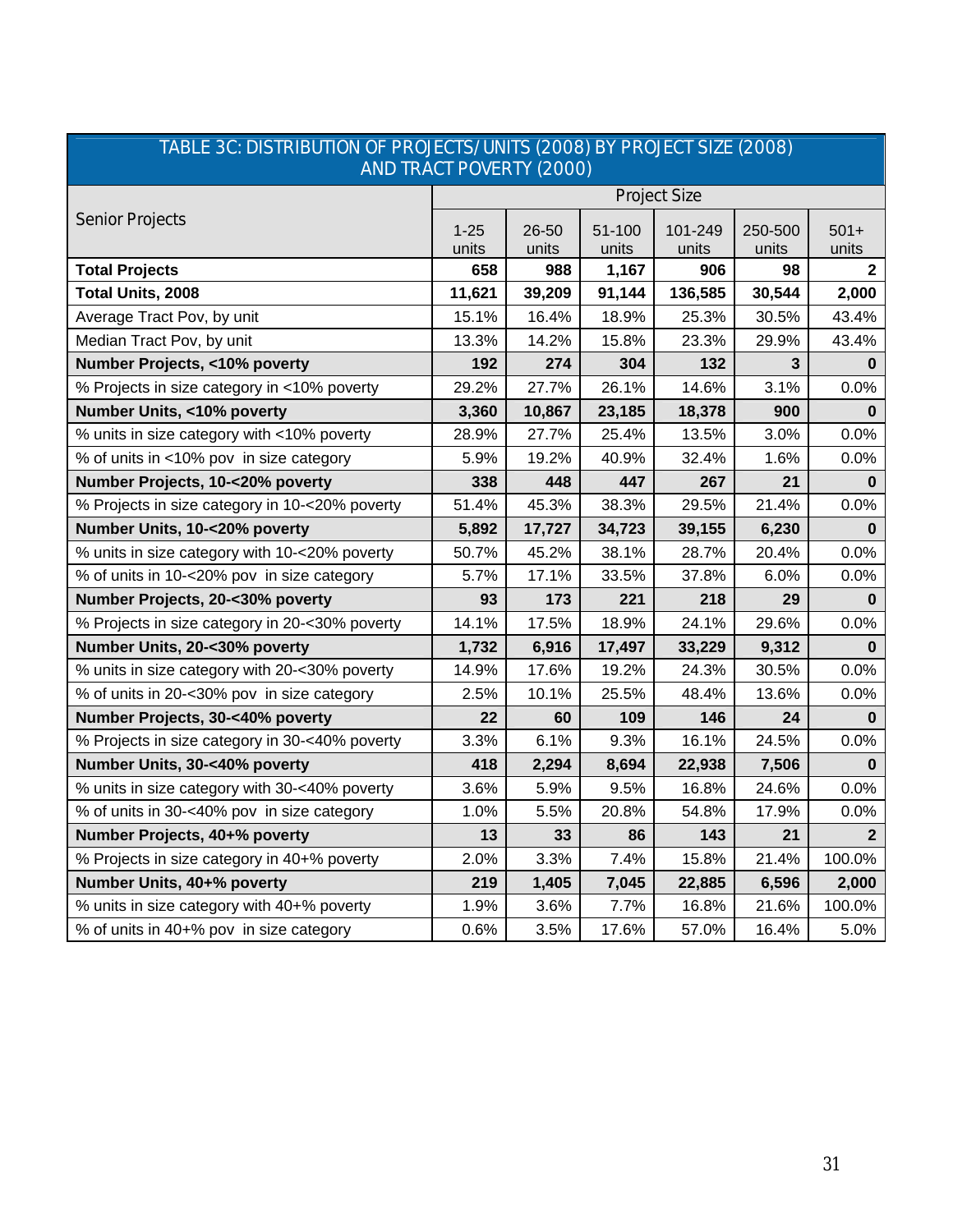| <u>INDEE JO. DIJTRIDUTION OF FROJECTJ/ UNITJ (ZUUO) DT FROJECT JIZE (ZUUO)</u><br><b>AND TRACT POVERTY (2000)</b> |                     |        |        |         |              |                |  |
|-------------------------------------------------------------------------------------------------------------------|---------------------|--------|--------|---------|--------------|----------------|--|
|                                                                                                                   | <b>Project Size</b> |        |        |         |              |                |  |
| <b>Senior Projects</b>                                                                                            | $1 - 25$            | 26-50  | 51-100 | 101-249 | 250-500      | $501+$         |  |
|                                                                                                                   | units               | units  | units  | units   | units        | units          |  |
| <b>Total Projects</b>                                                                                             | 658                 | 988    | 1,167  | 906     | 98           | $\mathbf{2}$   |  |
| Total Units, 2008                                                                                                 | 11,621              | 39,209 | 91,144 | 136,585 | 30,544       | 2,000          |  |
| Average Tract Pov, by unit                                                                                        | 15.1%               | 16.4%  | 18.9%  | 25.3%   | 30.5%        | 43.4%          |  |
| Median Tract Pov, by unit                                                                                         | 13.3%               | 14.2%  | 15.8%  | 23.3%   | 29.9%        | 43.4%          |  |
| Number Projects, <10% poverty                                                                                     | 192                 | 274    | 304    | 132     | $\mathbf{3}$ | 0              |  |
| % Projects in size category in <10% poverty                                                                       | 29.2%               | 27.7%  | 26.1%  | 14.6%   | 3.1%         | 0.0%           |  |
| Number Units, <10% poverty                                                                                        | 3,360               | 10,867 | 23,185 | 18,378  | 900          | $\bf{0}$       |  |
| % units in size category with <10% poverty                                                                        | 28.9%               | 27.7%  | 25.4%  | 13.5%   | 3.0%         | 0.0%           |  |
| % of units in <10% pov in size category                                                                           | 5.9%                | 19.2%  | 40.9%  | 32.4%   | 1.6%         | 0.0%           |  |
| Number Projects, 10-<20% poverty                                                                                  | 338                 | 448    | 447    | 267     | 21           | $\bf{0}$       |  |
| % Projects in size category in 10-<20% poverty                                                                    | 51.4%               | 45.3%  | 38.3%  | 29.5%   | 21.4%        | 0.0%           |  |
| Number Units, 10-<20% poverty                                                                                     | 5,892               | 17,727 | 34,723 | 39,155  | 6,230        | $\Omega$       |  |
| % units in size category with 10-<20% poverty                                                                     | 50.7%               | 45.2%  | 38.1%  | 28.7%   | 20.4%        | 0.0%           |  |
| % of units in 10-<20% pov in size category                                                                        | 5.7%                | 17.1%  | 33.5%  | 37.8%   | 6.0%         | 0.0%           |  |
| Number Projects, 20-<30% poverty                                                                                  | 93                  | 173    | 221    | 218     | 29           | 0              |  |
| % Projects in size category in 20-<30% poverty                                                                    | 14.1%               | 17.5%  | 18.9%  | 24.1%   | 29.6%        | 0.0%           |  |
| Number Units, 20-<30% poverty                                                                                     | 1,732               | 6,916  | 17,497 | 33,229  | 9,312        | $\bf{0}$       |  |
| % units in size category with 20-<30% poverty                                                                     | 14.9%               | 17.6%  | 19.2%  | 24.3%   | 30.5%        | 0.0%           |  |
| % of units in 20-<30% pov in size category                                                                        | 2.5%                | 10.1%  | 25.5%  | 48.4%   | 13.6%        | 0.0%           |  |
| Number Projects, 30-<40% poverty                                                                                  | 22                  | 60     | 109    | 146     | 24           | $\bf{0}$       |  |
| % Projects in size category in 30-<40% poverty                                                                    | 3.3%                | 6.1%   | 9.3%   | 16.1%   | 24.5%        | 0.0%           |  |
| Number Units, 30-<40% poverty                                                                                     | 418                 | 2,294  | 8,694  | 22,938  | 7,506        | 0              |  |
| % units in size category with 30-<40% poverty                                                                     | 3.6%                | 5.9%   | 9.5%   | 16.8%   | 24.6%        | 0.0%           |  |
| % of units in 30-<40% pov in size category                                                                        | 1.0%                | 5.5%   | 20.8%  | 54.8%   | 17.9%        | 0.0%           |  |
| Number Projects, 40+% poverty                                                                                     | 13                  | 33     | 86     | 143     | 21           | $\overline{2}$ |  |
| % Projects in size category in 40+% poverty                                                                       | 2.0%                | 3.3%   | 7.4%   | 15.8%   | 21.4%        | 100.0%         |  |
| Number Units, 40+% poverty                                                                                        | 219                 | 1,405  | 7,045  | 22,885  | 6,596        | 2,000          |  |
| % units in size category with 40+% poverty                                                                        | 1.9%                | 3.6%   | 7.7%   | 16.8%   | 21.6%        | 100.0%         |  |
| % of units in 40+% pov in size category                                                                           | 0.6%                | 3.5%   | 17.6%  | 57.0%   | 16.4%        | 5.0%           |  |

# TABLE 3C: DISTRIBUTION OF PROJECTS/UNITS (2008) BY PROJECT SIZE (2008)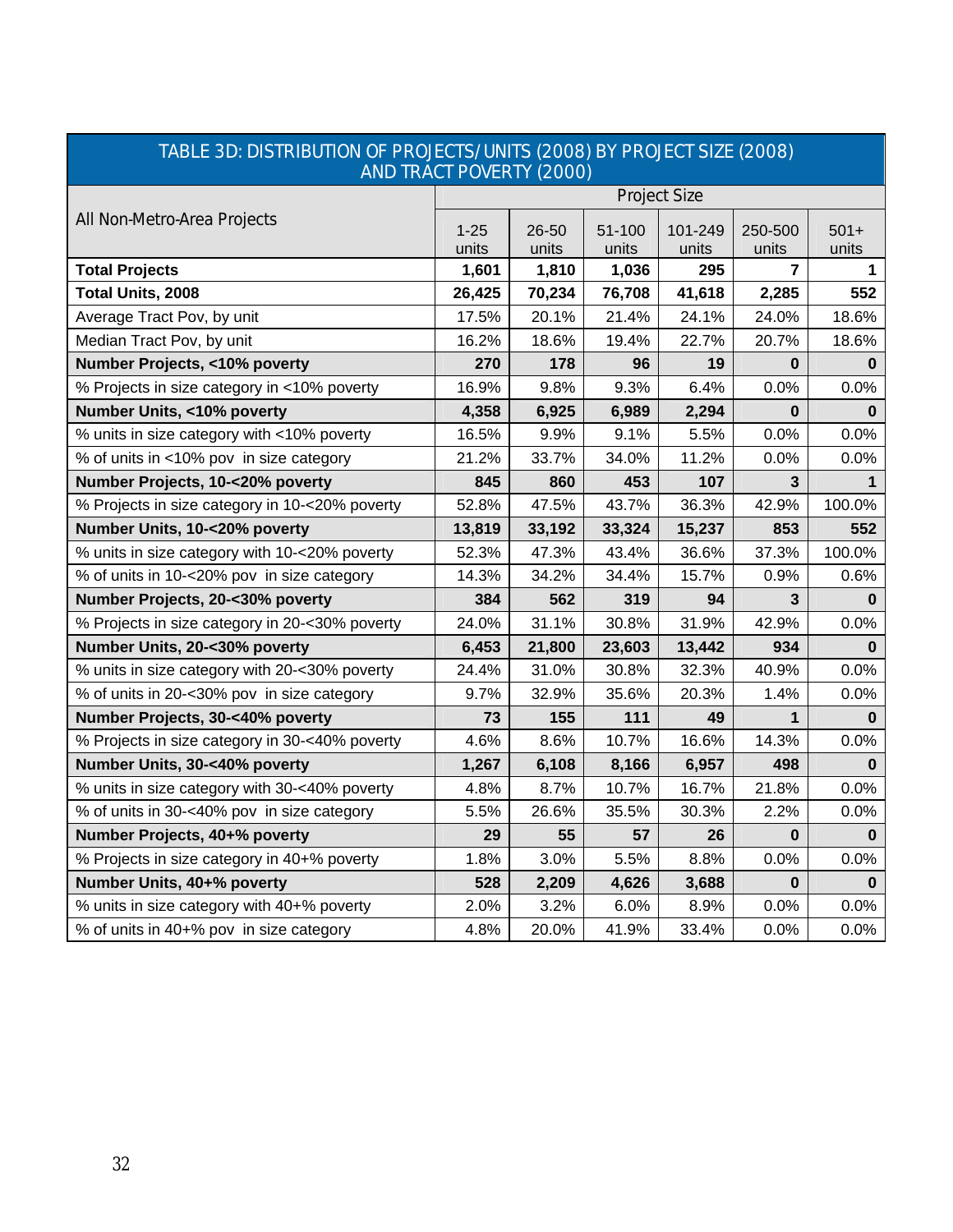| <b>AND TRACT POVERTY (2000)</b>                |                     |        |        |         |          |             |  |
|------------------------------------------------|---------------------|--------|--------|---------|----------|-------------|--|
|                                                | <b>Project Size</b> |        |        |         |          |             |  |
| All Non-Metro-Area Projects                    | $1 - 25$            | 26-50  | 51-100 | 101-249 | 250-500  | $501+$      |  |
|                                                | units               | units  | units  | units   | units    | units       |  |
| <b>Total Projects</b>                          | 1,601               | 1,810  | 1,036  | 295     | 7        | 1           |  |
| Total Units, 2008                              | 26,425              | 70,234 | 76,708 | 41,618  | 2,285    | 552         |  |
| Average Tract Pov, by unit                     | 17.5%               | 20.1%  | 21.4%  | 24.1%   | 24.0%    | 18.6%       |  |
| Median Tract Pov, by unit                      | 16.2%               | 18.6%  | 19.4%  | 22.7%   | 20.7%    | 18.6%       |  |
| Number Projects, <10% poverty                  | 270                 | 178    | 96     | 19      | $\bf{0}$ | 0           |  |
| % Projects in size category in <10% poverty    | 16.9%               | 9.8%   | 9.3%   | 6.4%    | 0.0%     | 0.0%        |  |
| Number Units, <10% poverty                     | 4,358               | 6,925  | 6,989  | 2,294   | 0        | 0           |  |
| % units in size category with <10% poverty     | 16.5%               | 9.9%   | 9.1%   | 5.5%    | 0.0%     | 0.0%        |  |
| % of units in <10% pov in size category        | 21.2%               | 33.7%  | 34.0%  | 11.2%   | 0.0%     | 0.0%        |  |
| Number Projects, 10-<20% poverty               | 845                 | 860    | 453    | 107     | 3        | $\mathbf 1$ |  |
| % Projects in size category in 10-<20% poverty | 52.8%               | 47.5%  | 43.7%  | 36.3%   | 42.9%    | 100.0%      |  |
| Number Units, 10-<20% poverty                  | 13,819              | 33,192 | 33,324 | 15,237  | 853      | 552         |  |
| % units in size category with 10-<20% poverty  | 52.3%               | 47.3%  | 43.4%  | 36.6%   | 37.3%    | 100.0%      |  |
| % of units in 10-<20% pov in size category     | 14.3%               | 34.2%  | 34.4%  | 15.7%   | 0.9%     | 0.6%        |  |
| Number Projects, 20-<30% poverty               | 384                 | 562    | 319    | 94      | 3        | $\bf{0}$    |  |
| % Projects in size category in 20-<30% poverty | 24.0%               | 31.1%  | 30.8%  | 31.9%   | 42.9%    | 0.0%        |  |
| Number Units, 20-<30% poverty                  | 6,453               | 21,800 | 23,603 | 13,442  | 934      | 0           |  |
| % units in size category with 20-<30% poverty  | 24.4%               | 31.0%  | 30.8%  | 32.3%   | 40.9%    | 0.0%        |  |
| % of units in 20-<30% pov in size category     | 9.7%                | 32.9%  | 35.6%  | 20.3%   | 1.4%     | 0.0%        |  |
| Number Projects, 30-<40% poverty               | 73                  | 155    | 111    | 49      | 1        | 0           |  |
| % Projects in size category in 30-<40% poverty | 4.6%                | 8.6%   | 10.7%  | 16.6%   | 14.3%    | 0.0%        |  |
| Number Units, 30-<40% poverty                  | 1,267               | 6,108  | 8,166  | 6,957   | 498      | $\bf{0}$    |  |
| % units in size category with 30-<40% poverty  | 4.8%                | 8.7%   | 10.7%  | 16.7%   | 21.8%    | 0.0%        |  |
| % of units in 30-<40% pov in size category     | 5.5%                | 26.6%  | 35.5%  | 30.3%   | 2.2%     | 0.0%        |  |
| Number Projects, 40+% poverty                  | 29                  | 55     | 57     | 26      | $\bf{0}$ | $\bf{0}$    |  |
| % Projects in size category in 40+% poverty    | 1.8%                | 3.0%   | 5.5%   | 8.8%    | 0.0%     | 0.0%        |  |
| Number Units, 40+% poverty                     | 528                 | 2,209  | 4,626  | 3,688   | $\bf{0}$ | $\bf{0}$    |  |
| % units in size category with 40+% poverty     | 2.0%                | 3.2%   | 6.0%   | 8.9%    | 0.0%     | $0.0\%$     |  |
| % of units in 40+% pov in size category        | 4.8%                | 20.0%  | 41.9%  | 33.4%   | 0.0%     | 0.0%        |  |

# TABLE 3D: DISTRIBUTION OF PROJECTS/UNITS (2008) BY PROJECT SIZE (2008) AND TRACT POVERTY (2000)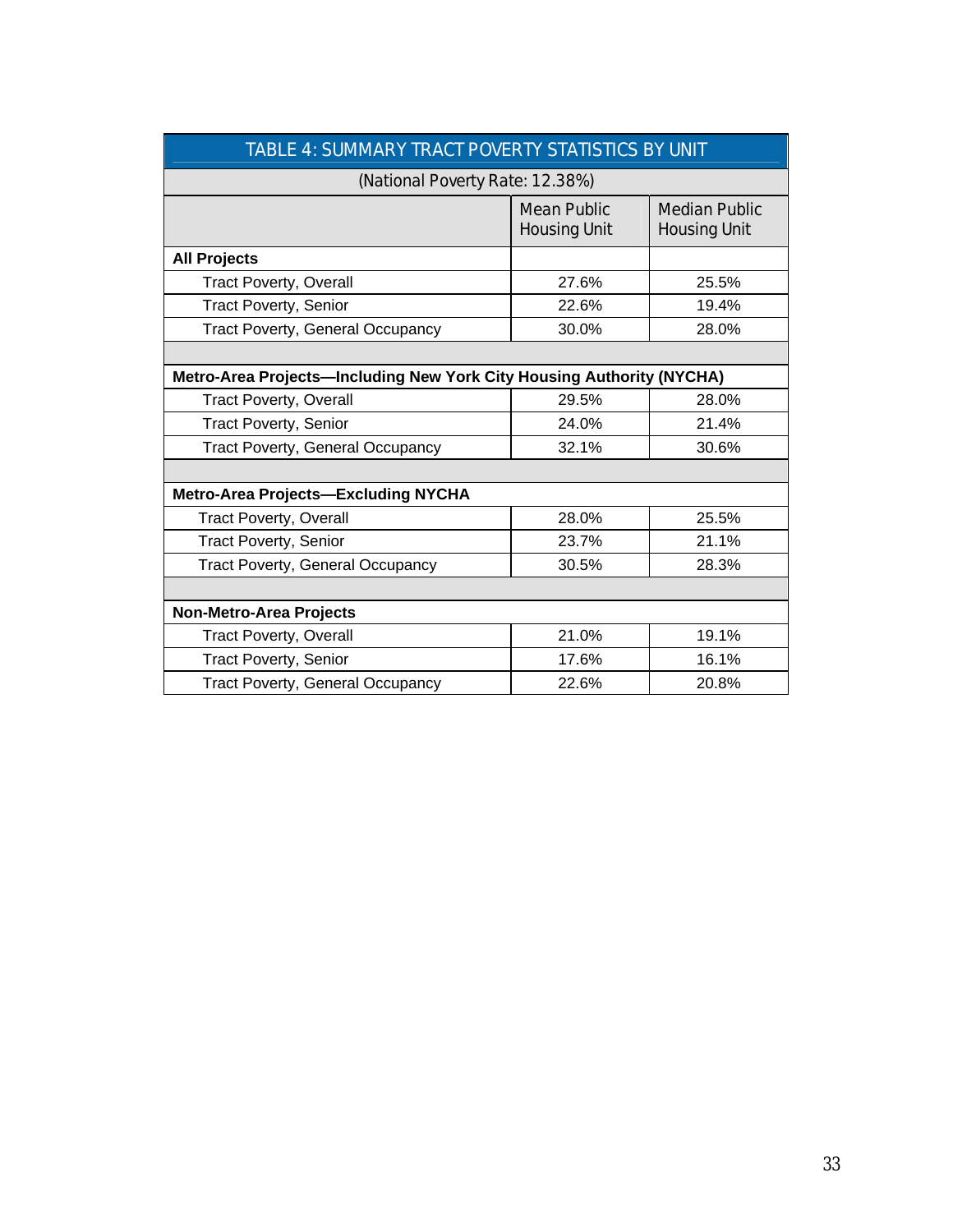| TABLE 4: SUMMARY TRACT POVERTY STATISTICS BY UNIT |                                                                       |                                             |  |  |  |  |  |  |
|---------------------------------------------------|-----------------------------------------------------------------------|---------------------------------------------|--|--|--|--|--|--|
| (National Poverty Rate: 12.38%)                   |                                                                       |                                             |  |  |  |  |  |  |
|                                                   | <b>Mean Public</b><br><b>Housing Unit</b>                             | <b>Median Public</b><br><b>Housing Unit</b> |  |  |  |  |  |  |
| <b>All Projects</b>                               |                                                                       |                                             |  |  |  |  |  |  |
| <b>Tract Poverty, Overall</b>                     | 27.6%                                                                 | 25.5%                                       |  |  |  |  |  |  |
| <b>Tract Poverty, Senior</b>                      | 22.6%                                                                 | 19.4%                                       |  |  |  |  |  |  |
| <b>Tract Poverty, General Occupancy</b>           | 30.0%                                                                 | 28.0%                                       |  |  |  |  |  |  |
|                                                   |                                                                       |                                             |  |  |  |  |  |  |
|                                                   | Metro-Area Projects-Including New York City Housing Authority (NYCHA) |                                             |  |  |  |  |  |  |
| <b>Tract Poverty, Overall</b>                     | 29.5%                                                                 | 28.0%                                       |  |  |  |  |  |  |
| <b>Tract Poverty, Senior</b>                      | 24.0%                                                                 | 21.4%                                       |  |  |  |  |  |  |
| <b>Tract Poverty, General Occupancy</b>           | 32.1%                                                                 | 30.6%                                       |  |  |  |  |  |  |
|                                                   |                                                                       |                                             |  |  |  |  |  |  |
| <b>Metro-Area Projects-Excluding NYCHA</b>        |                                                                       |                                             |  |  |  |  |  |  |
| <b>Tract Poverty, Overall</b>                     | 28.0%                                                                 | 25.5%                                       |  |  |  |  |  |  |
| <b>Tract Poverty, Senior</b>                      | 23.7%                                                                 | 21.1%                                       |  |  |  |  |  |  |
| <b>Tract Poverty, General Occupancy</b>           | 30.5%                                                                 | 28.3%                                       |  |  |  |  |  |  |
|                                                   |                                                                       |                                             |  |  |  |  |  |  |
| <b>Non-Metro-Area Projects</b>                    |                                                                       |                                             |  |  |  |  |  |  |
| Tract Poverty, Overall                            | 21.0%                                                                 | 19.1%                                       |  |  |  |  |  |  |
| <b>Tract Poverty, Senior</b>                      | 17.6%                                                                 | 16.1%                                       |  |  |  |  |  |  |
| <b>Tract Poverty, General Occupancy</b>           | 22.6%                                                                 | 20.8%                                       |  |  |  |  |  |  |